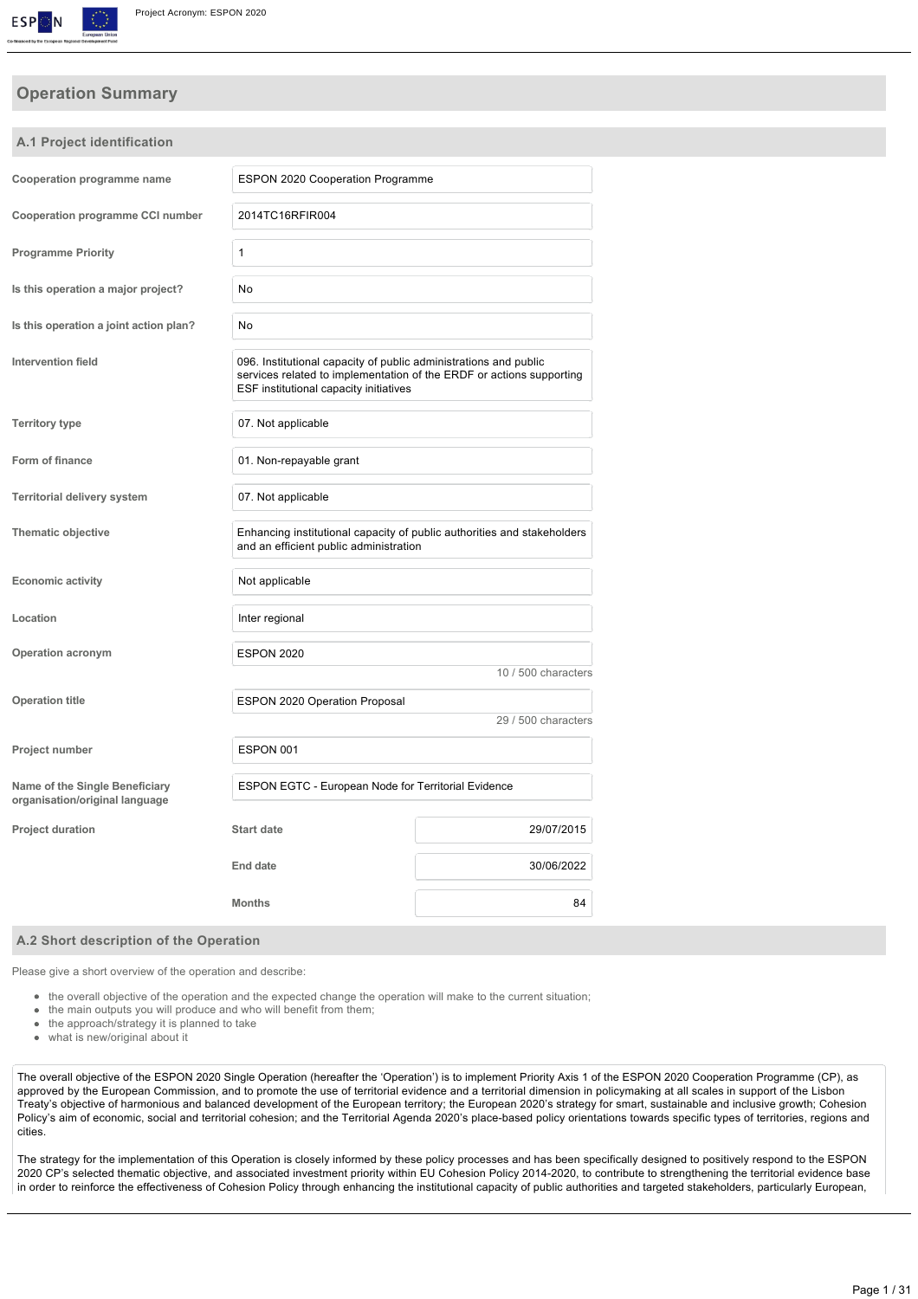

# **Operation Summary**

**A.1 Project identification**

| Cooperation programme name                                       | <b>ESPON 2020 Cooperation Programme</b>                                                                                                                                            |                                                                         |
|------------------------------------------------------------------|------------------------------------------------------------------------------------------------------------------------------------------------------------------------------------|-------------------------------------------------------------------------|
| Cooperation programme CCI number                                 | 2014TC16RFIR004                                                                                                                                                                    |                                                                         |
| <b>Programme Priority</b>                                        | 1                                                                                                                                                                                  |                                                                         |
| Is this operation a major project?                               | No                                                                                                                                                                                 |                                                                         |
| Is this operation a joint action plan?                           | No                                                                                                                                                                                 |                                                                         |
| Intervention field                                               | 096. Institutional capacity of public administrations and public<br>services related to implementation of the ERDF or actions supporting<br>ESF institutional capacity initiatives |                                                                         |
| <b>Territory type</b>                                            | 07. Not applicable                                                                                                                                                                 |                                                                         |
| Form of finance                                                  | 01. Non-repayable grant                                                                                                                                                            |                                                                         |
| <b>Territorial delivery system</b>                               | 07. Not applicable                                                                                                                                                                 |                                                                         |
| <b>Thematic objective</b>                                        | and an efficient public administration                                                                                                                                             | Enhancing institutional capacity of public authorities and stakeholders |
| <b>Economic activity</b>                                         | Not applicable                                                                                                                                                                     |                                                                         |
| Location                                                         | Inter regional                                                                                                                                                                     |                                                                         |
| <b>Operation acronym</b>                                         | <b>ESPON 2020</b>                                                                                                                                                                  |                                                                         |
|                                                                  |                                                                                                                                                                                    | 10 / 500 characters                                                     |
| <b>Operation title</b>                                           | ESPON 2020 Operation Proposal                                                                                                                                                      | 29 / 500 characters                                                     |
| Project number                                                   | ESPON 001                                                                                                                                                                          |                                                                         |
| Name of the Single Beneficiary<br>organisation/original language | ESPON EGTC - European Node for Territorial Evidence                                                                                                                                |                                                                         |
| <b>Project duration</b>                                          | <b>Start date</b>                                                                                                                                                                  | 29/07/2015                                                              |
|                                                                  | End date                                                                                                                                                                           | 30/06/2022                                                              |
|                                                                  | <b>Months</b>                                                                                                                                                                      | 84                                                                      |
|                                                                  |                                                                                                                                                                                    |                                                                         |

#### **A.2 Short description of the Operation**

Please give a short overview of the operation and describe:

- the overall objective of the operation and the expected change the operation will make to the current situation;
- the main outputs you will produce and who will benefit from them;
- $\bullet$ the approach/strategy it is planned to take
- $\alpha$ what is new/original about it

The overall objective of the ESPON 2020 Single Operation (hereafter the 'Operation') is to implement Priority Axis 1 of the ESPON 2020 Cooperation Programme (CP), as approved by the European Commission, and to promote the use of territorial evidence and a territorial dimension in policymaking at all scales in support of the Lisbon Treaty's objective of harmonious and balanced development of the European territory; the European 2020's strategy for smart, sustainable and inclusive growth; Cohesion Policy's aim of economic, social and territorial cohesion; and the Territorial Agenda 2020's place-based policy orientations towards specific types of territories, regions and cities.

The strategy for the implementation of this Operation is closely informed by these policy processes and has been specifically designed to positively respond to the ESPON 2020 CP's selected thematic objective, and associated investment priority within EU Cohesion Policy 20142020, to contribute to strengthening the territorial evidence base in order to reinforce the effectiveness of Cohesion Policy through enhancing the institutional capacity of public authorities and targeted stakeholders, particularly European,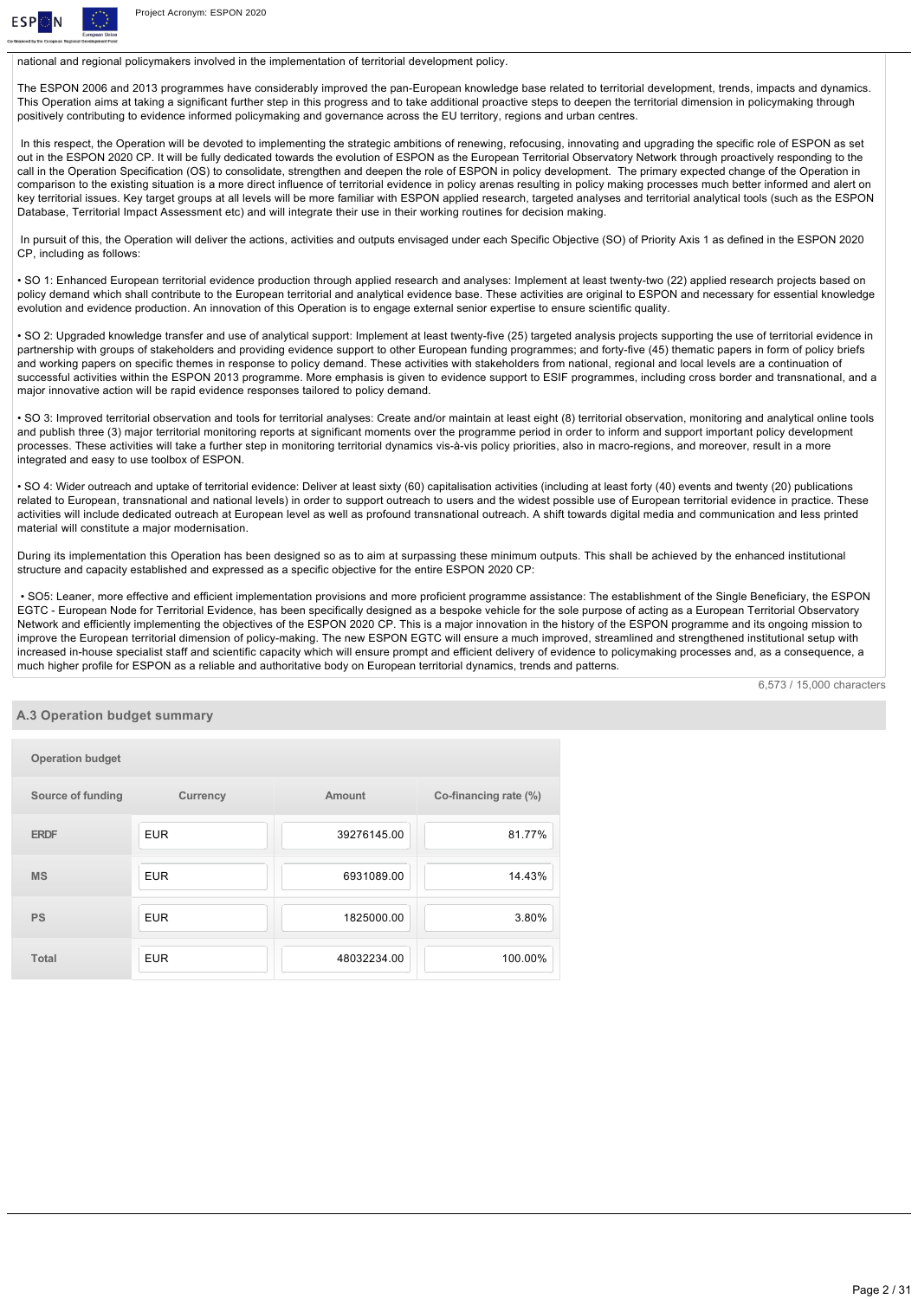

national and regional policymakers involved in the implementation of territorial development policy.

The ESPON 2006 and 2013 programmes have considerably improved the pan-European knowledge base related to territorial development, trends, impacts and dynamics. This Operation aims at taking a significant further step in this progress and to take additional proactive steps to deepen the territorial dimension in policymaking through positively contributing to evidence informed policymaking and governance across the EU territory, regions and urban centres.

In this respect, the Operation will be devoted to implementing the strategic ambitions of renewing, refocusing, innovating and upgrading the specific role of ESPON as set out in the ESPON 2020 CP. It will be fully dedicated towards the evolution of ESPON as the European Territorial Observatory Network through proactively responding to the call in the Operation Specification (OS) to consolidate, strengthen and deepen the role of ESPON in policy development. The primary expected change of the Operation in comparison to the existing situation is a more direct influence of territorial evidence in policy arenas resulting in policy making processes much better informed and alert on key territorial issues. Key target groups at all levels will be more familiar with ESPON applied research, targeted analyses and territorial analytical tools (such as the ESPON Database, Territorial Impact Assessment etc) and will integrate their use in their working routines for decision making.

 In pursuit of this, the Operation will deliver the actions, activities and outputs envisaged under each Specific Objective (SO) of Priority Axis 1 as defined in the ESPON 2020 CP, including as follows:

• SO 1: Enhanced European territorial evidence production through applied research and analyses: Implement at least twenty-two (22) applied research projects based on policy demand which shall contribute to the European territorial and analytical evidence base. These activities are original to ESPON and necessary for essential knowledge evolution and evidence production. An innovation of this Operation is to engage external senior expertise to ensure scientific quality.

• SO 2: Upgraded knowledge transfer and use of analytical support: Implement at least twenty-five (25) targeted analysis projects supporting the use of territorial evidence in partnership with groups of stakeholders and providing evidence support to other European funding programmes; and forty-five (45) thematic papers in form of policy briefs and working papers on specific themes in response to policy demand. These activities with stakeholders from national, regional and local levels are a continuation of successful activities within the ESPON 2013 programme. More emphasis is given to evidence support to ESIF programmes, including cross border and transnational, and a major innovative action will be rapid evidence responses tailored to policy demand.

• SO 3: Improved territorial observation and tools for territorial analyses: Create and/or maintain at least eight (8) territorial observation, monitoring and analytical online tools and publish three (3) major territorial monitoring reports at significant moments over the programme period in order to inform and support important policy development processes. These activities will take a further step in monitoring territorial dynamics vis-a-vis policy priorities, also in macro-regions, and moreover, result in a more integrated and easy to use toolbox of ESPON.

• SO 4: Wider outreach and uptake of territorial evidence: Deliver at least sixty (60) capitalisation activities (including at least forty (40) events and twenty (20) publications related to European, transnational and national levels) in order to support outreach to users and the widest possible use of European territorial evidence in practice. These activities will include dedicated outreach at European level as well as profound transnational outreach. A shift towards digital media and communication and less printed material will constitute a major modernisation.

During its implementation this Operation has been designed so as to aim at surpassing these minimum outputs. This shall be achieved by the enhanced institutional structure and capacity established and expressed as a specific objective for the entire ESPON 2020 CP:

 • SO5: Leaner, more effective and efficient implementation provisions and more proficient programme assistance: The establishment of the Single Beneficiary, the ESPON EGTC European Node for Territorial Evidence, has been specifically designed as a bespoke vehicle for the sole purpose of acting as a European Territorial Observatory Network and efficiently implementing the objectives of the ESPON 2020 CP. This is a major innovation in the history of the ESPON programme and its ongoing mission to improve the European territorial dimension of policymaking. The new ESPON EGTC will ensure a much improved, streamlined and strengthened institutional setup with increased in-house specialist staff and scientific capacity which will ensure prompt and efficient delivery of evidence to policymaking processes and, as a consequence, a much higher profile for ESPON as a reliable and authoritative body on European territorial dynamics, trends and patterns.

6,573 / 15,000 characters

#### **A.3 Operation budget summary**

| <b>Operation budget</b> |            |             |                       |
|-------------------------|------------|-------------|-----------------------|
| Source of funding       | Currency   | Amount      | Co-financing rate (%) |
| <b>ERDF</b>             | <b>EUR</b> | 39276145.00 | 81.77%                |
| <b>MS</b>               | <b>EUR</b> | 6931089.00  | 14.43%                |
| <b>PS</b>               | <b>EUR</b> | 1825000.00  | 3.80%                 |
| Total                   | <b>EUR</b> | 48032234.00 | 100.00%               |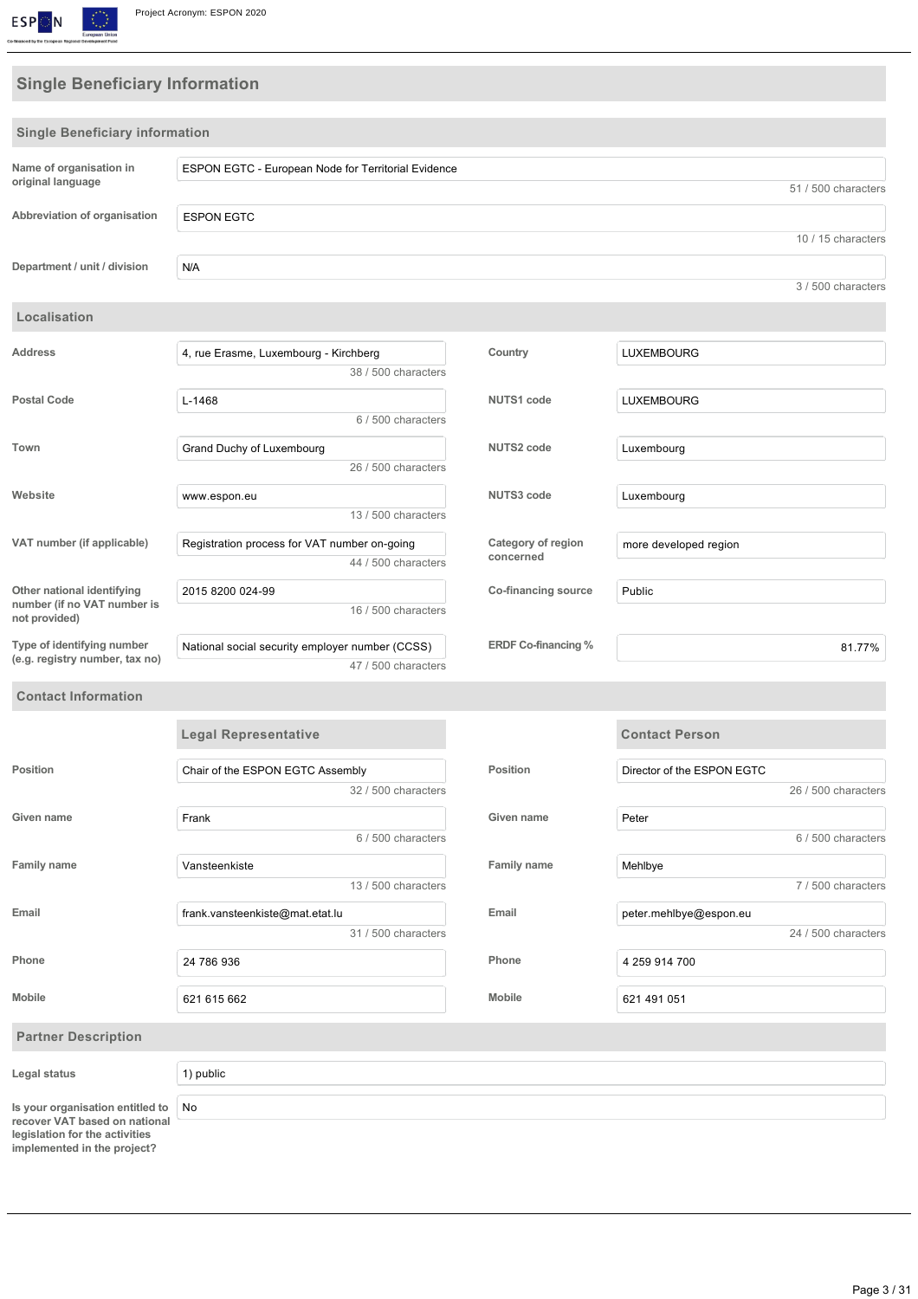

# **Single Beneficiary Information**

| <b>Single Beneficiary information</b>                                                          |                                                                        |                            |                            |
|------------------------------------------------------------------------------------------------|------------------------------------------------------------------------|----------------------------|----------------------------|
| Name of organisation in                                                                        | ESPON EGTC - European Node for Territorial Evidence                    |                            |                            |
| original language                                                                              |                                                                        |                            | 51 / 500 characters        |
| Abbreviation of organisation                                                                   | <b>ESPON EGTC</b>                                                      |                            |                            |
|                                                                                                |                                                                        |                            | 10 / 15 characters         |
| Department / unit / division                                                                   | N/A                                                                    |                            |                            |
|                                                                                                |                                                                        |                            | 3 / 500 characters         |
| Localisation                                                                                   |                                                                        |                            |                            |
| Address                                                                                        | 4, rue Erasme, Luxembourg - Kirchberg                                  | Country                    | <b>LUXEMBOURG</b>          |
|                                                                                                | 38 / 500 characters                                                    |                            |                            |
| <b>Postal Code</b>                                                                             | $L-1468$                                                               | <b>NUTS1 code</b>          | <b>LUXEMBOURG</b>          |
|                                                                                                | 6 / 500 characters                                                     |                            |                            |
| Town                                                                                           | Grand Duchy of Luxembourg                                              | <b>NUTS2 code</b>          | Luxembourg                 |
|                                                                                                | 26 / 500 characters                                                    |                            |                            |
| Website                                                                                        | www.espon.eu                                                           | <b>NUTS3 code</b>          | Luxembourg                 |
|                                                                                                | 13 / 500 characters                                                    |                            |                            |
| VAT number (if applicable)                                                                     | Registration process for VAT number on-going                           | Category of region         | more developed region      |
|                                                                                                | 44 / 500 characters                                                    | concerned                  |                            |
| Other national identifying                                                                     | 2015 8200 024-99                                                       | Co-financing source        | Public                     |
| number (if no VAT number is<br>not provided)                                                   | 16 / 500 characters                                                    |                            |                            |
| Type of identifying number<br>(e.g. registry number, tax no)                                   | National social security employer number (CCSS)<br>47 / 500 characters | <b>ERDF Co-financing %</b> | 81.77%                     |
| <b>Contact Information</b>                                                                     |                                                                        |                            |                            |
|                                                                                                | <b>Legal Representative</b>                                            |                            | <b>Contact Person</b>      |
| Position                                                                                       | Chair of the ESPON EGTC Assembly                                       | <b>Position</b>            | Director of the ESPON EGTC |
|                                                                                                | 32 / 500 characters                                                    |                            | 26 / 500 characters        |
| Given name                                                                                     | Frank                                                                  | Given name                 | Peter                      |
|                                                                                                | 6 / 500 characters                                                     |                            | 6 / 500 characters         |
| <b>Family name</b>                                                                             | Vansteenkiste                                                          | <b>Family name</b>         | Mehlbye                    |
|                                                                                                | 13 / 500 characters                                                    |                            | 7 / 500 characters         |
| Email                                                                                          | frank.vansteenkiste@mat.etat.lu                                        | Email                      | peter.mehlbye@espon.eu     |
|                                                                                                | 31 / 500 characters                                                    |                            | 24 / 500 characters        |
| Phone                                                                                          | 24 786 936                                                             | Phone                      | 4 259 914 700              |
| <b>Mobile</b>                                                                                  | 621 615 662                                                            | Mobile                     | 621 491 051                |
| <b>Partner Description</b>                                                                     |                                                                        |                            |                            |
| Legal status                                                                                   | 1) public                                                              |                            |                            |
| Is your organisation entitled to                                                               | No                                                                     |                            |                            |
| recover VAT based on national<br>legislation for the activities<br>implemented in the project? |                                                                        |                            |                            |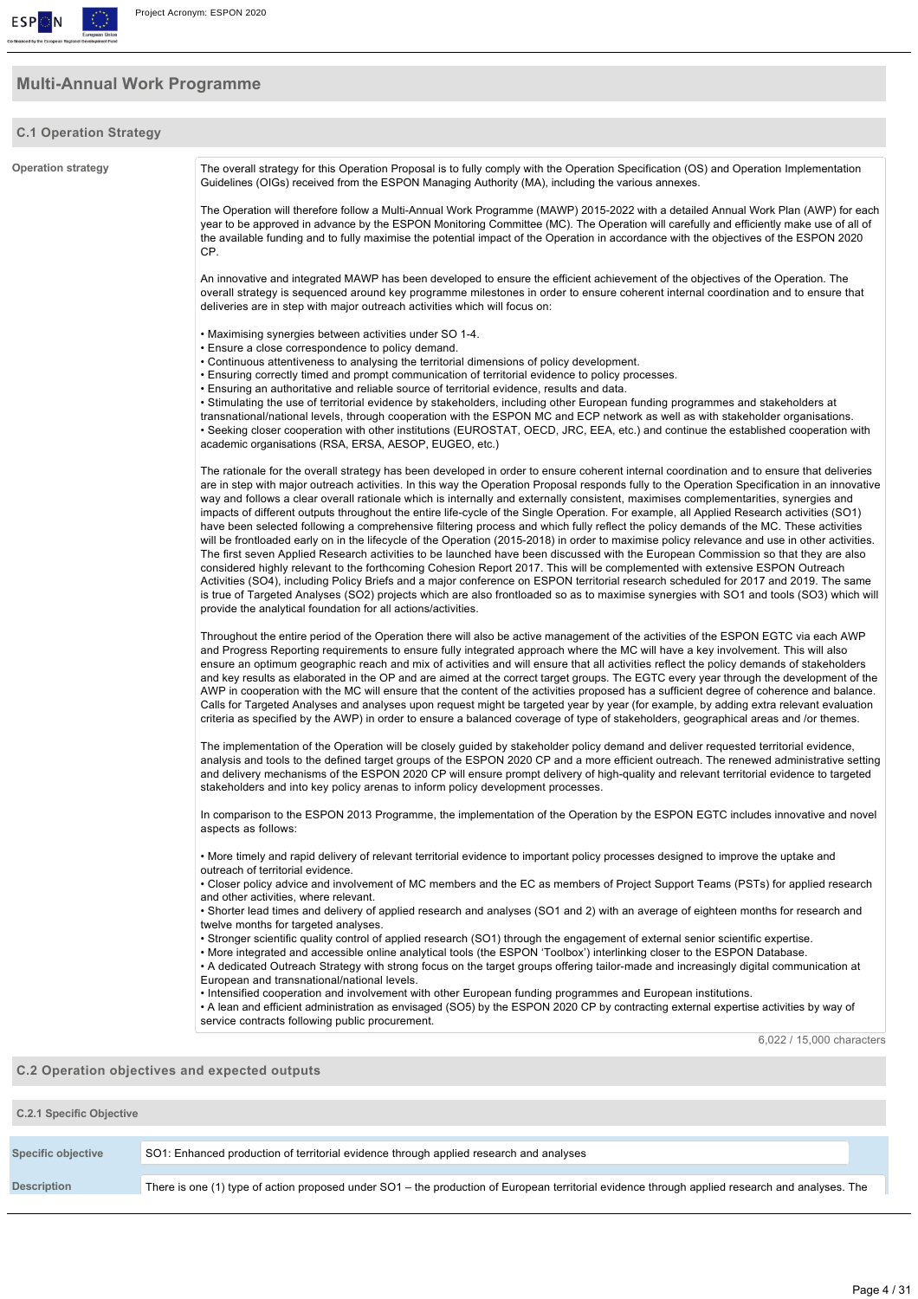

# **Multi-Annual Work Programme**

### **C.1 Operation Strategy Operation strategy** The overall strategy for this Operation Proposal is to fully comply with the Operation Specification (OS) and Operation Implementation Guidelines (OIGs) received from the ESPON Managing Authority (MA), including the various annexes. The Operation will therefore follow a Multi-Annual Work Programme (MAWP) 2015-2022 with a detailed Annual Work Plan (AWP) for each year to be approved in advance by the ESPON Monitoring Committee (MC). The Operation will carefully and efficiently make use of all of the available funding and to fully maximise the potential impact of the Operation in accordance with the objectives of the ESPON 2020 CP. An innovative and integrated MAWP has been developed to ensure the efficient achievement of the objectives of the Operation. The overall strategy is sequenced around key programme milestones in order to ensure coherent internal coordination and to ensure that deliveries are in step with major outreach activities which will focus on: • Maximising synergies between activities under SO 14. • Ensure a close correspondence to policy demand. • Continuous attentiveness to analysing the territorial dimensions of policy development. • Ensuring correctly timed and prompt communication of territorial evidence to policy processes. • Ensuring an authoritative and reliable source of territorial evidence, results and data. • Stimulating the use of territorial evidence by stakeholders, including other European funding programmes and stakeholders at transnational/national levels, through cooperation with the ESPON MC and ECP network as well as with stakeholder organisations. • Seeking closer cooperation with other institutions (EUROSTAT, OECD, JRC, EEA, etc.) and continue the established cooperation with academic organisations (RSA, ERSA, AESOP, EUGEO, etc.) The rationale for the overall strategy has been developed in order to ensure coherent internal coordination and to ensure that deliveries are in step with major outreach activities. In this way the Operation Proposal responds fully to the Operation Specification in an innovative way and follows a clear overall rationale which is internally and externally consistent, maximises complementarities, synergies and impacts of different outputs throughout the entire life-cycle of the Single Operation. For example, all Applied Research activities (SO1) have been selected following a comprehensive filtering process and which fully reflect the policy demands of the MC. These activities will be frontloaded early on in the lifecycle of the Operation (2015-2018) in order to maximise policy relevance and use in other activities. The first seven Applied Research activities to be launched have been discussed with the European Commission so that they are also considered highly relevant to the forthcoming Cohesion Report 2017. This will be complemented with extensive ESPON Outreach Activities (SO4), including Policy Briefs and a major conference on ESPON territorial research scheduled for 2017 and 2019. The same is true of Targeted Analyses (SO2) projects which are also frontloaded so as to maximise synergies with SO1 and tools (SO3) which will provide the analytical foundation for all actions/activities. Throughout the entire period of the Operation there will also be active management of the activities of the ESPON EGTC via each AWP and Progress Reporting requirements to ensure fully integrated approach where the MC will have a key involvement. This will also ensure an optimum geographic reach and mix of activities and will ensure that all activities reflect the policy demands of stakeholders and key results as elaborated in the OP and are aimed at the correct target groups. The EGTC every year through the development of the AWP in cooperation with the MC will ensure that the content of the activities proposed has a sufficient degree of coherence and balance. Calls for Targeted Analyses and analyses upon request might be targeted year by year (for example, by adding extra relevant evaluation criteria as specified by the AWP) in order to ensure a balanced coverage of type of stakeholders, geographical areas and /or themes. The implementation of the Operation will be closely guided by stakeholder policy demand and deliver requested territorial evidence, analysis and tools to the defined target groups of the ESPON 2020 CP and a more efficient outreach. The renewed administrative setting and delivery mechanisms of the ESPON 2020 CP will ensure prompt delivery of high-quality and relevant territorial evidence to targeted stakeholders and into key policy arenas to inform policy development processes. In comparison to the ESPON 2013 Programme, the implementation of the Operation by the ESPON EGTC includes innovative and novel aspects as follows: • More timely and rapid delivery of relevant territorial evidence to important policy processes designed to improve the uptake and outreach of territorial evidence. • Closer policy advice and involvement of MC members and the EC as members of Project Support Teams (PSTs) for applied research and other activities, where relevant • Shorter lead times and delivery of applied research and analyses (SO1 and 2) with an average of eighteen months for research and twelve months for targeted analyses. • Stronger scientific quality control of applied research (SO1) through the engagement of external senior scientific expertise. • More integrated and accessible online analytical tools (the ESPON 'Toolbox') interlinking closer to the ESPON Database. • A dedicated Outreach Strategy with strong focus on the target groups offering tailor-made and increasingly digital communication at European and transnational/national levels. • Intensified cooperation and involvement with other European funding programmes and European institutions. • A lean and efficient administration as envisaged (SO5) by the ESPON 2020 CP by contracting external expertise activities by way of service contracts following public procurement. 6,022 / 15,000 characters **C.2 Operation objectives and expected outputs**

| C.2.1 Specific Objective  |                                                                                                                                                 |
|---------------------------|-------------------------------------------------------------------------------------------------------------------------------------------------|
| <b>Specific objective</b> | SO1: Enhanced production of territorial evidence through applied research and analyses                                                          |
| <b>Description</b>        | There is one (1) type of action proposed under SO1 – the production of European territorial evidence through applied research and analyses. The |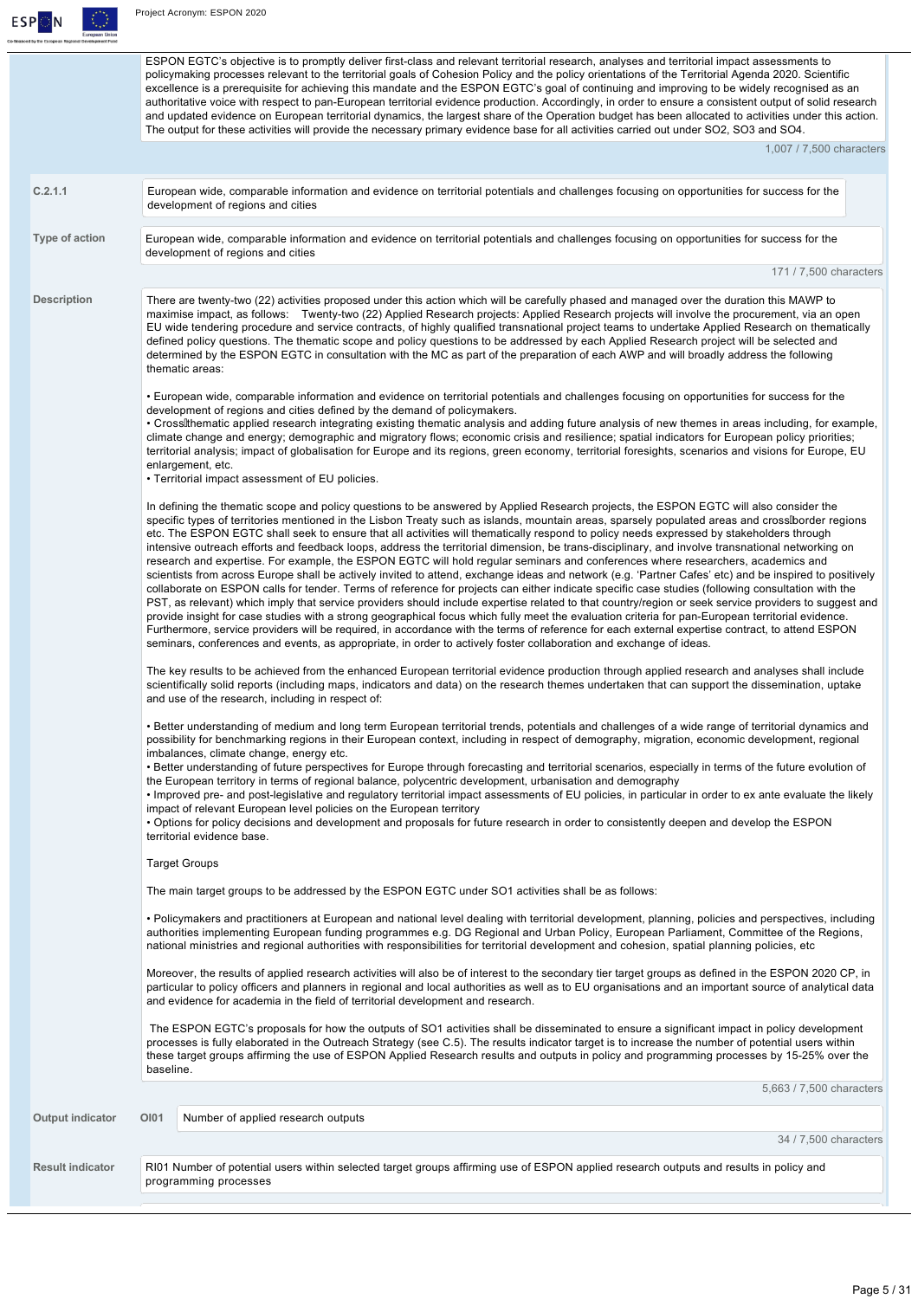

ESPON EGTC's objective is to promptly deliver first-class and relevant territorial research, analyses and territorial impact assessments to policymaking processes relevant to the territorial goals of Cohesion Policy and the policy orientations of the Territorial Agenda 2020. Scientific excellence is a prerequisite for achieving this mandate and the ESPON EGTC's goal of continuing and improving to be widely recognised as an authoritative voice with respect to pan-European territorial evidence production. Accordingly, in order to ensure a consistent output of solid research and updated evidence on European territorial dynamics, the largest share of the Operation budget has been allocated to activities under this action. The output for these activities will provide the necessary primary evidence base for all activities carried out under SO2, SO3 and SO4.

1,007 / 7,500 characters

| C.2.1.1                 | European wide, comparable information and evidence on territorial potentials and challenges focusing on opportunities for success for the<br>development of regions and cities                                                                                                                                                                                                                                                                                                                                                                                                                                                                                                                                                                                                                                                                                                                                                                                                                                                                                                                                                                                                                                                                                                                                                                                                                                                                                                                                                                                                                                                      |
|-------------------------|-------------------------------------------------------------------------------------------------------------------------------------------------------------------------------------------------------------------------------------------------------------------------------------------------------------------------------------------------------------------------------------------------------------------------------------------------------------------------------------------------------------------------------------------------------------------------------------------------------------------------------------------------------------------------------------------------------------------------------------------------------------------------------------------------------------------------------------------------------------------------------------------------------------------------------------------------------------------------------------------------------------------------------------------------------------------------------------------------------------------------------------------------------------------------------------------------------------------------------------------------------------------------------------------------------------------------------------------------------------------------------------------------------------------------------------------------------------------------------------------------------------------------------------------------------------------------------------------------------------------------------------|
| Type of action          | European wide, comparable information and evidence on territorial potentials and challenges focusing on opportunities for success for the<br>development of regions and cities                                                                                                                                                                                                                                                                                                                                                                                                                                                                                                                                                                                                                                                                                                                                                                                                                                                                                                                                                                                                                                                                                                                                                                                                                                                                                                                                                                                                                                                      |
|                         | 171 / 7,500 characters                                                                                                                                                                                                                                                                                                                                                                                                                                                                                                                                                                                                                                                                                                                                                                                                                                                                                                                                                                                                                                                                                                                                                                                                                                                                                                                                                                                                                                                                                                                                                                                                              |
| <b>Description</b>      | There are twenty-two (22) activities proposed under this action which will be carefully phased and managed over the duration this MAWP to<br>maximise impact, as follows: Twenty-two (22) Applied Research projects: Applied Research projects will involve the procurement, via an open<br>EU wide tendering procedure and service contracts, of highly qualified transnational project teams to undertake Applied Research on thematically<br>defined policy questions. The thematic scope and policy questions to be addressed by each Applied Research project will be selected and<br>determined by the ESPON EGTC in consultation with the MC as part of the preparation of each AWP and will broadly address the following<br>thematic areas:                                                                                                                                                                                                                                                                                                                                                                                                                                                                                                                                                                                                                                                                                                                                                                                                                                                                                |
|                         | • European wide, comparable information and evidence on territorial potentials and challenges focusing on opportunities for success for the<br>development of regions and cities defined by the demand of policymakers.<br>• Crosslithematic applied research integrating existing thematic analysis and adding future analysis of new themes in areas including, for example,<br>climate change and energy; demographic and migratory flows; economic crisis and resilience; spatial indicators for European policy priorities;<br>territorial analysis; impact of globalisation for Europe and its regions, green economy, territorial foresights, scenarios and visions for Europe, EU<br>enlargement, etc.<br>• Territorial impact assessment of EU policies.                                                                                                                                                                                                                                                                                                                                                                                                                                                                                                                                                                                                                                                                                                                                                                                                                                                                   |
|                         | In defining the thematic scope and policy questions to be answered by Applied Research projects, the ESPON EGTC will also consider the<br>specific types of territories mentioned in the Lisbon Treaty such as islands, mountain areas, sparsely populated areas and cross border regions<br>etc. The ESPON EGTC shall seek to ensure that all activities will thematically respond to policy needs expressed by stakeholders through<br>intensive outreach efforts and feedback loops, address the territorial dimension, be trans-disciplinary, and involve transnational networking on<br>research and expertise. For example, the ESPON EGTC will hold regular seminars and conferences where researchers, academics and<br>scientists from across Europe shall be actively invited to attend, exchange ideas and network (e.g. 'Partner Cafes' etc) and be inspired to positively<br>collaborate on ESPON calls for tender. Terms of reference for projects can either indicate specific case studies (following consultation with the<br>PST, as relevant) which imply that service providers should include expertise related to that country/region or seek service providers to suggest and<br>provide insight for case studies with a strong geographical focus which fully meet the evaluation criteria for pan-European territorial evidence.<br>Furthermore, service providers will be required, in accordance with the terms of reference for each external expertise contract, to attend ESPON<br>seminars, conferences and events, as appropriate, in order to actively foster collaboration and exchange of ideas. |
|                         | The key results to be achieved from the enhanced European territorial evidence production through applied research and analyses shall include<br>scientifically solid reports (including maps, indicators and data) on the research themes undertaken that can support the dissemination, uptake<br>and use of the research, including in respect of:                                                                                                                                                                                                                                                                                                                                                                                                                                                                                                                                                                                                                                                                                                                                                                                                                                                                                                                                                                                                                                                                                                                                                                                                                                                                               |
|                         | • Better understanding of medium and long term European territorial trends, potentials and challenges of a wide range of territorial dynamics and<br>possibility for benchmarking regions in their European context, including in respect of demography, migration, economic development, regional<br>imbalances, climate change, energy etc.<br>• Better understanding of future perspectives for Europe through forecasting and territorial scenarios, especially in terms of the future evolution of<br>the European territory in terms of regional balance, polycentric development, urbanisation and demography<br>· Improved pre- and post-legislative and regulatory territorial impact assessments of EU policies, in particular in order to ex ante evaluate the likely<br>impact of relevant European level policies on the European territory<br>. Options for policy decisions and development and proposals for future research in order to consistently deepen and develop the ESPON<br>territorial evidence base.                                                                                                                                                                                                                                                                                                                                                                                                                                                                                                                                                                                                    |
|                         | <b>Target Groups</b>                                                                                                                                                                                                                                                                                                                                                                                                                                                                                                                                                                                                                                                                                                                                                                                                                                                                                                                                                                                                                                                                                                                                                                                                                                                                                                                                                                                                                                                                                                                                                                                                                |
|                         | The main target groups to be addressed by the ESPON EGTC under SO1 activities shall be as follows:                                                                                                                                                                                                                                                                                                                                                                                                                                                                                                                                                                                                                                                                                                                                                                                                                                                                                                                                                                                                                                                                                                                                                                                                                                                                                                                                                                                                                                                                                                                                  |
|                         | • Policymakers and practitioners at European and national level dealing with territorial development, planning, policies and perspectives, including<br>authorities implementing European funding programmes e.g. DG Regional and Urban Policy, European Parliament, Committee of the Regions,<br>national ministries and regional authorities with responsibilities for territorial development and cohesion, spatial planning policies, etc                                                                                                                                                                                                                                                                                                                                                                                                                                                                                                                                                                                                                                                                                                                                                                                                                                                                                                                                                                                                                                                                                                                                                                                       |
|                         | Moreover, the results of applied research activities will also be of interest to the secondary tier target groups as defined in the ESPON 2020 CP, in<br>particular to policy officers and planners in regional and local authorities as well as to EU organisations and an important source of analytical data<br>and evidence for academia in the field of territorial development and research.                                                                                                                                                                                                                                                                                                                                                                                                                                                                                                                                                                                                                                                                                                                                                                                                                                                                                                                                                                                                                                                                                                                                                                                                                                  |
|                         | The ESPON EGTC's proposals for how the outputs of SO1 activities shall be disseminated to ensure a significant impact in policy development<br>processes is fully elaborated in the Outreach Strategy (see C.5). The results indicator target is to increase the number of potential users within<br>these target groups affirming the use of ESPON Applied Research results and outputs in policy and programming processes by 15-25% over the<br>baseline.                                                                                                                                                                                                                                                                                                                                                                                                                                                                                                                                                                                                                                                                                                                                                                                                                                                                                                                                                                                                                                                                                                                                                                        |
|                         | 5,663 / 7,500 characters                                                                                                                                                                                                                                                                                                                                                                                                                                                                                                                                                                                                                                                                                                                                                                                                                                                                                                                                                                                                                                                                                                                                                                                                                                                                                                                                                                                                                                                                                                                                                                                                            |
| <b>Output indicator</b> | OI01<br>Number of applied research outputs                                                                                                                                                                                                                                                                                                                                                                                                                                                                                                                                                                                                                                                                                                                                                                                                                                                                                                                                                                                                                                                                                                                                                                                                                                                                                                                                                                                                                                                                                                                                                                                          |
|                         | 34 / 7,500 characters                                                                                                                                                                                                                                                                                                                                                                                                                                                                                                                                                                                                                                                                                                                                                                                                                                                                                                                                                                                                                                                                                                                                                                                                                                                                                                                                                                                                                                                                                                                                                                                                               |
| <b>Result indicator</b> | RI01 Number of potential users within selected target groups affirming use of ESPON applied research outputs and results in policy and<br>programming processes                                                                                                                                                                                                                                                                                                                                                                                                                                                                                                                                                                                                                                                                                                                                                                                                                                                                                                                                                                                                                                                                                                                                                                                                                                                                                                                                                                                                                                                                     |
|                         |                                                                                                                                                                                                                                                                                                                                                                                                                                                                                                                                                                                                                                                                                                                                                                                                                                                                                                                                                                                                                                                                                                                                                                                                                                                                                                                                                                                                                                                                                                                                                                                                                                     |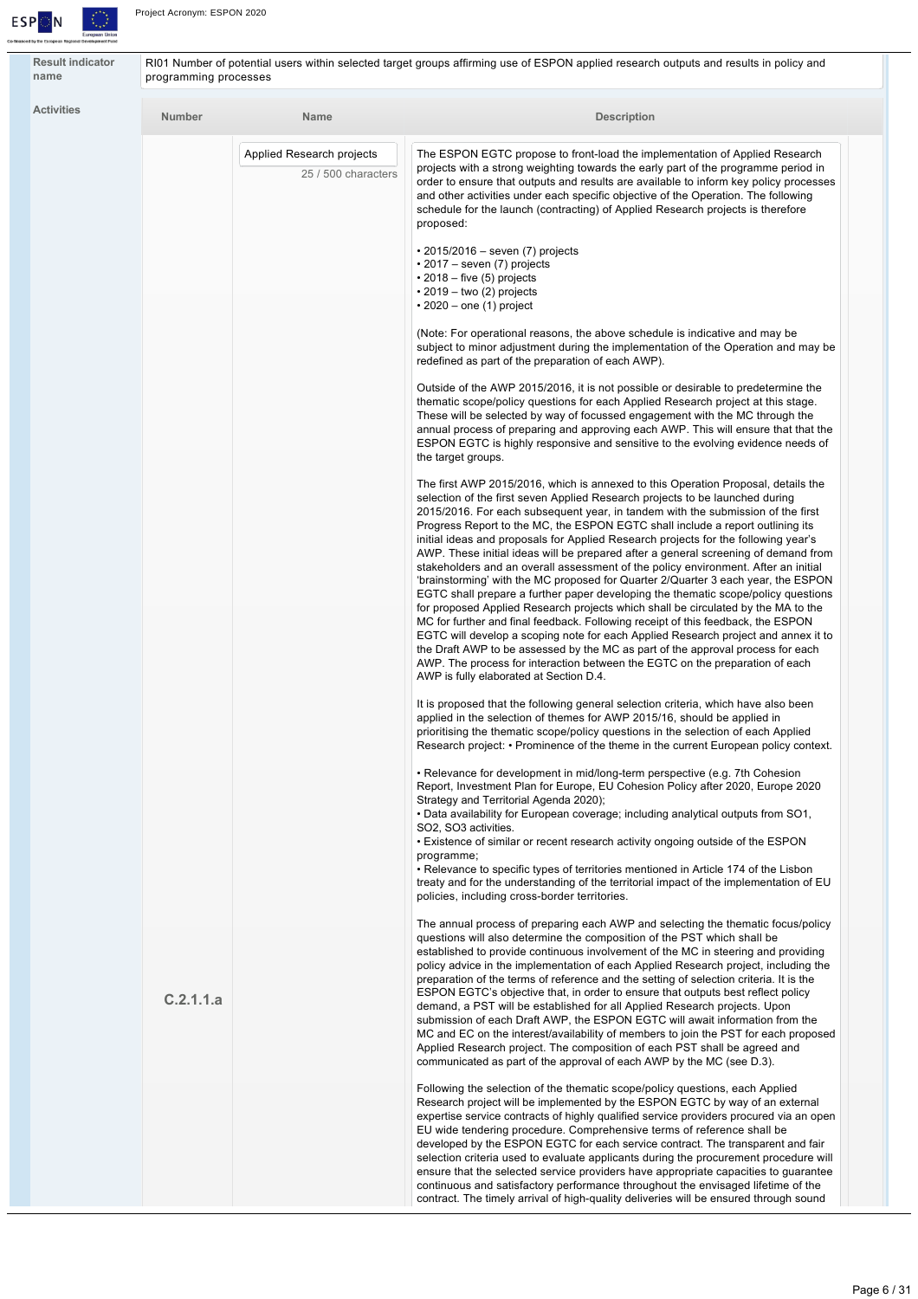

**Result indicator name**

RI01 Number of potential users within selected target groups affirming use of ESPON applied research outputs and results in policy and programming processes

| <b>Number</b> | <b>Name</b>                                      | <b>Description</b>                                                                                                                                                                                                                                                                                                                                                                                                                                                                                                                                                                                                                                                                                                                                                                                                                                                                                                                                                                                                                                                                                                                   |
|---------------|--------------------------------------------------|--------------------------------------------------------------------------------------------------------------------------------------------------------------------------------------------------------------------------------------------------------------------------------------------------------------------------------------------------------------------------------------------------------------------------------------------------------------------------------------------------------------------------------------------------------------------------------------------------------------------------------------------------------------------------------------------------------------------------------------------------------------------------------------------------------------------------------------------------------------------------------------------------------------------------------------------------------------------------------------------------------------------------------------------------------------------------------------------------------------------------------------|
|               | Applied Research projects<br>25 / 500 characters | The ESPON EGTC propose to front-load the implementation of Applied Research<br>projects with a strong weighting towards the early part of the programme period in<br>order to ensure that outputs and results are available to inform key policy processes<br>and other activities under each specific objective of the Operation. The following<br>schedule for the launch (contracting) of Applied Research projects is therefore<br>proposed:                                                                                                                                                                                                                                                                                                                                                                                                                                                                                                                                                                                                                                                                                     |
|               |                                                  | $\cdot$ 2015/2016 – seven (7) projects<br>$\cdot$ 2017 – seven (7) projects<br>$\cdot$ 2018 – five (5) projects<br>$\cdot$ 2019 – two (2) projects<br>$\cdot$ 2020 – one (1) project                                                                                                                                                                                                                                                                                                                                                                                                                                                                                                                                                                                                                                                                                                                                                                                                                                                                                                                                                 |
|               |                                                  | (Note: For operational reasons, the above schedule is indicative and may be<br>subject to minor adjustment during the implementation of the Operation and may be<br>redefined as part of the preparation of each AWP).                                                                                                                                                                                                                                                                                                                                                                                                                                                                                                                                                                                                                                                                                                                                                                                                                                                                                                               |
|               |                                                  | Outside of the AWP 2015/2016, it is not possible or desirable to predetermine the<br>thematic scope/policy questions for each Applied Research project at this stage.<br>These will be selected by way of focussed engagement with the MC through the<br>annual process of preparing and approving each AWP. This will ensure that that the<br>ESPON EGTC is highly responsive and sensitive to the evolving evidence needs of<br>the target groups.                                                                                                                                                                                                                                                                                                                                                                                                                                                                                                                                                                                                                                                                                 |
|               |                                                  | The first AWP 2015/2016, which is annexed to this Operation Proposal, details the<br>selection of the first seven Applied Research projects to be launched during<br>2015/2016. For each subsequent year, in tandem with the submission of the first<br>Progress Report to the MC, the ESPON EGTC shall include a report outlining its<br>initial ideas and proposals for Applied Research projects for the following year's<br>AWP. These initial ideas will be prepared after a general screening of demand from<br>stakeholders and an overall assessment of the policy environment. After an initial<br>'brainstorming' with the MC proposed for Quarter 2/Quarter 3 each year, the ESPON<br>EGTC shall prepare a further paper developing the thematic scope/policy questions<br>for proposed Applied Research projects which shall be circulated by the MA to the<br>MC for further and final feedback. Following receipt of this feedback, the ESPON<br>EGTC will develop a scoping note for each Applied Research project and annex it to<br>the Draft AWP to be assessed by the MC as part of the approval process for each |
|               |                                                  | AWP. The process for interaction between the EGTC on the preparation of each<br>AWP is fully elaborated at Section D.4.<br>It is proposed that the following general selection criteria, which have also been<br>applied in the selection of themes for AWP 2015/16, should be applied in<br>prioritising the thematic scope/policy questions in the selection of each Applied<br>Research project: • Prominence of the theme in the current European policy context.                                                                                                                                                                                                                                                                                                                                                                                                                                                                                                                                                                                                                                                                |
|               |                                                  | • Relevance for development in mid/long-term perspective (e.g. 7th Cohesion<br>Report, Investment Plan for Europe, EU Cohesion Policy after 2020, Europe 2020<br>Strategy and Territorial Agenda 2020);<br>• Data availability for European coverage; including analytical outputs from SO1,<br>SO2, SO3 activities.<br>. Existence of similar or recent research activity ongoing outside of the ESPON<br>programme;<br>• Relevance to specific types of territories mentioned in Article 174 of the Lisbon<br>treaty and for the understanding of the territorial impact of the implementation of EU<br>policies, including cross-border territories.                                                                                                                                                                                                                                                                                                                                                                                                                                                                              |
| C.2.1.1.a     |                                                  | The annual process of preparing each AWP and selecting the thematic focus/policy<br>questions will also determine the composition of the PST which shall be<br>established to provide continuous involvement of the MC in steering and providing<br>policy advice in the implementation of each Applied Research project, including the<br>preparation of the terms of reference and the setting of selection criteria. It is the<br>ESPON EGTC's objective that, in order to ensure that outputs best reflect policy<br>demand, a PST will be established for all Applied Research projects. Upon<br>submission of each Draft AWP, the ESPON EGTC will await information from the<br>MC and EC on the interest/availability of members to join the PST for each proposed<br>Applied Research project. The composition of each PST shall be agreed and<br>communicated as part of the approval of each AWP by the MC (see D.3).                                                                                                                                                                                                      |
|               |                                                  | Following the selection of the thematic scope/policy questions, each Applied<br>Research project will be implemented by the ESPON EGTC by way of an external<br>expertise service contracts of highly qualified service providers procured via an open<br>EU wide tendering procedure. Comprehensive terms of reference shall be<br>developed by the ESPON EGTC for each service contract. The transparent and fair<br>selection criteria used to evaluate applicants during the procurement procedure will<br>ensure that the selected service providers have appropriate capacities to guarantee<br>continuous and satisfactory performance throughout the envisaged lifetime of the                                                                                                                                                                                                                                                                                                                                                                                                                                               |

contract. The timely arrival of high-quality deliveries will be ensured through sound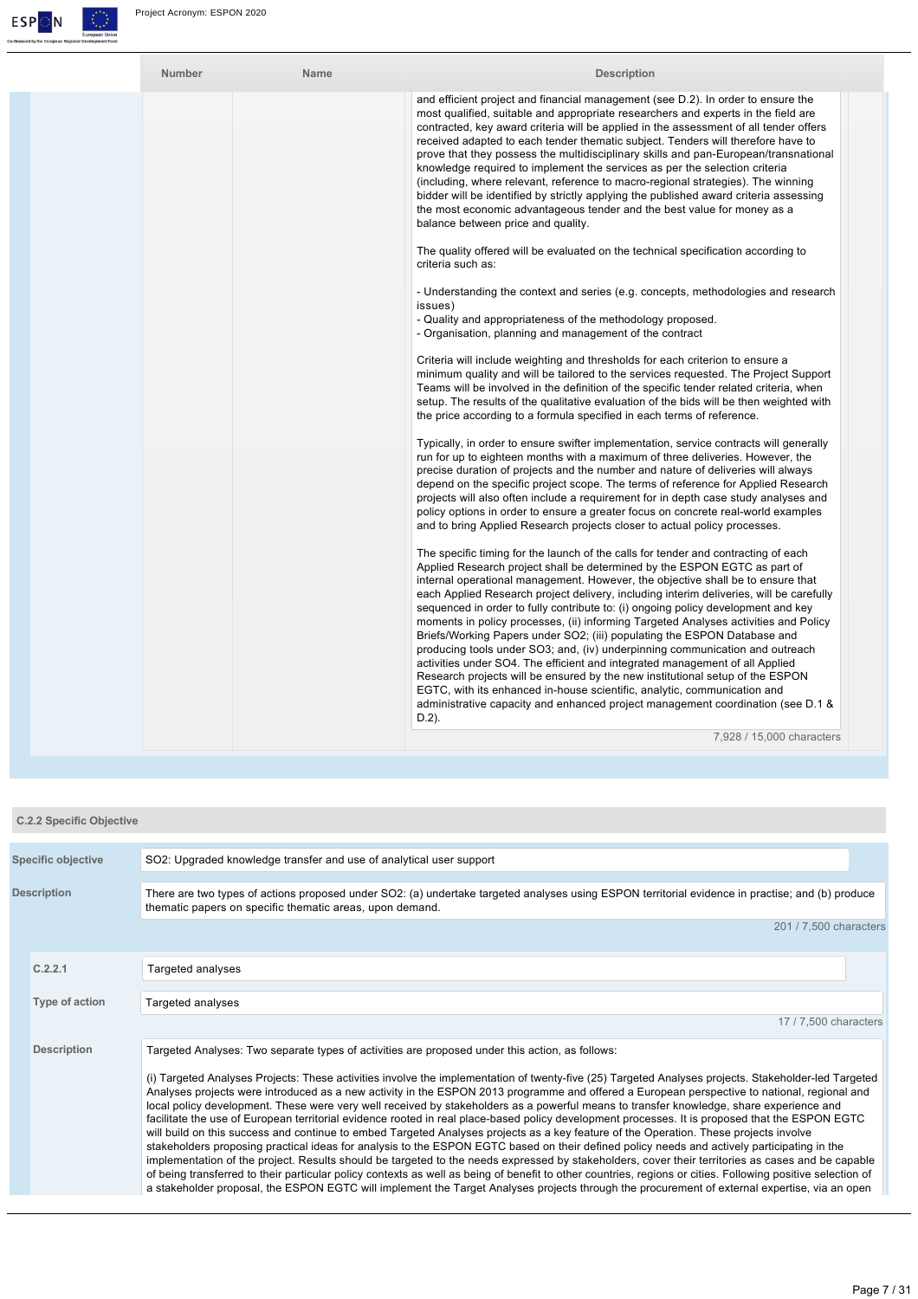

| Number | Name | <b>Description</b>                                                                                                                                                                                                                                                                                                                                                                                                                                                                                                                                                                                                                                                                                                                                                                                                                                                                                                                                                                                                                                                                                                                                                                                                                                                                                                                                                                                                                                                                                                                                                                                                                                                                                                                                                                                                                                                                                                                                                                                                                                                                                                                                                                                                                                                                                                                                                                                                                                                                                                                                                                                                                                                                                                                                                                                                                                                                                                                                                                                                                                                                                                                                                                                                                     |
|--------|------|----------------------------------------------------------------------------------------------------------------------------------------------------------------------------------------------------------------------------------------------------------------------------------------------------------------------------------------------------------------------------------------------------------------------------------------------------------------------------------------------------------------------------------------------------------------------------------------------------------------------------------------------------------------------------------------------------------------------------------------------------------------------------------------------------------------------------------------------------------------------------------------------------------------------------------------------------------------------------------------------------------------------------------------------------------------------------------------------------------------------------------------------------------------------------------------------------------------------------------------------------------------------------------------------------------------------------------------------------------------------------------------------------------------------------------------------------------------------------------------------------------------------------------------------------------------------------------------------------------------------------------------------------------------------------------------------------------------------------------------------------------------------------------------------------------------------------------------------------------------------------------------------------------------------------------------------------------------------------------------------------------------------------------------------------------------------------------------------------------------------------------------------------------------------------------------------------------------------------------------------------------------------------------------------------------------------------------------------------------------------------------------------------------------------------------------------------------------------------------------------------------------------------------------------------------------------------------------------------------------------------------------------------------------------------------------------------------------------------------------------------------------------------------------------------------------------------------------------------------------------------------------------------------------------------------------------------------------------------------------------------------------------------------------------------------------------------------------------------------------------------------------------------------------------------------------------------------------------------------------|
|        |      | and efficient project and financial management (see D.2). In order to ensure the<br>most qualified, suitable and appropriate researchers and experts in the field are<br>contracted, key award criteria will be applied in the assessment of all tender offers<br>received adapted to each tender thematic subject. Tenders will therefore have to<br>prove that they possess the multidisciplinary skills and pan-European/transnational<br>knowledge required to implement the services as per the selection criteria<br>(including, where relevant, reference to macro-regional strategies). The winning<br>bidder will be identified by strictly applying the published award criteria assessing<br>the most economic advantageous tender and the best value for money as a<br>balance between price and quality.<br>The quality offered will be evaluated on the technical specification according to<br>criteria such as:<br>- Understanding the context and series (e.g. concepts, methodologies and research<br>issues)<br>- Quality and appropriateness of the methodology proposed.<br>- Organisation, planning and management of the contract<br>Criteria will include weighting and thresholds for each criterion to ensure a<br>minimum quality and will be tailored to the services requested. The Project Support<br>Teams will be involved in the definition of the specific tender related criteria, when<br>setup. The results of the qualitative evaluation of the bids will be then weighted with<br>the price according to a formula specified in each terms of reference.<br>Typically, in order to ensure swifter implementation, service contracts will generally<br>run for up to eighteen months with a maximum of three deliveries. However, the<br>precise duration of projects and the number and nature of deliveries will always<br>depend on the specific project scope. The terms of reference for Applied Research<br>projects will also often include a requirement for in depth case study analyses and<br>policy options in order to ensure a greater focus on concrete real-world examples<br>and to bring Applied Research projects closer to actual policy processes.<br>The specific timing for the launch of the calls for tender and contracting of each<br>Applied Research project shall be determined by the ESPON EGTC as part of<br>internal operational management. However, the objective shall be to ensure that<br>each Applied Research project delivery, including interim deliveries, will be carefully<br>sequenced in order to fully contribute to: (i) ongoing policy development and key<br>moments in policy processes, (ii) informing Targeted Analyses activities and Policy<br>Briefs/Working Papers under SO2; (iii) populating the ESPON Database and<br>producing tools under SO3; and, (iv) underpinning communication and outreach<br>activities under SO4. The efficient and integrated management of all Applied<br>Research projects will be ensured by the new institutional setup of the ESPON<br>EGTC, with its enhanced in-house scientific, analytic, communication and<br>administrative capacity and enhanced project management coordination (see D.1 & |
|        |      | $D.2$ ).<br>7.928 / 15.000 characters                                                                                                                                                                                                                                                                                                                                                                                                                                                                                                                                                                                                                                                                                                                                                                                                                                                                                                                                                                                                                                                                                                                                                                                                                                                                                                                                                                                                                                                                                                                                                                                                                                                                                                                                                                                                                                                                                                                                                                                                                                                                                                                                                                                                                                                                                                                                                                                                                                                                                                                                                                                                                                                                                                                                                                                                                                                                                                                                                                                                                                                                                                                                                                                                  |
|        |      |                                                                                                                                                                                                                                                                                                                                                                                                                                                                                                                                                                                                                                                                                                                                                                                                                                                                                                                                                                                                                                                                                                                                                                                                                                                                                                                                                                                                                                                                                                                                                                                                                                                                                                                                                                                                                                                                                                                                                                                                                                                                                                                                                                                                                                                                                                                                                                                                                                                                                                                                                                                                                                                                                                                                                                                                                                                                                                                                                                                                                                                                                                                                                                                                                                        |

| <b>C.2.2 Specific Objective</b> |                                                                                                                                                                                                                                                                                                                                                                                                                                                                                                                                                                                                                                                                                                                                                                                                                                                                                                                                                                                                                                                                                                                                                                                                                                                                                                                                                                                                                                                                    |
|---------------------------------|--------------------------------------------------------------------------------------------------------------------------------------------------------------------------------------------------------------------------------------------------------------------------------------------------------------------------------------------------------------------------------------------------------------------------------------------------------------------------------------------------------------------------------------------------------------------------------------------------------------------------------------------------------------------------------------------------------------------------------------------------------------------------------------------------------------------------------------------------------------------------------------------------------------------------------------------------------------------------------------------------------------------------------------------------------------------------------------------------------------------------------------------------------------------------------------------------------------------------------------------------------------------------------------------------------------------------------------------------------------------------------------------------------------------------------------------------------------------|
| <b>Specific objective</b>       | SO2: Upgraded knowledge transfer and use of analytical user support                                                                                                                                                                                                                                                                                                                                                                                                                                                                                                                                                                                                                                                                                                                                                                                                                                                                                                                                                                                                                                                                                                                                                                                                                                                                                                                                                                                                |
| <b>Description</b>              | There are two types of actions proposed under SO2: (a) undertake targeted analyses using ESPON territorial evidence in practise; and (b) produce<br>thematic papers on specific thematic areas, upon demand.                                                                                                                                                                                                                                                                                                                                                                                                                                                                                                                                                                                                                                                                                                                                                                                                                                                                                                                                                                                                                                                                                                                                                                                                                                                       |
|                                 | 201 / 7.500 characters                                                                                                                                                                                                                                                                                                                                                                                                                                                                                                                                                                                                                                                                                                                                                                                                                                                                                                                                                                                                                                                                                                                                                                                                                                                                                                                                                                                                                                             |
| C.2.2.1                         | Targeted analyses                                                                                                                                                                                                                                                                                                                                                                                                                                                                                                                                                                                                                                                                                                                                                                                                                                                                                                                                                                                                                                                                                                                                                                                                                                                                                                                                                                                                                                                  |
| Type of action                  | Targeted analyses                                                                                                                                                                                                                                                                                                                                                                                                                                                                                                                                                                                                                                                                                                                                                                                                                                                                                                                                                                                                                                                                                                                                                                                                                                                                                                                                                                                                                                                  |
|                                 | 17 / 7.500 characters                                                                                                                                                                                                                                                                                                                                                                                                                                                                                                                                                                                                                                                                                                                                                                                                                                                                                                                                                                                                                                                                                                                                                                                                                                                                                                                                                                                                                                              |
| <b>Description</b>              | Targeted Analyses: Two separate types of activities are proposed under this action, as follows:<br>(i) Targeted Analyses Projects: These activities involve the implementation of twenty-five (25) Targeted Analyses projects. Stakeholder-led Targeted<br>Analyses projects were introduced as a new activity in the ESPON 2013 programme and offered a European perspective to national, regional and<br>local policy development. These were very well received by stakeholders as a powerful means to transfer knowledge, share experience and<br>facilitate the use of European territorial evidence rooted in real place-based policy development processes. It is proposed that the ESPON EGTC<br>will build on this success and continue to embed Targeted Analyses projects as a key feature of the Operation. These projects involve<br>stakeholders proposing practical ideas for analysis to the ESPON EGTC based on their defined policy needs and actively participating in the<br>implementation of the project. Results should be targeted to the needs expressed by stakeholders, cover their territories as cases and be capable<br>of being transferred to their particular policy contexts as well as being of benefit to other countries, regions or cities. Following positive selection of<br>a stakeholder proposal, the ESPON EGTC will implement the Target Analyses projects through the procurement of external expertise, via an open |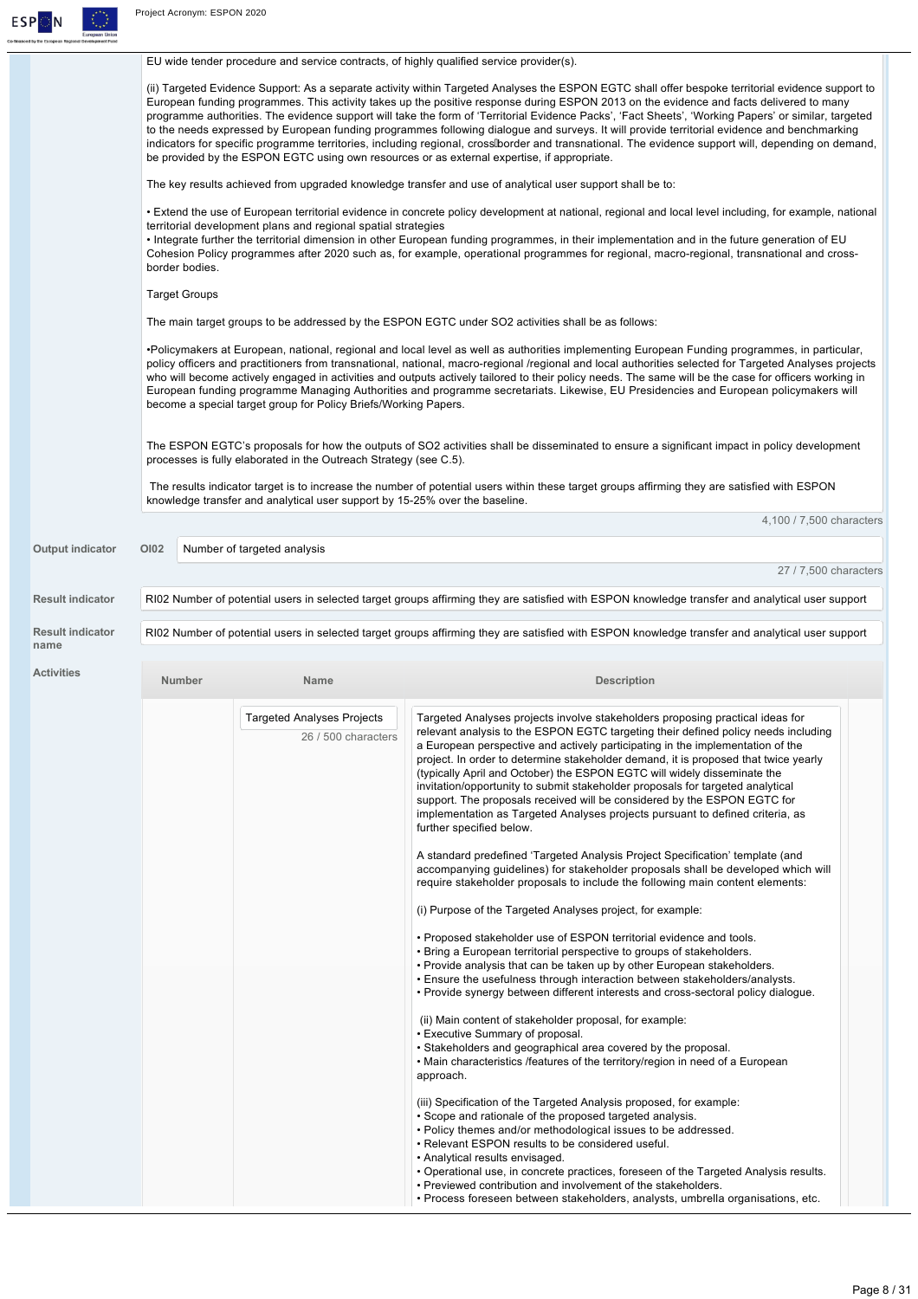

|                                 |                      | EU wide tender procedure and service contracts, of highly qualified service provider(s). |                                                                                                                                                                                                                                                                                                                                                                                                                                                                                                                                                                                                                                                                                                                                                                                                                                                                                                                                                                                                                                                                                                                                                                                                                                                                                                                                                                                                                                                                                                                                                                                                                                                                                                                                                                                                                                                                                          |
|---------------------------------|----------------------|------------------------------------------------------------------------------------------|------------------------------------------------------------------------------------------------------------------------------------------------------------------------------------------------------------------------------------------------------------------------------------------------------------------------------------------------------------------------------------------------------------------------------------------------------------------------------------------------------------------------------------------------------------------------------------------------------------------------------------------------------------------------------------------------------------------------------------------------------------------------------------------------------------------------------------------------------------------------------------------------------------------------------------------------------------------------------------------------------------------------------------------------------------------------------------------------------------------------------------------------------------------------------------------------------------------------------------------------------------------------------------------------------------------------------------------------------------------------------------------------------------------------------------------------------------------------------------------------------------------------------------------------------------------------------------------------------------------------------------------------------------------------------------------------------------------------------------------------------------------------------------------------------------------------------------------------------------------------------------------|
|                                 |                      |                                                                                          | (ii) Targeted Evidence Support: As a separate activity within Targeted Analyses the ESPON EGTC shall offer bespoke territorial evidence support to<br>European funding programmes. This activity takes up the positive response during ESPON 2013 on the evidence and facts delivered to many<br>programme authorities. The evidence support will take the form of 'Territorial Evidence Packs', 'Fact Sheets', 'Working Papers' or similar, targeted<br>to the needs expressed by European funding programmes following dialogue and surveys. It will provide territorial evidence and benchmarking<br>indicators for specific programme territories, including regional, cross border and transnational. The evidence support will, depending on demand,<br>be provided by the ESPON EGTC using own resources or as external expertise, if appropriate.                                                                                                                                                                                                                                                                                                                                                                                                                                                                                                                                                                                                                                                                                                                                                                                                                                                                                                                                                                                                                                |
|                                 |                      |                                                                                          | The key results achieved from upgraded knowledge transfer and use of analytical user support shall be to:                                                                                                                                                                                                                                                                                                                                                                                                                                                                                                                                                                                                                                                                                                                                                                                                                                                                                                                                                                                                                                                                                                                                                                                                                                                                                                                                                                                                                                                                                                                                                                                                                                                                                                                                                                                |
|                                 | border bodies.       | territorial development plans and regional spatial strategies                            | • Extend the use of European territorial evidence in concrete policy development at national, regional and local level including, for example, national<br>• Integrate further the territorial dimension in other European funding programmes, in their implementation and in the future generation of EU<br>Cohesion Policy programmes after 2020 such as, for example, operational programmes for regional, macro-regional, transnational and cross-                                                                                                                                                                                                                                                                                                                                                                                                                                                                                                                                                                                                                                                                                                                                                                                                                                                                                                                                                                                                                                                                                                                                                                                                                                                                                                                                                                                                                                   |
|                                 | <b>Target Groups</b> |                                                                                          |                                                                                                                                                                                                                                                                                                                                                                                                                                                                                                                                                                                                                                                                                                                                                                                                                                                                                                                                                                                                                                                                                                                                                                                                                                                                                                                                                                                                                                                                                                                                                                                                                                                                                                                                                                                                                                                                                          |
|                                 |                      |                                                                                          | The main target groups to be addressed by the ESPON EGTC under SO2 activities shall be as follows:                                                                                                                                                                                                                                                                                                                                                                                                                                                                                                                                                                                                                                                                                                                                                                                                                                                                                                                                                                                                                                                                                                                                                                                                                                                                                                                                                                                                                                                                                                                                                                                                                                                                                                                                                                                       |
|                                 |                      | become a special target group for Policy Briefs/Working Papers.                          | •Policymakers at European, national, regional and local level as well as authorities implementing European Funding programmes, in particular,<br>policy officers and practitioners from transnational, national, macro-regional /regional and local authorities selected for Targeted Analyses projects<br>who will become actively engaged in activities and outputs actively tailored to their policy needs. The same will be the case for officers working in<br>European funding programme Managing Authorities and programme secretariats. Likewise, EU Presidencies and European policymakers will                                                                                                                                                                                                                                                                                                                                                                                                                                                                                                                                                                                                                                                                                                                                                                                                                                                                                                                                                                                                                                                                                                                                                                                                                                                                                 |
|                                 |                      | processes is fully elaborated in the Outreach Strategy (see C.5).                        | The ESPON EGTC's proposals for how the outputs of SO2 activities shall be disseminated to ensure a significant impact in policy development                                                                                                                                                                                                                                                                                                                                                                                                                                                                                                                                                                                                                                                                                                                                                                                                                                                                                                                                                                                                                                                                                                                                                                                                                                                                                                                                                                                                                                                                                                                                                                                                                                                                                                                                              |
|                                 |                      | knowledge transfer and analytical user support by 15-25% over the baseline.              | The results indicator target is to increase the number of potential users within these target groups affirming they are satisfied with ESPON                                                                                                                                                                                                                                                                                                                                                                                                                                                                                                                                                                                                                                                                                                                                                                                                                                                                                                                                                                                                                                                                                                                                                                                                                                                                                                                                                                                                                                                                                                                                                                                                                                                                                                                                             |
|                                 |                      |                                                                                          | 4,100 / 7,500 characters                                                                                                                                                                                                                                                                                                                                                                                                                                                                                                                                                                                                                                                                                                                                                                                                                                                                                                                                                                                                                                                                                                                                                                                                                                                                                                                                                                                                                                                                                                                                                                                                                                                                                                                                                                                                                                                                 |
| <b>Output indicator</b>         | <b>OI02</b>          | Number of targeted analysis                                                              |                                                                                                                                                                                                                                                                                                                                                                                                                                                                                                                                                                                                                                                                                                                                                                                                                                                                                                                                                                                                                                                                                                                                                                                                                                                                                                                                                                                                                                                                                                                                                                                                                                                                                                                                                                                                                                                                                          |
|                                 |                      |                                                                                          | 27 / 7,500 characters                                                                                                                                                                                                                                                                                                                                                                                                                                                                                                                                                                                                                                                                                                                                                                                                                                                                                                                                                                                                                                                                                                                                                                                                                                                                                                                                                                                                                                                                                                                                                                                                                                                                                                                                                                                                                                                                    |
| <b>Result indicator</b>         |                      |                                                                                          | RI02 Number of potential users in selected target groups affirming they are satisfied with ESPON knowledge transfer and analytical user support                                                                                                                                                                                                                                                                                                                                                                                                                                                                                                                                                                                                                                                                                                                                                                                                                                                                                                                                                                                                                                                                                                                                                                                                                                                                                                                                                                                                                                                                                                                                                                                                                                                                                                                                          |
| <b>Result indicator</b><br>name |                      |                                                                                          | RI02 Number of potential users in selected target groups affirming they are satisfied with ESPON knowledge transfer and analytical user support                                                                                                                                                                                                                                                                                                                                                                                                                                                                                                                                                                                                                                                                                                                                                                                                                                                                                                                                                                                                                                                                                                                                                                                                                                                                                                                                                                                                                                                                                                                                                                                                                                                                                                                                          |
| <b>Activities</b>               | Number               | Name                                                                                     | <b>Description</b>                                                                                                                                                                                                                                                                                                                                                                                                                                                                                                                                                                                                                                                                                                                                                                                                                                                                                                                                                                                                                                                                                                                                                                                                                                                                                                                                                                                                                                                                                                                                                                                                                                                                                                                                                                                                                                                                       |
|                                 |                      | <b>Targeted Analyses Projects</b><br>26 / 500 characters                                 | Targeted Analyses projects involve stakeholders proposing practical ideas for<br>relevant analysis to the ESPON EGTC targeting their defined policy needs including<br>a European perspective and actively participating in the implementation of the<br>project. In order to determine stakeholder demand, it is proposed that twice yearly<br>(typically April and October) the ESPON EGTC will widely disseminate the<br>invitation/opportunity to submit stakeholder proposals for targeted analytical<br>support. The proposals received will be considered by the ESPON EGTC for<br>implementation as Targeted Analyses projects pursuant to defined criteria, as<br>further specified below.<br>A standard predefined 'Targeted Analysis Project Specification' template (and<br>accompanying guidelines) for stakeholder proposals shall be developed which will<br>require stakeholder proposals to include the following main content elements:<br>(i) Purpose of the Targeted Analyses project, for example:<br>• Proposed stakeholder use of ESPON territorial evidence and tools.<br>. Bring a European territorial perspective to groups of stakeholders.<br>. Provide analysis that can be taken up by other European stakeholders.<br>. Ensure the usefulness through interaction between stakeholders/analysts.<br>. Provide synergy between different interests and cross-sectoral policy dialogue.<br>(ii) Main content of stakeholder proposal, for example:<br>• Executive Summary of proposal.<br>• Stakeholders and geographical area covered by the proposal.<br>• Main characteristics /features of the territory/region in need of a European<br>approach.<br>(iii) Specification of the Targeted Analysis proposed, for example:<br>• Scope and rationale of the proposed targeted analysis.<br>. Policy themes and/or methodological issues to be addressed. |
|                                 |                      |                                                                                          | • Relevant ESPON results to be considered useful.<br>• Analytical results envisaged.<br>. Operational use, in concrete practices, foreseen of the Targeted Analysis results.<br>. Previewed contribution and involvement of the stakeholders.<br>• Process foreseen between stakeholders, analysts, umbrella organisations, etc.                                                                                                                                                                                                                                                                                                                                                                                                                                                                                                                                                                                                                                                                                                                                                                                                                                                                                                                                                                                                                                                                                                                                                                                                                                                                                                                                                                                                                                                                                                                                                         |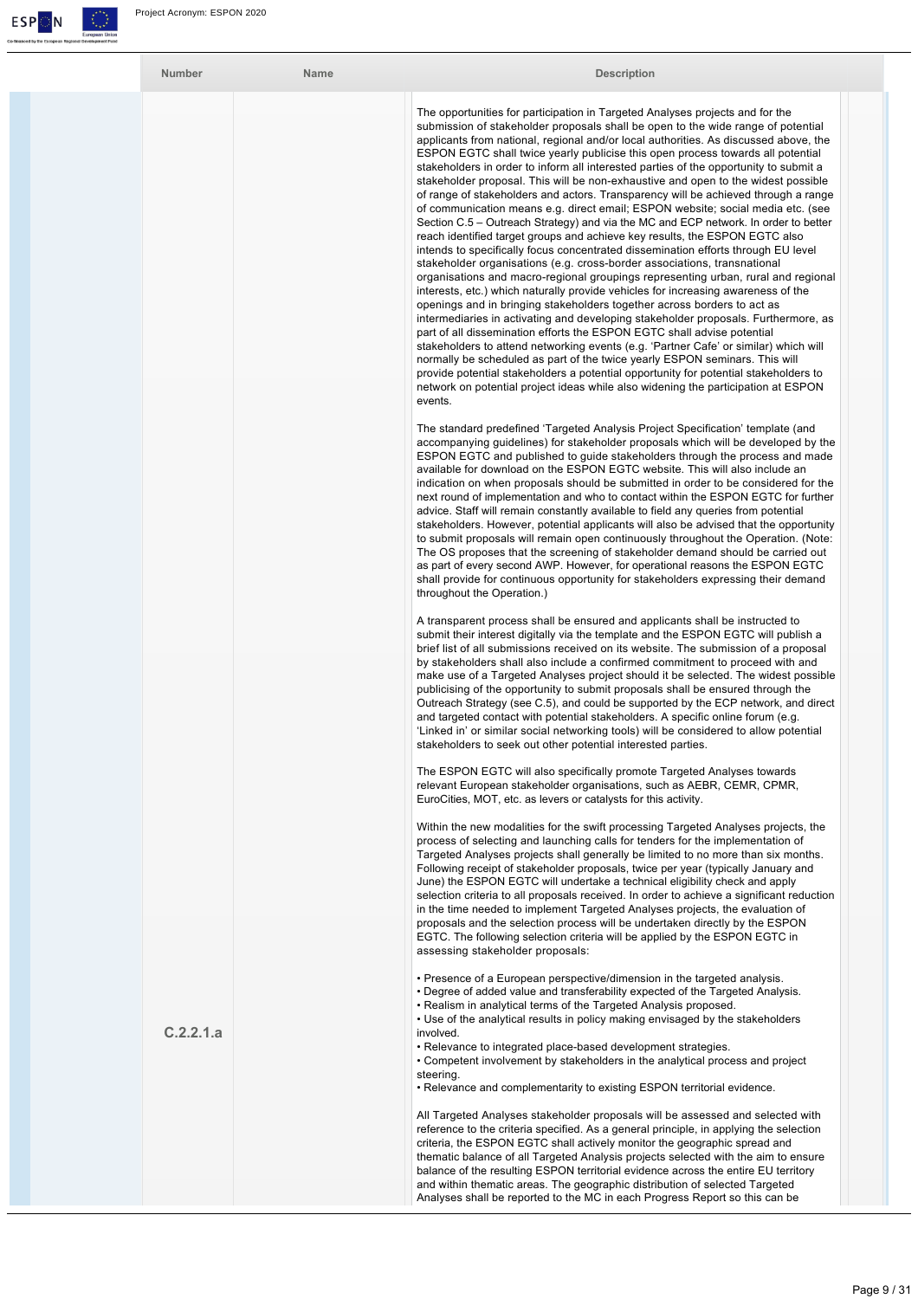

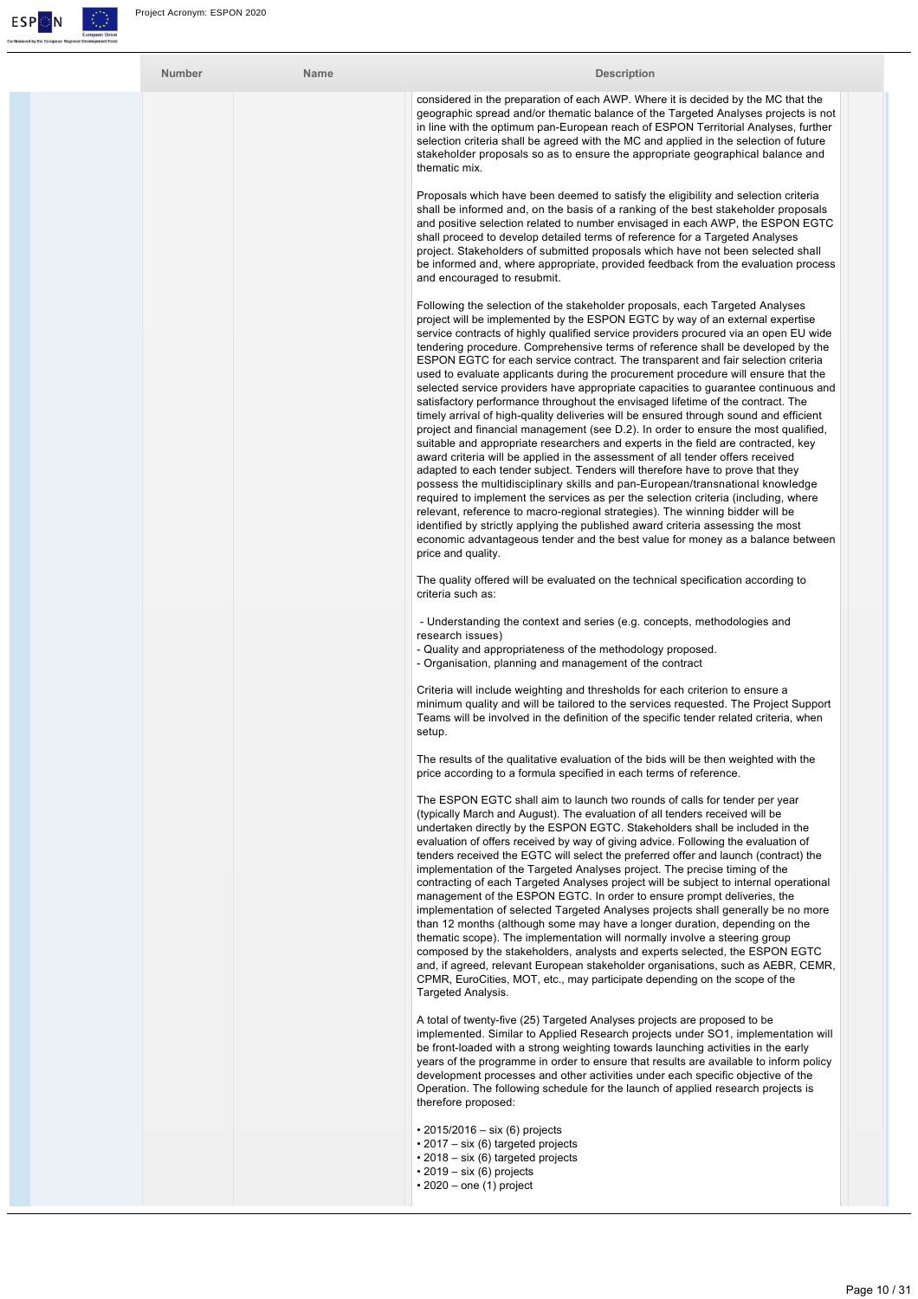

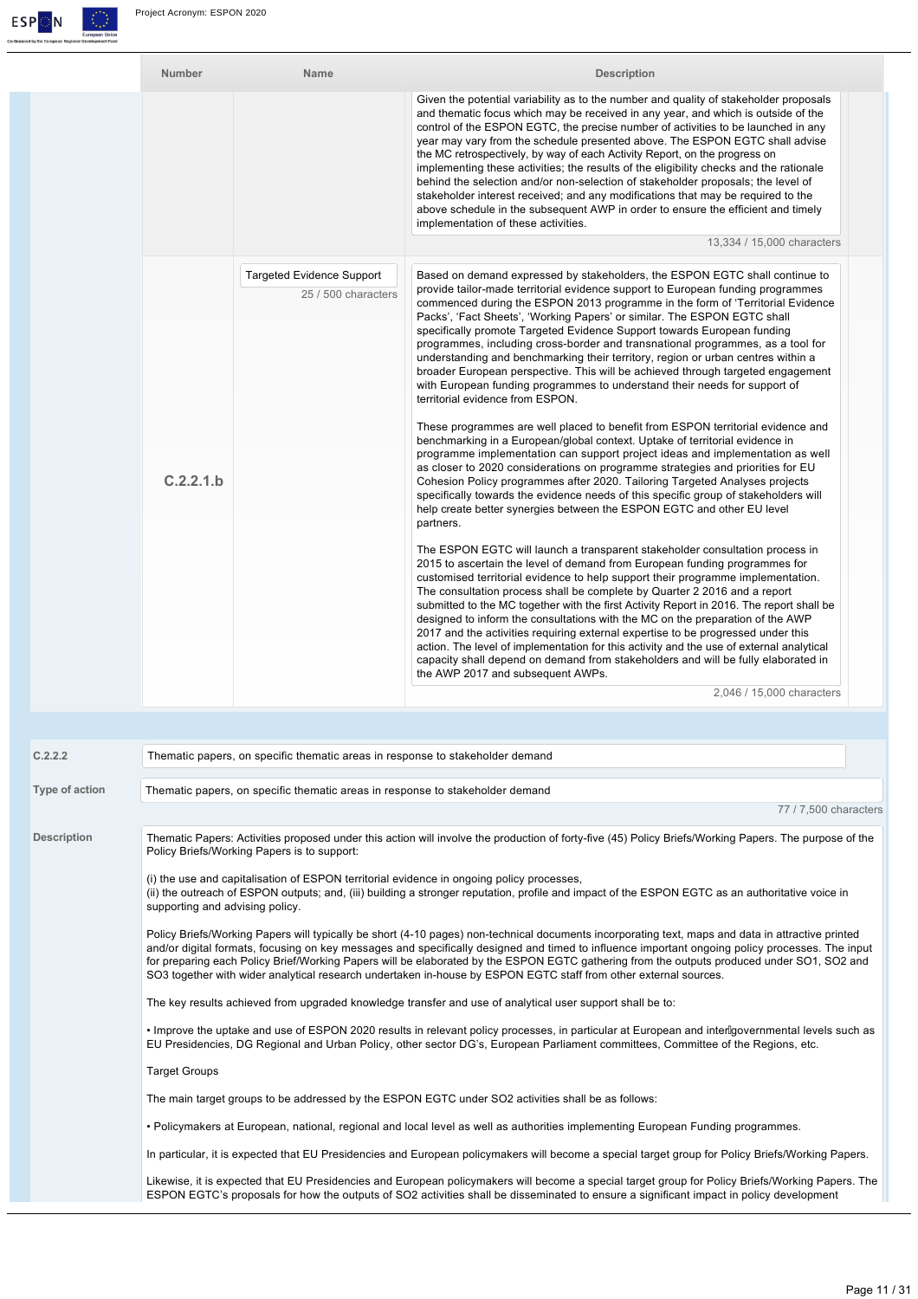

| <b>Number</b> | <b>Name</b>                                             | <b>Description</b>                                                                                                                                                                                                                                                                                                                                                                                                                                                                                                                                                                                                                                                                                                                                                                                                                                                                                                                                                                                                                                                                                                                                                                                                                                                                                                                                                                                                                                                                                                                                                                                                                                                                                                                                                                                                                                                                                                                                                                                                                                                                                                                                                                                         |
|---------------|---------------------------------------------------------|------------------------------------------------------------------------------------------------------------------------------------------------------------------------------------------------------------------------------------------------------------------------------------------------------------------------------------------------------------------------------------------------------------------------------------------------------------------------------------------------------------------------------------------------------------------------------------------------------------------------------------------------------------------------------------------------------------------------------------------------------------------------------------------------------------------------------------------------------------------------------------------------------------------------------------------------------------------------------------------------------------------------------------------------------------------------------------------------------------------------------------------------------------------------------------------------------------------------------------------------------------------------------------------------------------------------------------------------------------------------------------------------------------------------------------------------------------------------------------------------------------------------------------------------------------------------------------------------------------------------------------------------------------------------------------------------------------------------------------------------------------------------------------------------------------------------------------------------------------------------------------------------------------------------------------------------------------------------------------------------------------------------------------------------------------------------------------------------------------------------------------------------------------------------------------------------------------|
|               |                                                         | Given the potential variability as to the number and quality of stakeholder proposals<br>and thematic focus which may be received in any year, and which is outside of the<br>control of the ESPON EGTC, the precise number of activities to be launched in any<br>year may vary from the schedule presented above. The ESPON EGTC shall advise<br>the MC retrospectively, by way of each Activity Report, on the progress on<br>implementing these activities; the results of the eligibility checks and the rationale<br>behind the selection and/or non-selection of stakeholder proposals; the level of<br>stakeholder interest received; and any modifications that may be required to the<br>above schedule in the subsequent AWP in order to ensure the efficient and timely<br>implementation of these activities.                                                                                                                                                                                                                                                                                                                                                                                                                                                                                                                                                                                                                                                                                                                                                                                                                                                                                                                                                                                                                                                                                                                                                                                                                                                                                                                                                                                 |
|               |                                                         | 13,334 / 15,000 characters                                                                                                                                                                                                                                                                                                                                                                                                                                                                                                                                                                                                                                                                                                                                                                                                                                                                                                                                                                                                                                                                                                                                                                                                                                                                                                                                                                                                                                                                                                                                                                                                                                                                                                                                                                                                                                                                                                                                                                                                                                                                                                                                                                                 |
| C.2.2.1.b     | <b>Targeted Evidence Support</b><br>25 / 500 characters | Based on demand expressed by stakeholders, the ESPON EGTC shall continue to<br>provide tailor-made territorial evidence support to European funding programmes<br>commenced during the ESPON 2013 programme in the form of 'Territorial Evidence<br>Packs', 'Fact Sheets', 'Working Papers' or similar. The ESPON EGTC shall<br>specifically promote Targeted Evidence Support towards European funding<br>programmes, including cross-border and transnational programmes, as a tool for<br>understanding and benchmarking their territory, region or urban centres within a<br>broader European perspective. This will be achieved through targeted engagement<br>with European funding programmes to understand their needs for support of<br>territorial evidence from ESPON.<br>These programmes are well placed to benefit from ESPON territorial evidence and<br>benchmarking in a European/global context. Uptake of territorial evidence in<br>programme implementation can support project ideas and implementation as well<br>as closer to 2020 considerations on programme strategies and priorities for EU<br>Cohesion Policy programmes after 2020. Tailoring Targeted Analyses projects<br>specifically towards the evidence needs of this specific group of stakeholders will<br>help create better synergies between the ESPON EGTC and other EU level<br>partners.<br>The ESPON EGTC will launch a transparent stakeholder consultation process in<br>2015 to ascertain the level of demand from European funding programmes for<br>customised territorial evidence to help support their programme implementation.<br>The consultation process shall be complete by Quarter 2 2016 and a report<br>submitted to the MC together with the first Activity Report in 2016. The report shall be<br>designed to inform the consultations with the MC on the preparation of the AWP<br>2017 and the activities requiring external expertise to be progressed under this<br>action. The level of implementation for this activity and the use of external analytical<br>capacity shall depend on demand from stakeholders and will be fully elaborated in<br>the AWP 2017 and subsequent AWPs. |
|               |                                                         | 2,046 / 15,000 characters                                                                                                                                                                                                                                                                                                                                                                                                                                                                                                                                                                                                                                                                                                                                                                                                                                                                                                                                                                                                                                                                                                                                                                                                                                                                                                                                                                                                                                                                                                                                                                                                                                                                                                                                                                                                                                                                                                                                                                                                                                                                                                                                                                                  |

| C.2.2.2            | Thematic papers, on specific thematic areas in response to stakeholder demand                                                                                                                                                                                                                                                                                                                                                                                                                                                                                          |
|--------------------|------------------------------------------------------------------------------------------------------------------------------------------------------------------------------------------------------------------------------------------------------------------------------------------------------------------------------------------------------------------------------------------------------------------------------------------------------------------------------------------------------------------------------------------------------------------------|
| Type of action     | Thematic papers, on specific thematic areas in response to stakeholder demand                                                                                                                                                                                                                                                                                                                                                                                                                                                                                          |
|                    | 77 / 7,500 characters                                                                                                                                                                                                                                                                                                                                                                                                                                                                                                                                                  |
| <b>Description</b> | Thematic Papers: Activities proposed under this action will involve the production of forty-five (45) Policy Briefs/Working Papers. The purpose of the<br>Policy Briefs/Working Papers is to support:                                                                                                                                                                                                                                                                                                                                                                  |
|                    | (i) the use and capitalisation of ESPON territorial evidence in ongoing policy processes,<br>(ii) the outreach of ESPON outputs; and, (iii) building a stronger reputation, profile and impact of the ESPON EGTC as an authoritative voice in<br>supporting and advising policy.                                                                                                                                                                                                                                                                                       |
|                    | Policy Briefs/Working Papers will typically be short (4-10 pages) non-technical documents incorporating text, maps and data in attractive printed<br>and/or digital formats, focusing on key messages and specifically designed and timed to influence important ongoing policy processes. The input<br>for preparing each Policy Brief/Working Papers will be elaborated by the ESPON EGTC gathering from the outputs produced under SO1, SO2 and<br>SO3 together with wider analytical research undertaken in-house by ESPON EGTC staff from other external sources. |
|                    | The key results achieved from upgraded knowledge transfer and use of analytical user support shall be to:                                                                                                                                                                                                                                                                                                                                                                                                                                                              |
|                    | • Improve the uptake and use of ESPON 2020 results in relevant policy processes, in particular at European and interlgovernmental levels such as<br>EU Presidencies, DG Regional and Urban Policy, other sector DG's, European Parliament committees, Committee of the Regions, etc.                                                                                                                                                                                                                                                                                   |
|                    | <b>Target Groups</b>                                                                                                                                                                                                                                                                                                                                                                                                                                                                                                                                                   |
|                    | The main target groups to be addressed by the ESPON EGTC under SO2 activities shall be as follows:                                                                                                                                                                                                                                                                                                                                                                                                                                                                     |
|                    | . Policymakers at European, national, regional and local level as well as authorities implementing European Funding programmes.                                                                                                                                                                                                                                                                                                                                                                                                                                        |
|                    | In particular, it is expected that EU Presidencies and European policymakers will become a special target group for Policy Briefs/Working Papers.                                                                                                                                                                                                                                                                                                                                                                                                                      |
|                    | Likewise, it is expected that EU Presidencies and European policymakers will become a special target group for Policy Briefs/Working Papers. The<br>ESPON EGTC's proposals for how the outputs of SO2 activities shall be disseminated to ensure a significant impact in policy development                                                                                                                                                                                                                                                                            |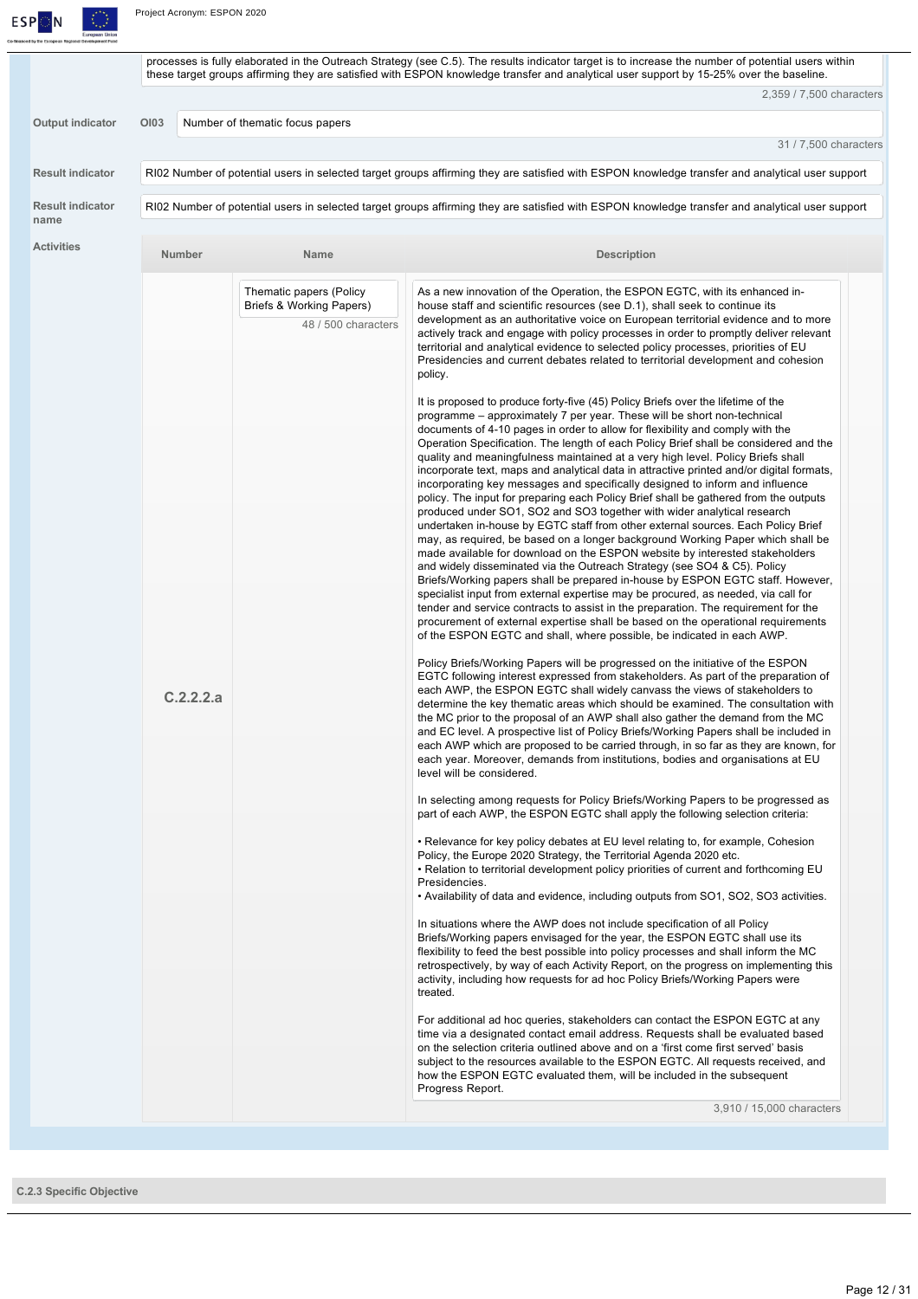

Project Acronym: ESPON 2020

|                         |                  |                                                 | processes is fully elaborated in the Outreach Strategy (see C.5). The results indicator target is to increase the number of potential users within<br>these target groups affirming they are satisfied with ESPON knowledge transfer and analytical user support by 15-25% over the baseline.                                                                                                                                                                                                                                                                                                                                                                                                                                                                                                                                                                                                                                                                                                                                                                                                                                                                                                                                                                                             |
|-------------------------|------------------|-------------------------------------------------|-------------------------------------------------------------------------------------------------------------------------------------------------------------------------------------------------------------------------------------------------------------------------------------------------------------------------------------------------------------------------------------------------------------------------------------------------------------------------------------------------------------------------------------------------------------------------------------------------------------------------------------------------------------------------------------------------------------------------------------------------------------------------------------------------------------------------------------------------------------------------------------------------------------------------------------------------------------------------------------------------------------------------------------------------------------------------------------------------------------------------------------------------------------------------------------------------------------------------------------------------------------------------------------------|
|                         |                  |                                                 | 2,359 / 7,500 characters                                                                                                                                                                                                                                                                                                                                                                                                                                                                                                                                                                                                                                                                                                                                                                                                                                                                                                                                                                                                                                                                                                                                                                                                                                                                  |
| Output indicator        | O <sub>103</sub> | Number of thematic focus papers                 |                                                                                                                                                                                                                                                                                                                                                                                                                                                                                                                                                                                                                                                                                                                                                                                                                                                                                                                                                                                                                                                                                                                                                                                                                                                                                           |
|                         |                  |                                                 | 31 / 7,500 characters                                                                                                                                                                                                                                                                                                                                                                                                                                                                                                                                                                                                                                                                                                                                                                                                                                                                                                                                                                                                                                                                                                                                                                                                                                                                     |
| <b>Result indicator</b> |                  |                                                 | RI02 Number of potential users in selected target groups affirming they are satisfied with ESPON knowledge transfer and analytical user support                                                                                                                                                                                                                                                                                                                                                                                                                                                                                                                                                                                                                                                                                                                                                                                                                                                                                                                                                                                                                                                                                                                                           |
| <b>Result indicator</b> |                  |                                                 | RI02 Number of potential users in selected target groups affirming they are satisfied with ESPON knowledge transfer and analytical user support                                                                                                                                                                                                                                                                                                                                                                                                                                                                                                                                                                                                                                                                                                                                                                                                                                                                                                                                                                                                                                                                                                                                           |
|                         | <b>Number</b>    | <b>Name</b>                                     | <b>Description</b>                                                                                                                                                                                                                                                                                                                                                                                                                                                                                                                                                                                                                                                                                                                                                                                                                                                                                                                                                                                                                                                                                                                                                                                                                                                                        |
|                         |                  | Thematic papers (Policy                         | As a new innovation of the Operation, the ESPON EGTC, with its enhanced in-                                                                                                                                                                                                                                                                                                                                                                                                                                                                                                                                                                                                                                                                                                                                                                                                                                                                                                                                                                                                                                                                                                                                                                                                               |
|                         |                  | Briefs & Working Papers)<br>48 / 500 characters | house staff and scientific resources (see D.1), shall seek to continue its<br>development as an authoritative voice on European territorial evidence and to more<br>actively track and engage with policy processes in order to promptly deliver relevant<br>territorial and analytical evidence to selected policy processes, priorities of EU<br>Presidencies and current debates related to territorial development and cohesion                                                                                                                                                                                                                                                                                                                                                                                                                                                                                                                                                                                                                                                                                                                                                                                                                                                       |
|                         |                  |                                                 | policy.<br>It is proposed to produce forty-five (45) Policy Briefs over the lifetime of the<br>programme – approximately 7 per year. These will be short non-technical<br>documents of 4-10 pages in order to allow for flexibility and comply with the<br>Operation Specification. The length of each Policy Brief shall be considered and the<br>quality and meaningfulness maintained at a very high level. Policy Briefs shall<br>incorporate text, maps and analytical data in attractive printed and/or digital formats,<br>incorporating key messages and specifically designed to inform and influence<br>policy. The input for preparing each Policy Brief shall be gathered from the outputs<br>produced under SO1, SO2 and SO3 together with wider analytical research<br>undertaken in-house by EGTC staff from other external sources. Each Policy Brief<br>may, as required, be based on a longer background Working Paper which shall be<br>made available for download on the ESPON website by interested stakeholders<br>and widely disseminated via the Outreach Strategy (see SO4 & C5). Policy<br>Briefs/Working papers shall be prepared in-house by ESPON EGTC staff. However,<br>specialist input from external expertise may be procured, as needed, via call for |
|                         | C.2.2.2.a        |                                                 | tender and service contracts to assist in the preparation. The requirement for the<br>procurement of external expertise shall be based on the operational requirements<br>of the ESPON EGTC and shall, where possible, be indicated in each AWP.<br>Policy Briefs/Working Papers will be progressed on the initiative of the ESPON<br>EGTC following interest expressed from stakeholders. As part of the preparation of<br>each AWP, the ESPON EGTC shall widely canvass the views of stakeholders to<br>determine the key thematic areas which should be examined. The consultation with<br>the MC prior to the proposal of an AWP shall also gather the demand from the MC<br>and EC level. A prospective list of Policy Briefs/Working Papers shall be included in<br>each AWP which are proposed to be carried through, in so far as they are known, for<br>each year. Moreover, demands from institutions, bodies and organisations at EU<br>level will be considered.                                                                                                                                                                                                                                                                                                              |
|                         |                  |                                                 | In selecting among requests for Policy Briefs/Working Papers to be progressed as<br>part of each AWP, the ESPON EGTC shall apply the following selection criteria:                                                                                                                                                                                                                                                                                                                                                                                                                                                                                                                                                                                                                                                                                                                                                                                                                                                                                                                                                                                                                                                                                                                        |
|                         |                  |                                                 | • Relevance for key policy debates at EU level relating to, for example, Cohesion<br>Policy, the Europe 2020 Strategy, the Territorial Agenda 2020 etc.<br>. Relation to territorial development policy priorities of current and forthcoming EU<br>Presidencies.<br>• Availability of data and evidence, including outputs from SO1, SO2, SO3 activities.                                                                                                                                                                                                                                                                                                                                                                                                                                                                                                                                                                                                                                                                                                                                                                                                                                                                                                                                |
|                         |                  |                                                 | In situations where the AWP does not include specification of all Policy<br>Briefs/Working papers envisaged for the year, the ESPON EGTC shall use its<br>flexibility to feed the best possible into policy processes and shall inform the MC<br>retrospectively, by way of each Activity Report, on the progress on implementing this<br>activity, including how requests for ad hoc Policy Briefs/Working Papers were<br>treated.                                                                                                                                                                                                                                                                                                                                                                                                                                                                                                                                                                                                                                                                                                                                                                                                                                                       |
|                         |                  |                                                 | For additional ad hoc queries, stakeholders can contact the ESPON EGTC at any<br>time via a designated contact email address. Requests shall be evaluated based<br>on the selection criteria outlined above and on a 'first come first served' basis<br>subject to the resources available to the ESPON EGTC. All requests received, and<br>how the ESPON EGTC evaluated them, will be included in the subsequent<br>Progress Report.                                                                                                                                                                                                                                                                                                                                                                                                                                                                                                                                                                                                                                                                                                                                                                                                                                                     |
|                         |                  |                                                 |                                                                                                                                                                                                                                                                                                                                                                                                                                                                                                                                                                                                                                                                                                                                                                                                                                                                                                                                                                                                                                                                                                                                                                                                                                                                                           |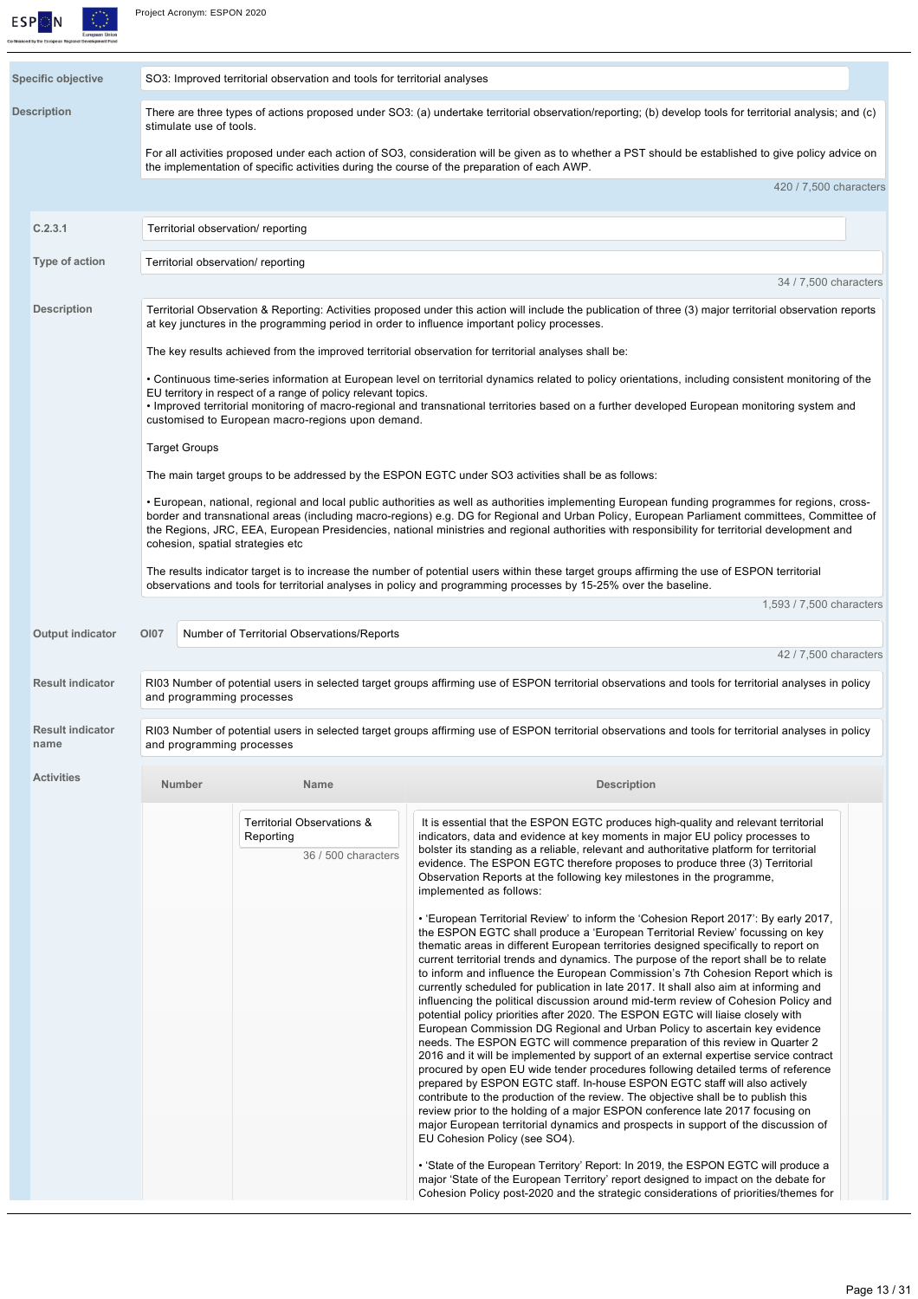

| <b>Specific objective</b>       | SO3: Improved territorial observation and tools for territorial analyses                                                                                                                                                                                        |                                                                                                                                                                                                                                                                     |                                                                                                                                                                                                                                                                                                                                                                                                                                                                                                                                                                                                                                                                                                                                                                                                                                                                                                                                                                                                                                                                                                                                                                                                                                                                                                                                                                                                                                                                                                                                                                                                                                                                                                                                                                                                                                                  |  |  |  |
|---------------------------------|-----------------------------------------------------------------------------------------------------------------------------------------------------------------------------------------------------------------------------------------------------------------|---------------------------------------------------------------------------------------------------------------------------------------------------------------------------------------------------------------------------------------------------------------------|--------------------------------------------------------------------------------------------------------------------------------------------------------------------------------------------------------------------------------------------------------------------------------------------------------------------------------------------------------------------------------------------------------------------------------------------------------------------------------------------------------------------------------------------------------------------------------------------------------------------------------------------------------------------------------------------------------------------------------------------------------------------------------------------------------------------------------------------------------------------------------------------------------------------------------------------------------------------------------------------------------------------------------------------------------------------------------------------------------------------------------------------------------------------------------------------------------------------------------------------------------------------------------------------------------------------------------------------------------------------------------------------------------------------------------------------------------------------------------------------------------------------------------------------------------------------------------------------------------------------------------------------------------------------------------------------------------------------------------------------------------------------------------------------------------------------------------------------------|--|--|--|
| <b>Description</b>              | There are three types of actions proposed under SO3: (a) undertake territorial observation/reporting; (b) develop tools for territorial analysis; and (c)<br>stimulate use of tools.                                                                            |                                                                                                                                                                                                                                                                     |                                                                                                                                                                                                                                                                                                                                                                                                                                                                                                                                                                                                                                                                                                                                                                                                                                                                                                                                                                                                                                                                                                                                                                                                                                                                                                                                                                                                                                                                                                                                                                                                                                                                                                                                                                                                                                                  |  |  |  |
|                                 |                                                                                                                                                                                                                                                                 |                                                                                                                                                                                                                                                                     | For all activities proposed under each action of SO3, consideration will be given as to whether a PST should be established to give policy advice on<br>the implementation of specific activities during the course of the preparation of each AWP.                                                                                                                                                                                                                                                                                                                                                                                                                                                                                                                                                                                                                                                                                                                                                                                                                                                                                                                                                                                                                                                                                                                                                                                                                                                                                                                                                                                                                                                                                                                                                                                              |  |  |  |
|                                 |                                                                                                                                                                                                                                                                 |                                                                                                                                                                                                                                                                     | 420 / 7,500 characters                                                                                                                                                                                                                                                                                                                                                                                                                                                                                                                                                                                                                                                                                                                                                                                                                                                                                                                                                                                                                                                                                                                                                                                                                                                                                                                                                                                                                                                                                                                                                                                                                                                                                                                                                                                                                           |  |  |  |
| C.2.3.1                         | Territorial observation/ reporting                                                                                                                                                                                                                              |                                                                                                                                                                                                                                                                     |                                                                                                                                                                                                                                                                                                                                                                                                                                                                                                                                                                                                                                                                                                                                                                                                                                                                                                                                                                                                                                                                                                                                                                                                                                                                                                                                                                                                                                                                                                                                                                                                                                                                                                                                                                                                                                                  |  |  |  |
| Type of action                  | Territorial observation/ reporting                                                                                                                                                                                                                              |                                                                                                                                                                                                                                                                     |                                                                                                                                                                                                                                                                                                                                                                                                                                                                                                                                                                                                                                                                                                                                                                                                                                                                                                                                                                                                                                                                                                                                                                                                                                                                                                                                                                                                                                                                                                                                                                                                                                                                                                                                                                                                                                                  |  |  |  |
| <b>Description</b>              |                                                                                                                                                                                                                                                                 |                                                                                                                                                                                                                                                                     | 34 / 7,500 characters<br>Territorial Observation & Reporting: Activities proposed under this action will include the publication of three (3) major territorial observation reports                                                                                                                                                                                                                                                                                                                                                                                                                                                                                                                                                                                                                                                                                                                                                                                                                                                                                                                                                                                                                                                                                                                                                                                                                                                                                                                                                                                                                                                                                                                                                                                                                                                              |  |  |  |
|                                 |                                                                                                                                                                                                                                                                 |                                                                                                                                                                                                                                                                     | at key junctures in the programming period in order to influence important policy processes.<br>The key results achieved from the improved territorial observation for territorial analyses shall be:                                                                                                                                                                                                                                                                                                                                                                                                                                                                                                                                                                                                                                                                                                                                                                                                                                                                                                                                                                                                                                                                                                                                                                                                                                                                                                                                                                                                                                                                                                                                                                                                                                            |  |  |  |
|                                 |                                                                                                                                                                                                                                                                 |                                                                                                                                                                                                                                                                     | • Continuous time-series information at European level on territorial dynamics related to policy orientations, including consistent monitoring of the                                                                                                                                                                                                                                                                                                                                                                                                                                                                                                                                                                                                                                                                                                                                                                                                                                                                                                                                                                                                                                                                                                                                                                                                                                                                                                                                                                                                                                                                                                                                                                                                                                                                                            |  |  |  |
|                                 |                                                                                                                                                                                                                                                                 | EU territory in respect of a range of policy relevant topics.<br>• Improved territorial monitoring of macro-regional and transnational territories based on a further developed European monitoring system and<br>customised to European macro-regions upon demand. |                                                                                                                                                                                                                                                                                                                                                                                                                                                                                                                                                                                                                                                                                                                                                                                                                                                                                                                                                                                                                                                                                                                                                                                                                                                                                                                                                                                                                                                                                                                                                                                                                                                                                                                                                                                                                                                  |  |  |  |
|                                 | <b>Target Groups</b>                                                                                                                                                                                                                                            |                                                                                                                                                                                                                                                                     |                                                                                                                                                                                                                                                                                                                                                                                                                                                                                                                                                                                                                                                                                                                                                                                                                                                                                                                                                                                                                                                                                                                                                                                                                                                                                                                                                                                                                                                                                                                                                                                                                                                                                                                                                                                                                                                  |  |  |  |
|                                 | cohesion, spatial strategies etc                                                                                                                                                                                                                                |                                                                                                                                                                                                                                                                     | The main target groups to be addressed by the ESPON EGTC under SO3 activities shall be as follows:<br>• European, national, regional and local public authorities as well as authorities implementing European funding programmes for regions, cross-<br>border and transnational areas (including macro-regions) e.g. DG for Regional and Urban Policy, European Parliament committees, Committee of<br>the Regions, JRC, EEA, European Presidencies, national ministries and regional authorities with responsibility for territorial development and                                                                                                                                                                                                                                                                                                                                                                                                                                                                                                                                                                                                                                                                                                                                                                                                                                                                                                                                                                                                                                                                                                                                                                                                                                                                                          |  |  |  |
|                                 | The results indicator target is to increase the number of potential users within these target groups affirming the use of ESPON territorial<br>observations and tools for territorial analyses in policy and programming processes by 15-25% over the baseline. |                                                                                                                                                                                                                                                                     |                                                                                                                                                                                                                                                                                                                                                                                                                                                                                                                                                                                                                                                                                                                                                                                                                                                                                                                                                                                                                                                                                                                                                                                                                                                                                                                                                                                                                                                                                                                                                                                                                                                                                                                                                                                                                                                  |  |  |  |
|                                 |                                                                                                                                                                                                                                                                 |                                                                                                                                                                                                                                                                     | 1,593 / 7,500 characters                                                                                                                                                                                                                                                                                                                                                                                                                                                                                                                                                                                                                                                                                                                                                                                                                                                                                                                                                                                                                                                                                                                                                                                                                                                                                                                                                                                                                                                                                                                                                                                                                                                                                                                                                                                                                         |  |  |  |
| Output indicator                | <b>OI07</b>                                                                                                                                                                                                                                                     | Number of Territorial Observations/Reports                                                                                                                                                                                                                          | 42 / 7,500 characters                                                                                                                                                                                                                                                                                                                                                                                                                                                                                                                                                                                                                                                                                                                                                                                                                                                                                                                                                                                                                                                                                                                                                                                                                                                                                                                                                                                                                                                                                                                                                                                                                                                                                                                                                                                                                            |  |  |  |
| <b>Result indicator</b>         | and programming processes                                                                                                                                                                                                                                       |                                                                                                                                                                                                                                                                     | RI03 Number of potential users in selected target groups affirming use of ESPON territorial observations and tools for territorial analyses in policy                                                                                                                                                                                                                                                                                                                                                                                                                                                                                                                                                                                                                                                                                                                                                                                                                                                                                                                                                                                                                                                                                                                                                                                                                                                                                                                                                                                                                                                                                                                                                                                                                                                                                            |  |  |  |
| <b>Result indicator</b><br>name | and programming processes                                                                                                                                                                                                                                       |                                                                                                                                                                                                                                                                     | RI03 Number of potential users in selected target groups affirming use of ESPON territorial observations and tools for territorial analyses in policy                                                                                                                                                                                                                                                                                                                                                                                                                                                                                                                                                                                                                                                                                                                                                                                                                                                                                                                                                                                                                                                                                                                                                                                                                                                                                                                                                                                                                                                                                                                                                                                                                                                                                            |  |  |  |
| <b>Activities</b>               | Number                                                                                                                                                                                                                                                          | <b>Name</b>                                                                                                                                                                                                                                                         | <b>Description</b>                                                                                                                                                                                                                                                                                                                                                                                                                                                                                                                                                                                                                                                                                                                                                                                                                                                                                                                                                                                                                                                                                                                                                                                                                                                                                                                                                                                                                                                                                                                                                                                                                                                                                                                                                                                                                               |  |  |  |
|                                 |                                                                                                                                                                                                                                                                 | Territorial Observations &<br>Reporting<br>36 / 500 characters                                                                                                                                                                                                      | It is essential that the ESPON EGTC produces high-quality and relevant territorial<br>indicators, data and evidence at key moments in major EU policy processes to<br>bolster its standing as a reliable, relevant and authoritative platform for territorial<br>evidence. The ESPON EGTC therefore proposes to produce three (3) Territorial<br>Observation Reports at the following key milestones in the programme,<br>implemented as follows:<br>• 'European Territorial Review' to inform the 'Cohesion Report 2017': By early 2017,<br>the ESPON EGTC shall produce a 'European Territorial Review' focussing on key<br>thematic areas in different European territories designed specifically to report on<br>current territorial trends and dynamics. The purpose of the report shall be to relate<br>to inform and influence the European Commission's 7th Cohesion Report which is<br>currently scheduled for publication in late 2017. It shall also aim at informing and<br>influencing the political discussion around mid-term review of Cohesion Policy and<br>potential policy priorities after 2020. The ESPON EGTC will liaise closely with<br>European Commission DG Regional and Urban Policy to ascertain key evidence<br>needs. The ESPON EGTC will commence preparation of this review in Quarter 2<br>2016 and it will be implemented by support of an external expertise service contract<br>procured by open EU wide tender procedures following detailed terms of reference<br>prepared by ESPON EGTC staff. In-house ESPON EGTC staff will also actively<br>contribute to the production of the review. The objective shall be to publish this<br>review prior to the holding of a major ESPON conference late 2017 focusing on<br>major European territorial dynamics and prospects in support of the discussion of |  |  |  |
|                                 |                                                                                                                                                                                                                                                                 |                                                                                                                                                                                                                                                                     | EU Cohesion Policy (see SO4).<br>• 'State of the European Territory' Report: In 2019, the ESPON EGTC will produce a<br>major 'State of the European Territory' report designed to impact on the debate for<br>Cohesion Policy post-2020 and the strategic considerations of priorities/themes for                                                                                                                                                                                                                                                                                                                                                                                                                                                                                                                                                                                                                                                                                                                                                                                                                                                                                                                                                                                                                                                                                                                                                                                                                                                                                                                                                                                                                                                                                                                                                |  |  |  |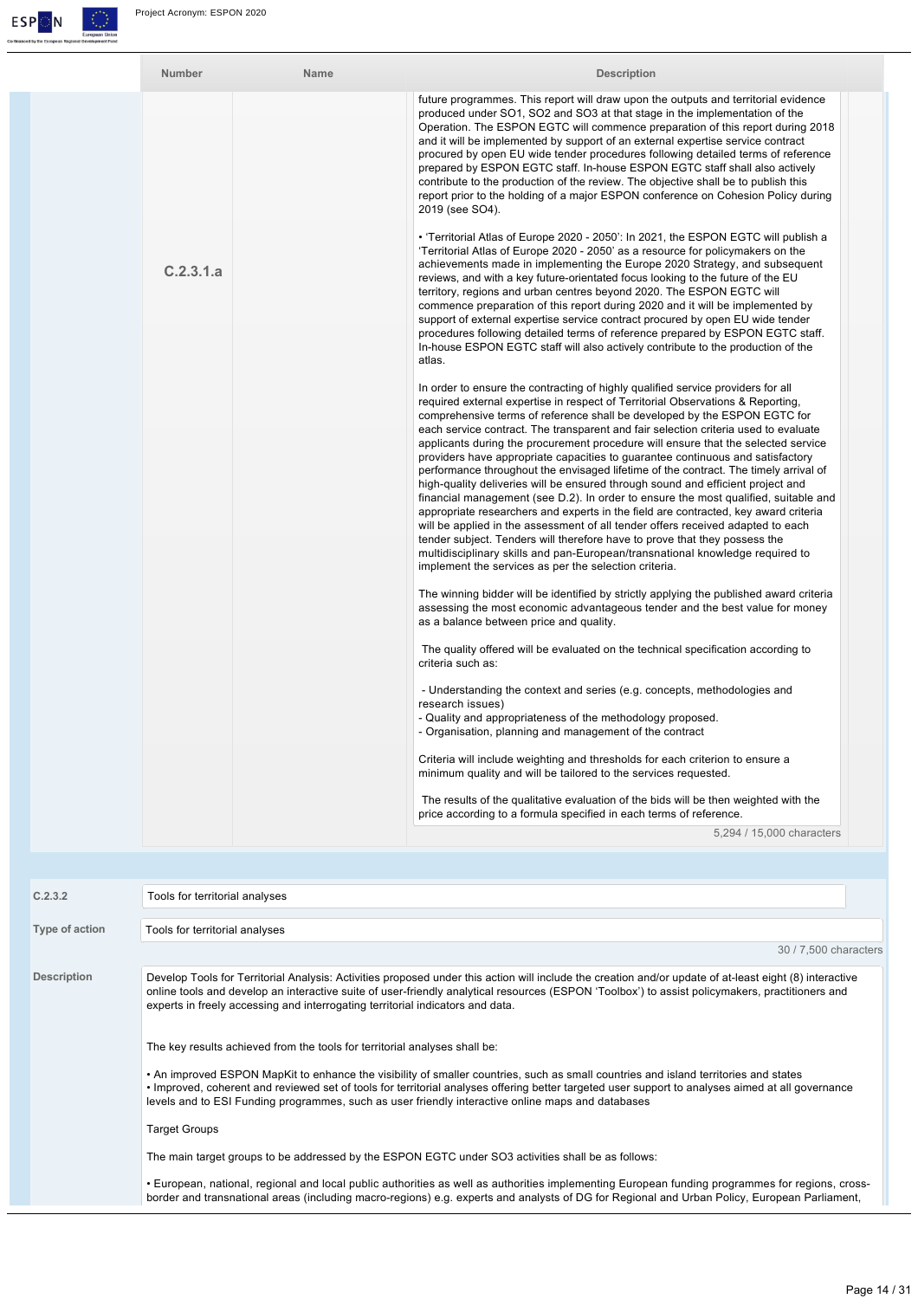

| Number    | Name | <b>Description</b>                                                                                                                                                                                                                                                                                                                                                                                                                                                                                                                                                                                                                                                                                                                                                                                                                                                                                                                                                                                                                                                                                                                                                                 |
|-----------|------|------------------------------------------------------------------------------------------------------------------------------------------------------------------------------------------------------------------------------------------------------------------------------------------------------------------------------------------------------------------------------------------------------------------------------------------------------------------------------------------------------------------------------------------------------------------------------------------------------------------------------------------------------------------------------------------------------------------------------------------------------------------------------------------------------------------------------------------------------------------------------------------------------------------------------------------------------------------------------------------------------------------------------------------------------------------------------------------------------------------------------------------------------------------------------------|
|           |      | future programmes. This report will draw upon the outputs and territorial evidence<br>produced under SO1, SO2 and SO3 at that stage in the implementation of the<br>Operation. The ESPON EGTC will commence preparation of this report during 2018<br>and it will be implemented by support of an external expertise service contract<br>procured by open EU wide tender procedures following detailed terms of reference<br>prepared by ESPON EGTC staff. In-house ESPON EGTC staff shall also actively<br>contribute to the production of the review. The objective shall be to publish this<br>report prior to the holding of a major ESPON conference on Cohesion Policy during<br>2019 (see SO4).                                                                                                                                                                                                                                                                                                                                                                                                                                                                             |
| C.2.3.1.a |      | • 'Territorial Atlas of Europe 2020 - 2050': In 2021, the ESPON EGTC will publish a<br>'Territorial Atlas of Europe 2020 - 2050' as a resource for policymakers on the<br>achievements made in implementing the Europe 2020 Strategy, and subsequent<br>reviews, and with a key future-orientated focus looking to the future of the EU<br>territory, regions and urban centres beyond 2020. The ESPON EGTC will<br>commence preparation of this report during 2020 and it will be implemented by<br>support of external expertise service contract procured by open EU wide tender<br>procedures following detailed terms of reference prepared by ESPON EGTC staff.<br>In-house ESPON EGTC staff will also actively contribute to the production of the<br>atlas.                                                                                                                                                                                                                                                                                                                                                                                                                |
|           |      | In order to ensure the contracting of highly qualified service providers for all<br>required external expertise in respect of Territorial Observations & Reporting,<br>comprehensive terms of reference shall be developed by the ESPON EGTC for<br>each service contract. The transparent and fair selection criteria used to evaluate<br>applicants during the procurement procedure will ensure that the selected service<br>providers have appropriate capacities to guarantee continuous and satisfactory<br>performance throughout the envisaged lifetime of the contract. The timely arrival of<br>high-quality deliveries will be ensured through sound and efficient project and<br>financial management (see D.2). In order to ensure the most qualified, suitable and<br>appropriate researchers and experts in the field are contracted, key award criteria<br>will be applied in the assessment of all tender offers received adapted to each<br>tender subject. Tenders will therefore have to prove that they possess the<br>multidisciplinary skills and pan-European/transnational knowledge required to<br>implement the services as per the selection criteria. |
|           |      | The winning bidder will be identified by strictly applying the published award criteria<br>assessing the most economic advantageous tender and the best value for money<br>as a balance between price and quality.<br>The quality offered will be evaluated on the technical specification according to                                                                                                                                                                                                                                                                                                                                                                                                                                                                                                                                                                                                                                                                                                                                                                                                                                                                            |
|           |      | criteria such as:<br>- Understanding the context and series (e.g. concepts, methodologies and<br>research issues)<br>- Quality and appropriateness of the methodology proposed.<br>- Organisation, planning and management of the contract                                                                                                                                                                                                                                                                                                                                                                                                                                                                                                                                                                                                                                                                                                                                                                                                                                                                                                                                         |
|           |      | Criteria will include weighting and thresholds for each criterion to ensure a<br>minimum quality and will be tailored to the services requested.<br>The results of the qualitative evaluation of the bids will be then weighted with the<br>price according to a formula specified in each terms of reference.<br>5,294 / 15,000 characters                                                                                                                                                                                                                                                                                                                                                                                                                                                                                                                                                                                                                                                                                                                                                                                                                                        |

| C.2.3.2            | Tools for territorial analyses                                                                                                                                                                                                                                                                                                                                                                 |
|--------------------|------------------------------------------------------------------------------------------------------------------------------------------------------------------------------------------------------------------------------------------------------------------------------------------------------------------------------------------------------------------------------------------------|
| Type of action     | Tools for territorial analyses                                                                                                                                                                                                                                                                                                                                                                 |
|                    | 30 / 7,500 characters                                                                                                                                                                                                                                                                                                                                                                          |
| <b>Description</b> | Develop Tools for Territorial Analysis: Activities proposed under this action will include the creation and/or update of at-least eight (8) interactive<br>online tools and develop an interactive suite of user-friendly analytical resources (ESPON 'Toolbox') to assist policymakers, practitioners and<br>experts in freely accessing and interrogating territorial indicators and data.   |
|                    | The key results achieved from the tools for territorial analyses shall be:                                                                                                                                                                                                                                                                                                                     |
|                    | • An improved ESPON MapKit to enhance the visibility of smaller countries, such as small countries and island territories and states<br>• Improved, coherent and reviewed set of tools for territorial analyses offering better targeted user support to analyses aimed at all governance<br>levels and to ESI Funding programmes, such as user friendly interactive online maps and databases |
|                    | <b>Target Groups</b>                                                                                                                                                                                                                                                                                                                                                                           |
|                    | The main target groups to be addressed by the ESPON EGTC under SO3 activities shall be as follows:                                                                                                                                                                                                                                                                                             |
|                    | • European, national, regional and local public authorities as well as authorities implementing European funding programmes for regions, cross-<br>border and transnational areas (including macro-regions) e.g. experts and analysts of DG for Regional and Urban Policy, European Parliament,                                                                                                |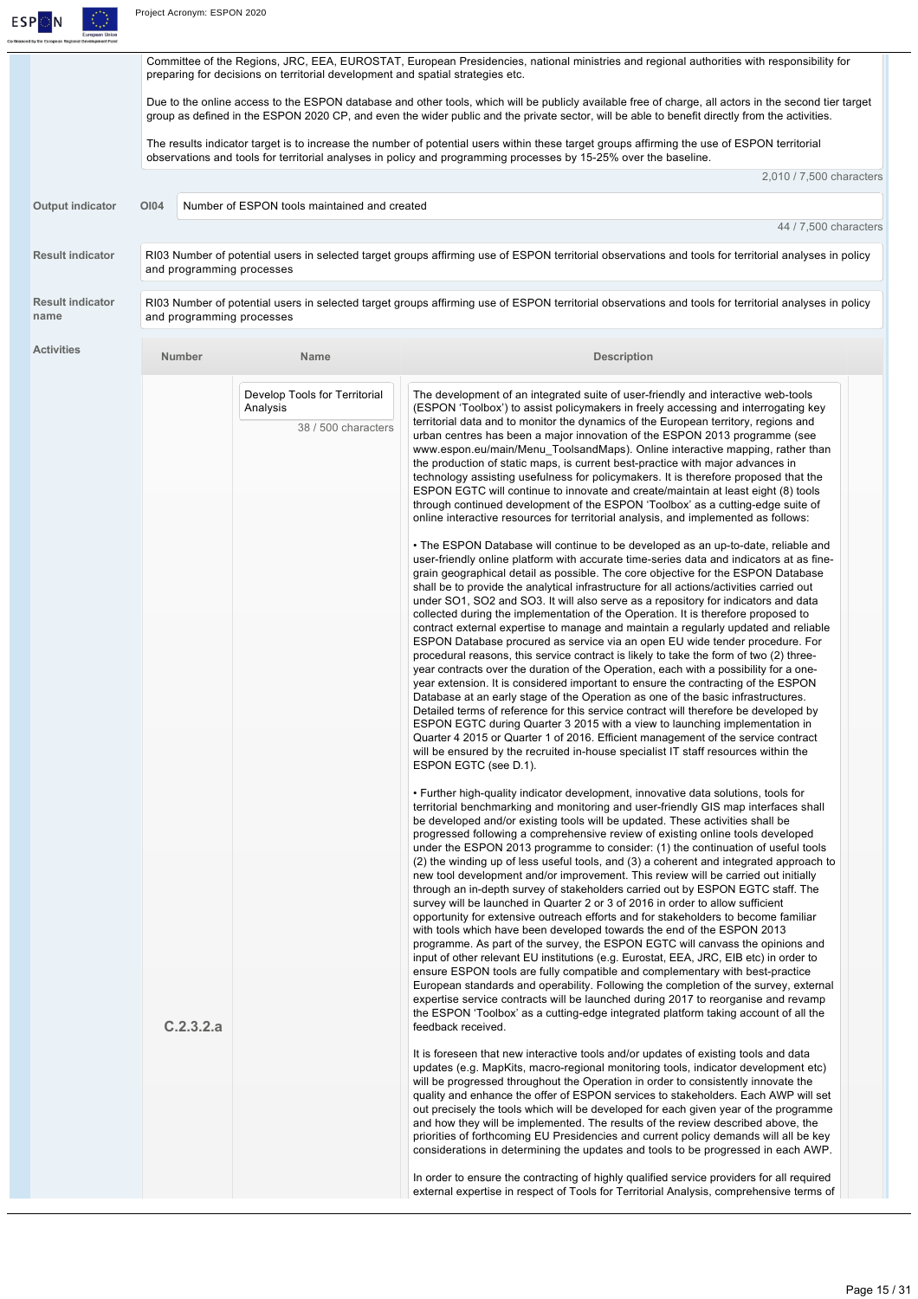

|                                 |                           | preparing for decisions on territorial development and spatial strategies etc. | Committee of the Regions, JRC, EEA, EUROSTAT, European Presidencies, national ministries and regional authorities with responsibility for                                                                                                                                                                                                                                                                                                                                                                                                                                                                                                                                                                                                                                                                                                                                                                                                                                                                                                                                                                                                                                                                                                                                                                                                                                                                                                                                                                  |
|---------------------------------|---------------------------|--------------------------------------------------------------------------------|------------------------------------------------------------------------------------------------------------------------------------------------------------------------------------------------------------------------------------------------------------------------------------------------------------------------------------------------------------------------------------------------------------------------------------------------------------------------------------------------------------------------------------------------------------------------------------------------------------------------------------------------------------------------------------------------------------------------------------------------------------------------------------------------------------------------------------------------------------------------------------------------------------------------------------------------------------------------------------------------------------------------------------------------------------------------------------------------------------------------------------------------------------------------------------------------------------------------------------------------------------------------------------------------------------------------------------------------------------------------------------------------------------------------------------------------------------------------------------------------------------|
|                                 |                           |                                                                                | Due to the online access to the ESPON database and other tools, which will be publicly available free of charge, all actors in the second tier target<br>group as defined in the ESPON 2020 CP, and even the wider public and the private sector, will be able to benefit directly from the activities.                                                                                                                                                                                                                                                                                                                                                                                                                                                                                                                                                                                                                                                                                                                                                                                                                                                                                                                                                                                                                                                                                                                                                                                                    |
|                                 |                           |                                                                                | The results indicator target is to increase the number of potential users within these target groups affirming the use of ESPON territorial<br>observations and tools for territorial analyses in policy and programming processes by 15-25% over the baseline.                                                                                                                                                                                                                                                                                                                                                                                                                                                                                                                                                                                                                                                                                                                                                                                                                                                                                                                                                                                                                                                                                                                                                                                                                                            |
|                                 |                           |                                                                                | 2,010 / 7,500 characters                                                                                                                                                                                                                                                                                                                                                                                                                                                                                                                                                                                                                                                                                                                                                                                                                                                                                                                                                                                                                                                                                                                                                                                                                                                                                                                                                                                                                                                                                   |
| Output indicator                | O <sub>104</sub>          | Number of ESPON tools maintained and created                                   |                                                                                                                                                                                                                                                                                                                                                                                                                                                                                                                                                                                                                                                                                                                                                                                                                                                                                                                                                                                                                                                                                                                                                                                                                                                                                                                                                                                                                                                                                                            |
|                                 |                           |                                                                                | 44 / 7,500 characters                                                                                                                                                                                                                                                                                                                                                                                                                                                                                                                                                                                                                                                                                                                                                                                                                                                                                                                                                                                                                                                                                                                                                                                                                                                                                                                                                                                                                                                                                      |
| <b>Result indicator</b>         | and programming processes |                                                                                | RI03 Number of potential users in selected target groups affirming use of ESPON territorial observations and tools for territorial analyses in policy                                                                                                                                                                                                                                                                                                                                                                                                                                                                                                                                                                                                                                                                                                                                                                                                                                                                                                                                                                                                                                                                                                                                                                                                                                                                                                                                                      |
| <b>Result indicator</b><br>name | and programming processes |                                                                                | RI03 Number of potential users in selected target groups affirming use of ESPON territorial observations and tools for territorial analyses in policy                                                                                                                                                                                                                                                                                                                                                                                                                                                                                                                                                                                                                                                                                                                                                                                                                                                                                                                                                                                                                                                                                                                                                                                                                                                                                                                                                      |
| <b>Activities</b>               | Number                    | Name                                                                           | <b>Description</b>                                                                                                                                                                                                                                                                                                                                                                                                                                                                                                                                                                                                                                                                                                                                                                                                                                                                                                                                                                                                                                                                                                                                                                                                                                                                                                                                                                                                                                                                                         |
|                                 |                           | Develop Tools for Territorial<br>Analysis<br>38 / 500 characters               | The development of an integrated suite of user-friendly and interactive web-tools<br>(ESPON 'Toolbox') to assist policymakers in freely accessing and interrogating key<br>territorial data and to monitor the dynamics of the European territory, regions and<br>urban centres has been a major innovation of the ESPON 2013 programme (see<br>www.espon.eu/main/Menu_ToolsandMaps). Online interactive mapping, rather than<br>the production of static maps, is current best-practice with major advances in<br>technology assisting usefulness for policymakers. It is therefore proposed that the<br>ESPON EGTC will continue to innovate and create/maintain at least eight (8) tools<br>through continued development of the ESPON 'Toolbox' as a cutting-edge suite of<br>online interactive resources for territorial analysis, and implemented as follows:                                                                                                                                                                                                                                                                                                                                                                                                                                                                                                                                                                                                                                       |
|                                 |                           |                                                                                | • The ESPON Database will continue to be developed as an up-to-date, reliable and<br>user-friendly online platform with accurate time-series data and indicators at as fine-<br>grain geographical detail as possible. The core objective for the ESPON Database<br>shall be to provide the analytical infrastructure for all actions/activities carried out<br>under SO1, SO2 and SO3. It will also serve as a repository for indicators and data<br>collected during the implementation of the Operation. It is therefore proposed to<br>contract external expertise to manage and maintain a regularly updated and reliable<br>ESPON Database procured as service via an open EU wide tender procedure. For<br>procedural reasons, this service contract is likely to take the form of two (2) three-<br>year contracts over the duration of the Operation, each with a possibility for a one-<br>year extension. It is considered important to ensure the contracting of the ESPON<br>Database at an early stage of the Operation as one of the basic infrastructures.<br>Detailed terms of reference for this service contract will therefore be developed by<br>ESPON EGTC during Quarter 3 2015 with a view to launching implementation in<br>Quarter 4 2015 or Quarter 1 of 2016. Efficient management of the service contract<br>will be ensured by the recruited in-house specialist IT staff resources within the<br>ESPON EGTC (see D.1).                                                      |
|                                 | C.2.3.2.a                 |                                                                                | • Further high-quality indicator development, innovative data solutions, tools for<br>territorial benchmarking and monitoring and user-friendly GIS map interfaces shall<br>be developed and/or existing tools will be updated. These activities shall be<br>progressed following a comprehensive review of existing online tools developed<br>under the ESPON 2013 programme to consider: (1) the continuation of useful tools<br>(2) the winding up of less useful tools, and (3) a coherent and integrated approach to<br>new tool development and/or improvement. This review will be carried out initially<br>through an in-depth survey of stakeholders carried out by ESPON EGTC staff. The<br>survey will be launched in Quarter 2 or 3 of 2016 in order to allow sufficient<br>opportunity for extensive outreach efforts and for stakeholders to become familiar<br>with tools which have been developed towards the end of the ESPON 2013<br>programme. As part of the survey, the ESPON EGTC will canvass the opinions and<br>input of other relevant EU institutions (e.g. Eurostat, EEA, JRC, EIB etc) in order to<br>ensure ESPON tools are fully compatible and complementary with best-practice<br>European standards and operability. Following the completion of the survey, external<br>expertise service contracts will be launched during 2017 to reorganise and revamp<br>the ESPON 'Toolbox' as a cutting-edge integrated platform taking account of all the<br>feedback received. |
|                                 |                           |                                                                                | It is foreseen that new interactive tools and/or updates of existing tools and data<br>updates (e.g. MapKits, macro-regional monitoring tools, indicator development etc)<br>will be progressed throughout the Operation in order to consistently innovate the<br>quality and enhance the offer of ESPON services to stakeholders. Each AWP will set<br>out precisely the tools which will be developed for each given year of the programme<br>and how they will be implemented. The results of the review described above, the<br>priorities of forthcoming EU Presidencies and current policy demands will all be key<br>considerations in determining the updates and tools to be progressed in each AWP.<br>In order to ensure the contracting of highly qualified service providers for all required<br>external expertise in respect of Tools for Territorial Analysis, comprehensive terms of                                                                                                                                                                                                                                                                                                                                                                                                                                                                                                                                                                                                      |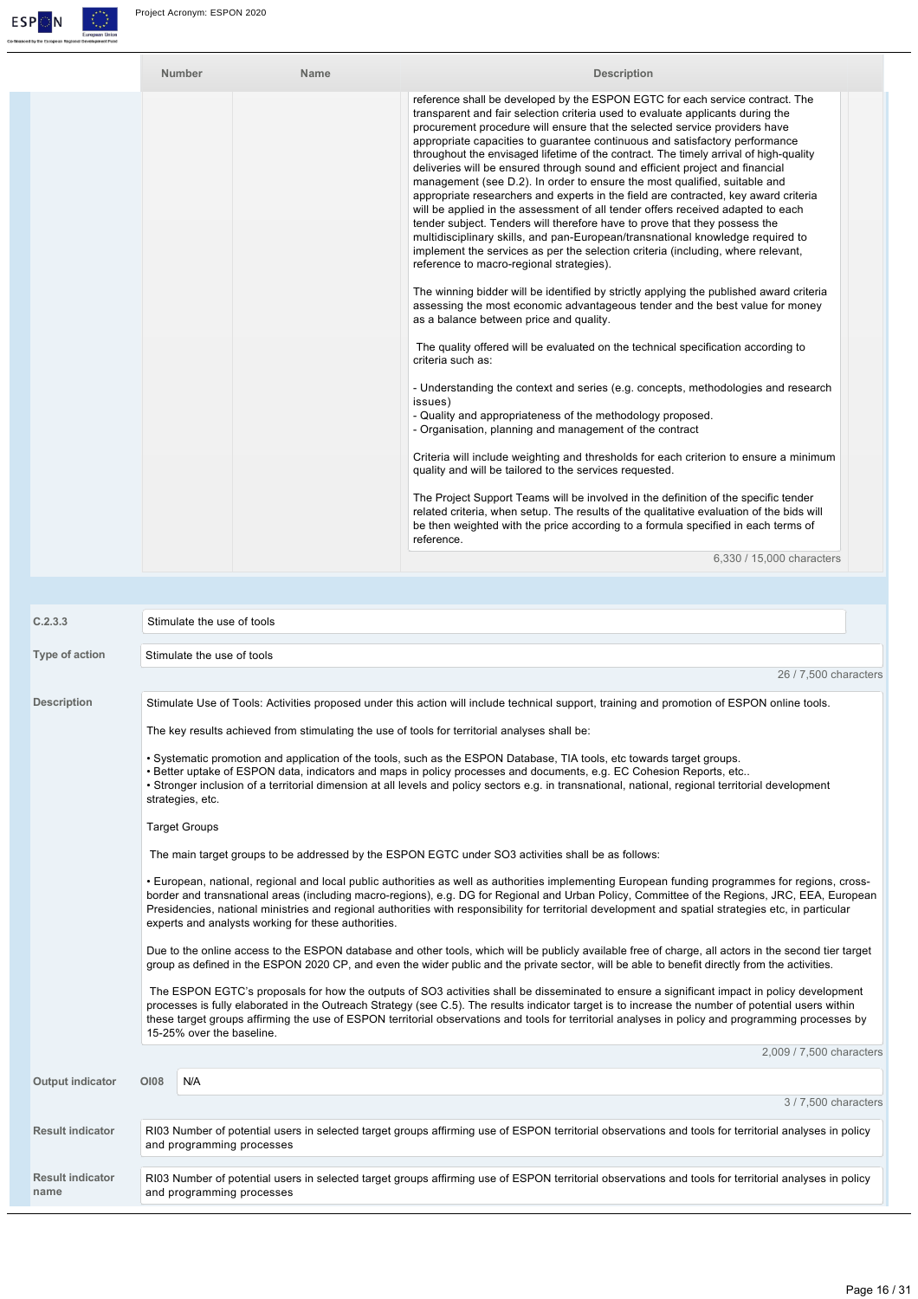

| Number | Name | <b>Description</b>                                                                                                                                                                                                                                                                                                                                                                                                                                                                                                                                                                                                                                                                                                                                                                                                                                                                                                                                                                                                                                                                                                                                                                                                                                                                 |
|--------|------|------------------------------------------------------------------------------------------------------------------------------------------------------------------------------------------------------------------------------------------------------------------------------------------------------------------------------------------------------------------------------------------------------------------------------------------------------------------------------------------------------------------------------------------------------------------------------------------------------------------------------------------------------------------------------------------------------------------------------------------------------------------------------------------------------------------------------------------------------------------------------------------------------------------------------------------------------------------------------------------------------------------------------------------------------------------------------------------------------------------------------------------------------------------------------------------------------------------------------------------------------------------------------------|
|        |      | reference shall be developed by the ESPON EGTC for each service contract. The<br>transparent and fair selection criteria used to evaluate applicants during the<br>procurement procedure will ensure that the selected service providers have<br>appropriate capacities to guarantee continuous and satisfactory performance<br>throughout the envisaged lifetime of the contract. The timely arrival of high-quality<br>deliveries will be ensured through sound and efficient project and financial<br>management (see D.2). In order to ensure the most qualified, suitable and<br>appropriate researchers and experts in the field are contracted, key award criteria<br>will be applied in the assessment of all tender offers received adapted to each<br>tender subject. Tenders will therefore have to prove that they possess the<br>multidisciplinary skills, and pan-European/transnational knowledge required to<br>implement the services as per the selection criteria (including, where relevant,<br>reference to macro-regional strategies).<br>The winning bidder will be identified by strictly applying the published award criteria<br>assessing the most economic advantageous tender and the best value for money<br>as a balance between price and quality. |
|        |      | The quality offered will be evaluated on the technical specification according to<br>criteria such as:<br>- Understanding the context and series (e.g. concepts, methodologies and research<br>issues)<br>- Quality and appropriateness of the methodology proposed.<br>- Organisation, planning and management of the contract<br>Criteria will include weighting and thresholds for each criterion to ensure a minimum                                                                                                                                                                                                                                                                                                                                                                                                                                                                                                                                                                                                                                                                                                                                                                                                                                                           |
|        |      | quality and will be tailored to the services requested.<br>The Project Support Teams will be involved in the definition of the specific tender<br>related criteria, when setup. The results of the qualitative evaluation of the bids will<br>be then weighted with the price according to a formula specified in each terms of<br>reference.                                                                                                                                                                                                                                                                                                                                                                                                                                                                                                                                                                                                                                                                                                                                                                                                                                                                                                                                      |

6,330 / 15,000 characters

| C.2.3.3                         | Stimulate the use of tools                                                                                                                                                                                                                                                                                                                                                                                                                                                                                      |  |  |  |  |  |
|---------------------------------|-----------------------------------------------------------------------------------------------------------------------------------------------------------------------------------------------------------------------------------------------------------------------------------------------------------------------------------------------------------------------------------------------------------------------------------------------------------------------------------------------------------------|--|--|--|--|--|
| Type of action                  | Stimulate the use of tools                                                                                                                                                                                                                                                                                                                                                                                                                                                                                      |  |  |  |  |  |
|                                 | 26 / 7,500 characters                                                                                                                                                                                                                                                                                                                                                                                                                                                                                           |  |  |  |  |  |
| <b>Description</b>              | Stimulate Use of Tools: Activities proposed under this action will include technical support, training and promotion of ESPON online tools.                                                                                                                                                                                                                                                                                                                                                                     |  |  |  |  |  |
|                                 | The key results achieved from stimulating the use of tools for territorial analyses shall be:                                                                                                                                                                                                                                                                                                                                                                                                                   |  |  |  |  |  |
|                                 | . Systematic promotion and application of the tools, such as the ESPON Database, TIA tools, etc towards target groups.<br>. Better uptake of ESPON data, indicators and maps in policy processes and documents, e.g. EC Cohesion Reports, etc<br>• Stronger inclusion of a territorial dimension at all levels and policy sectors e.g. in transnational, national, regional territorial development<br>strategies, etc.                                                                                         |  |  |  |  |  |
|                                 | <b>Target Groups</b>                                                                                                                                                                                                                                                                                                                                                                                                                                                                                            |  |  |  |  |  |
|                                 | The main target groups to be addressed by the ESPON EGTC under SO3 activities shall be as follows:                                                                                                                                                                                                                                                                                                                                                                                                              |  |  |  |  |  |
|                                 | • European, national, regional and local public authorities as well as authorities implementing European funding programmes for regions, cross-<br>border and transnational areas (including macro-regions), e.g. DG for Regional and Urban Policy, Committee of the Regions, JRC, EEA, European<br>Presidencies, national ministries and regional authorities with responsibility for territorial development and spatial strategies etc, in particular<br>experts and analysts working for these authorities. |  |  |  |  |  |
|                                 | Due to the online access to the ESPON database and other tools, which will be publicly available free of charge, all actors in the second tier target<br>group as defined in the ESPON 2020 CP, and even the wider public and the private sector, will be able to benefit directly from the activities.                                                                                                                                                                                                         |  |  |  |  |  |
|                                 | The ESPON EGTC's proposals for how the outputs of SO3 activities shall be disseminated to ensure a significant impact in policy development<br>processes is fully elaborated in the Outreach Strategy (see C.5). The results indicator target is to increase the number of potential users within<br>these target groups affirming the use of ESPON territorial observations and tools for territorial analyses in policy and programming processes by<br>15-25% over the baseline.                             |  |  |  |  |  |
|                                 | 2,009 / 7,500 characters                                                                                                                                                                                                                                                                                                                                                                                                                                                                                        |  |  |  |  |  |
| Output indicator                | <b>OI08</b><br>N/A                                                                                                                                                                                                                                                                                                                                                                                                                                                                                              |  |  |  |  |  |
|                                 | 3 / 7,500 characters                                                                                                                                                                                                                                                                                                                                                                                                                                                                                            |  |  |  |  |  |
| <b>Result indicator</b>         | RI03 Number of potential users in selected target groups affirming use of ESPON territorial observations and tools for territorial analyses in policy<br>and programming processes                                                                                                                                                                                                                                                                                                                              |  |  |  |  |  |
| <b>Result indicator</b><br>name | RI03 Number of potential users in selected target groups affirming use of ESPON territorial observations and tools for territorial analyses in policy<br>and programming processes                                                                                                                                                                                                                                                                                                                              |  |  |  |  |  |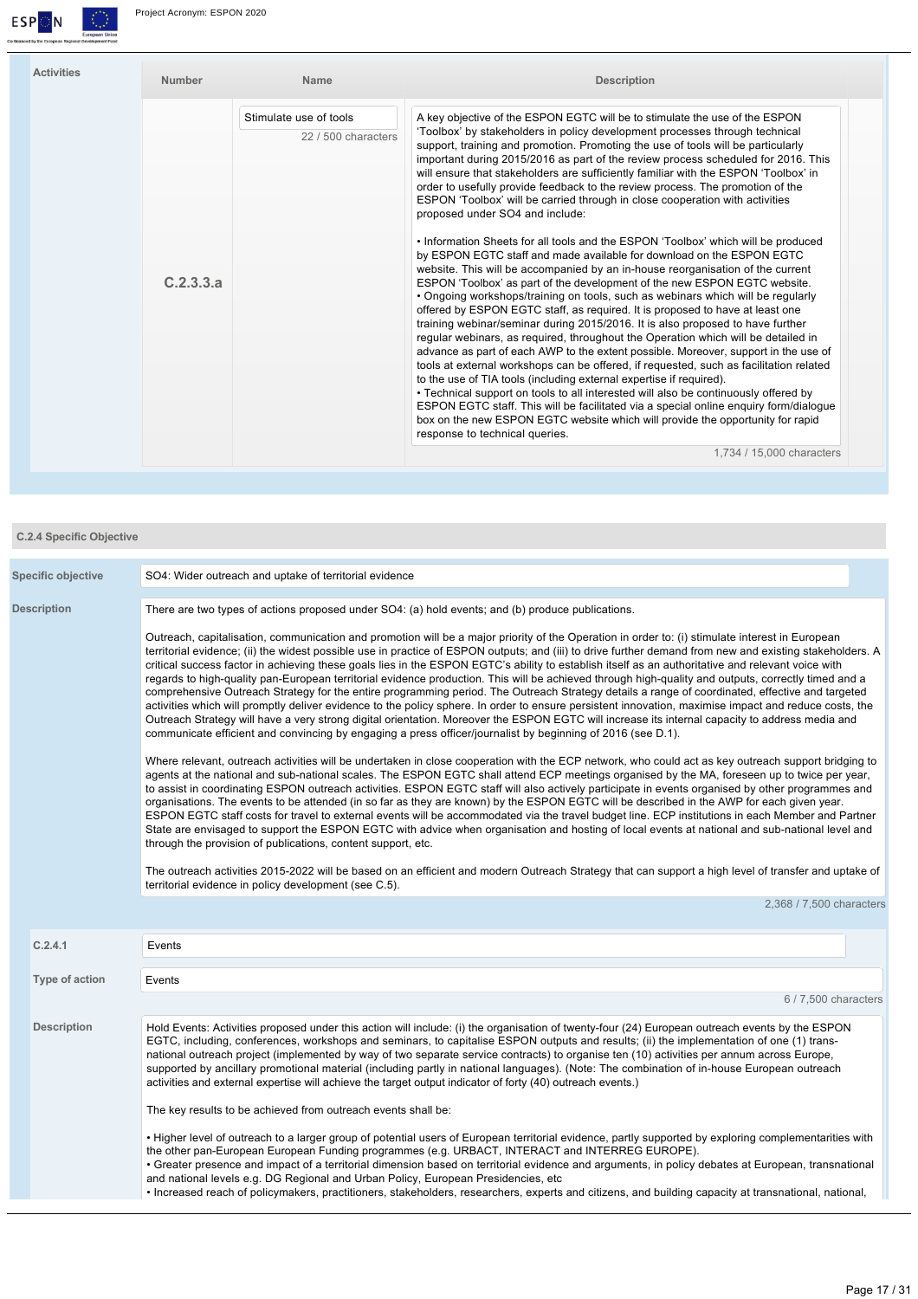

| <b>Activities</b> | Number    | <b>Name</b>                                   | <b>Description</b>                                                                                                                                                                                                                                                                                                                                                                                                                                                                                                                                                                                                                                                                            |
|-------------------|-----------|-----------------------------------------------|-----------------------------------------------------------------------------------------------------------------------------------------------------------------------------------------------------------------------------------------------------------------------------------------------------------------------------------------------------------------------------------------------------------------------------------------------------------------------------------------------------------------------------------------------------------------------------------------------------------------------------------------------------------------------------------------------|
|                   |           | Stimulate use of tools<br>22 / 500 characters | A key objective of the ESPON EGTC will be to stimulate the use of the ESPON<br>'Toolbox' by stakeholders in policy development processes through technical<br>support, training and promotion. Promoting the use of tools will be particularly<br>important during 2015/2016 as part of the review process scheduled for 2016. This<br>will ensure that stakeholders are sufficiently familiar with the ESPON 'Toolbox' in<br>order to usefully provide feedback to the review process. The promotion of the<br>ESPON 'Toolbox' will be carried through in close cooperation with activities<br>proposed under SO4 and include:                                                               |
|                   | C.2.3.3.a |                                               | . Information Sheets for all tools and the ESPON 'Toolbox' which will be produced<br>by ESPON EGTC staff and made available for download on the ESPON EGTC<br>website. This will be accompanied by an in-house reorganisation of the current<br>ESPON 'Toolbox' as part of the development of the new ESPON EGTC website.<br>• Ongoing workshops/training on tools, such as webinars which will be regularly<br>offered by ESPON EGTC staff, as required. It is proposed to have at least one                                                                                                                                                                                                 |
|                   |           |                                               | training webinar/seminar during 2015/2016. It is also proposed to have further<br>regular webinars, as reguired, throughout the Operation which will be detailed in<br>advance as part of each AWP to the extent possible. Moreover, support in the use of<br>tools at external workshops can be offered, if requested, such as facilitation related<br>to the use of TIA tools (including external expertise if required).<br>• Technical support on tools to all interested will also be continuously offered by<br>ESPON EGTC staff. This will be facilitated via a special online enguiry form/dialoque<br>box on the new ESPON EGTC website which will provide the opportunity for rapid |
|                   |           |                                               | response to technical queries.<br>1,734 / 15,000 characters                                                                                                                                                                                                                                                                                                                                                                                                                                                                                                                                                                                                                                   |

| <b>C.2.4 Specific Objective</b> |                                                                                                                                                                                                                                                                                                                                                                                                                                                                                                                                                                                                                                                                                                                                                                                                                                                                                                                                                                                                                                                                                                                                                                                                       |  |  |  |  |
|---------------------------------|-------------------------------------------------------------------------------------------------------------------------------------------------------------------------------------------------------------------------------------------------------------------------------------------------------------------------------------------------------------------------------------------------------------------------------------------------------------------------------------------------------------------------------------------------------------------------------------------------------------------------------------------------------------------------------------------------------------------------------------------------------------------------------------------------------------------------------------------------------------------------------------------------------------------------------------------------------------------------------------------------------------------------------------------------------------------------------------------------------------------------------------------------------------------------------------------------------|--|--|--|--|
| <b>Specific objective</b>       | SO4: Wider outreach and uptake of territorial evidence                                                                                                                                                                                                                                                                                                                                                                                                                                                                                                                                                                                                                                                                                                                                                                                                                                                                                                                                                                                                                                                                                                                                                |  |  |  |  |
| <b>Description</b>              | There are two types of actions proposed under SO4: (a) hold events; and (b) produce publications.                                                                                                                                                                                                                                                                                                                                                                                                                                                                                                                                                                                                                                                                                                                                                                                                                                                                                                                                                                                                                                                                                                     |  |  |  |  |
|                                 | Outreach, capitalisation, communication and promotion will be a major priority of the Operation in order to: (i) stimulate interest in European<br>territorial evidence; (ii) the widest possible use in practice of ESPON outputs; and (iii) to drive further demand from new and existing stakeholders. A<br>critical success factor in achieving these goals lies in the ESPON EGTC's ability to establish itself as an authoritative and relevant voice with<br>regards to high-quality pan-European territorial evidence production. This will be achieved through high-quality and outputs, correctly timed and a<br>comprehensive Outreach Strategy for the entire programming period. The Outreach Strategy details a range of coordinated, effective and targeted<br>activities which will promptly deliver evidence to the policy sphere. In order to ensure persistent innovation, maximise impact and reduce costs, the<br>Outreach Strategy will have a very strong digital orientation. Moreover the ESPON EGTC will increase its internal capacity to address media and<br>communicate efficient and convincing by engaging a press officer/journalist by beginning of 2016 (see D.1). |  |  |  |  |
|                                 | Where relevant, outreach activities will be undertaken in close cooperation with the ECP network, who could act as key outreach support bridging to<br>agents at the national and sub-national scales. The ESPON EGTC shall attend ECP meetings organised by the MA, foreseen up to twice per year,<br>to assist in coordinating ESPON outreach activities. ESPON EGTC staff will also actively participate in events organised by other programmes and<br>organisations. The events to be attended (in so far as they are known) by the ESPON EGTC will be described in the AWP for each given year.<br>ESPON EGTC staff costs for travel to external events will be accommodated via the travel budget line. ECP institutions in each Member and Partner<br>State are envisaged to support the ESPON EGTC with advice when organisation and hosting of local events at national and sub-national level and<br>through the provision of publications, content support, etc.                                                                                                                                                                                                                          |  |  |  |  |
|                                 | The outreach activities 2015-2022 will be based on an efficient and modern Outreach Strategy that can support a high level of transfer and uptake of<br>territorial evidence in policy development (see C.5).                                                                                                                                                                                                                                                                                                                                                                                                                                                                                                                                                                                                                                                                                                                                                                                                                                                                                                                                                                                         |  |  |  |  |
|                                 | 2,368 / 7,500 characters                                                                                                                                                                                                                                                                                                                                                                                                                                                                                                                                                                                                                                                                                                                                                                                                                                                                                                                                                                                                                                                                                                                                                                              |  |  |  |  |
| C.2.4.1                         | Events                                                                                                                                                                                                                                                                                                                                                                                                                                                                                                                                                                                                                                                                                                                                                                                                                                                                                                                                                                                                                                                                                                                                                                                                |  |  |  |  |
| Type of action                  | Events                                                                                                                                                                                                                                                                                                                                                                                                                                                                                                                                                                                                                                                                                                                                                                                                                                                                                                                                                                                                                                                                                                                                                                                                |  |  |  |  |
|                                 | 6/7,500 characters                                                                                                                                                                                                                                                                                                                                                                                                                                                                                                                                                                                                                                                                                                                                                                                                                                                                                                                                                                                                                                                                                                                                                                                    |  |  |  |  |
| <b>Description</b>              | Hold Events: Activities proposed under this action will include: (i) the organisation of twenty-four (24) European outreach events by the ESPON<br>EGTC, including, conferences, workshops and seminars, to capitalise ESPON outputs and results; (ii) the implementation of one (1) trans-<br>national outreach project (implemented by way of two separate service contracts) to organise ten (10) activities per annum across Europe,<br>supported by ancillary promotional material (including partly in national languages). (Note: The combination of in-house European outreach<br>activities and external expertise will achieve the target output indicator of forty (40) outreach events.)                                                                                                                                                                                                                                                                                                                                                                                                                                                                                                  |  |  |  |  |
|                                 | The key results to be achieved from outreach events shall be:                                                                                                                                                                                                                                                                                                                                                                                                                                                                                                                                                                                                                                                                                                                                                                                                                                                                                                                                                                                                                                                                                                                                         |  |  |  |  |
|                                 | • Higher level of outreach to a larger group of potential users of European territorial evidence, partly supported by exploring complementarities with<br>the other pan-European European Funding programmes (e.g. URBACT, INTERACT and INTERREG EUROPE).<br>• Greater presence and impact of a territorial dimension based on territorial evidence and arguments, in policy debates at European, transnational<br>and national levels e.g. DG Regional and Urban Policy, European Presidencies, etc.<br>· Increased reach of policymakers, practitioners, stakeholders, researchers, experts and citizens, and building capacity at transnational, national,                                                                                                                                                                                                                                                                                                                                                                                                                                                                                                                                         |  |  |  |  |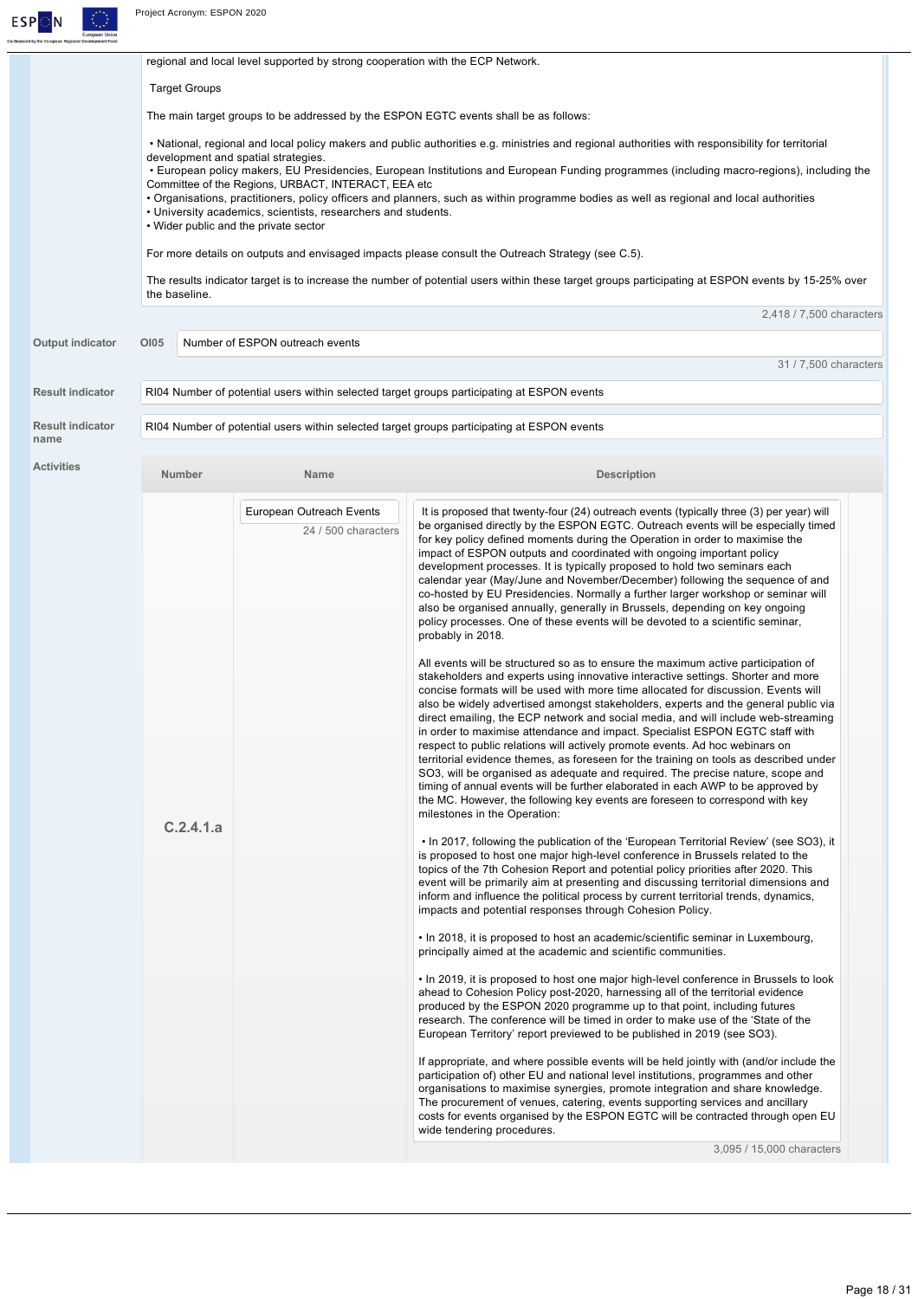

|                         |                                                                                                        |  | regional and local level supported by strong cooperation with the ECP Network. |                                                                                                                                                                           |  |  |  |
|-------------------------|--------------------------------------------------------------------------------------------------------|--|--------------------------------------------------------------------------------|---------------------------------------------------------------------------------------------------------------------------------------------------------------------------|--|--|--|
|                         | <b>Target Groups</b>                                                                                   |  |                                                                                |                                                                                                                                                                           |  |  |  |
|                         | The main target groups to be addressed by the ESPON EGTC events shall be as follows:                   |  |                                                                                |                                                                                                                                                                           |  |  |  |
|                         |                                                                                                        |  |                                                                                | • National, regional and local policy makers and public authorities e.g. ministries and regional authorities with responsibility for territorial                          |  |  |  |
|                         |                                                                                                        |  | development and spatial strategies.                                            | • European policy makers, EU Presidencies, European Institutions and European Funding programmes (including macro-regions), including the                                 |  |  |  |
|                         |                                                                                                        |  | Committee of the Regions, URBACT, INTERACT, EEA etc.                           | • Organisations, practitioners, policy officers and planners, such as within programme bodies as well as regional and local authorities                                   |  |  |  |
|                         | • University academics, scientists, researchers and students.<br>• Wider public and the private sector |  |                                                                                |                                                                                                                                                                           |  |  |  |
|                         |                                                                                                        |  |                                                                                | For more details on outputs and envisaged impacts please consult the Outreach Strategy (see C.5).                                                                         |  |  |  |
|                         | the baseline.                                                                                          |  |                                                                                | The results indicator target is to increase the number of potential users within these target groups participating at ESPON events by 15-25% over                         |  |  |  |
|                         |                                                                                                        |  |                                                                                | 2,418 / 7,500 characters                                                                                                                                                  |  |  |  |
| <b>Output indicator</b> | <b>OI05</b>                                                                                            |  | Number of ESPON outreach events                                                |                                                                                                                                                                           |  |  |  |
|                         |                                                                                                        |  |                                                                                | 31 / 7,500 characters                                                                                                                                                     |  |  |  |
| <b>Result indicator</b> |                                                                                                        |  |                                                                                | RI04 Number of potential users within selected target groups participating at ESPON events                                                                                |  |  |  |
| <b>Result indicator</b> |                                                                                                        |  |                                                                                | RI04 Number of potential users within selected target groups participating at ESPON events                                                                                |  |  |  |
| name                    |                                                                                                        |  |                                                                                |                                                                                                                                                                           |  |  |  |
| <b>Activities</b>       | Number                                                                                                 |  | Name                                                                           | <b>Description</b>                                                                                                                                                        |  |  |  |
|                         |                                                                                                        |  | European Outreach Events                                                       | It is proposed that twenty-four (24) outreach events (typically three (3) per year) will                                                                                  |  |  |  |
|                         |                                                                                                        |  | 24 / 500 characters                                                            | be organised directly by the ESPON EGTC. Outreach events will be especially timed<br>for key policy defined moments during the Operation in order to maximise the         |  |  |  |
|                         |                                                                                                        |  |                                                                                | impact of ESPON outputs and coordinated with ongoing important policy                                                                                                     |  |  |  |
|                         |                                                                                                        |  |                                                                                | development processes. It is typically proposed to hold two seminars each<br>calendar year (May/June and November/December) following the sequence of and                 |  |  |  |
|                         |                                                                                                        |  |                                                                                | co-hosted by EU Presidencies. Normally a further larger workshop or seminar will<br>also be organised annually, generally in Brussels, depending on key ongoing           |  |  |  |
|                         |                                                                                                        |  |                                                                                | policy processes. One of these events will be devoted to a scientific seminar,<br>probably in 2018.                                                                       |  |  |  |
|                         |                                                                                                        |  |                                                                                | All events will be structured so as to ensure the maximum active participation of                                                                                         |  |  |  |
|                         |                                                                                                        |  |                                                                                | stakeholders and experts using innovative interactive settings. Shorter and more<br>concise formats will be used with more time allocated for discussion. Events will     |  |  |  |
|                         |                                                                                                        |  |                                                                                | also be widely advertised amongst stakeholders, experts and the general public via<br>direct emailing, the ECP network and social media, and will include web-streaming   |  |  |  |
|                         |                                                                                                        |  |                                                                                | in order to maximise attendance and impact. Specialist ESPON EGTC staff with<br>respect to public relations will actively promote events. Ad hoc webinars on              |  |  |  |
|                         |                                                                                                        |  |                                                                                | territorial evidence themes, as foreseen for the training on tools as described under                                                                                     |  |  |  |
|                         |                                                                                                        |  |                                                                                | SO3, will be organised as adequate and required. The precise nature, scope and<br>timing of annual events will be further elaborated in each AWP to be approved by        |  |  |  |
|                         |                                                                                                        |  |                                                                                | the MC. However, the following key events are foreseen to correspond with key<br>milestones in the Operation:                                                             |  |  |  |
|                         | C.2.4.1.a                                                                                              |  |                                                                                | • In 2017, following the publication of the 'European Territorial Review' (see SO3), it                                                                                   |  |  |  |
|                         |                                                                                                        |  |                                                                                | is proposed to host one major high-level conference in Brussels related to the                                                                                            |  |  |  |
|                         |                                                                                                        |  |                                                                                | topics of the 7th Cohesion Report and potential policy priorities after 2020. This<br>event will be primarily aim at presenting and discussing territorial dimensions and |  |  |  |
|                         |                                                                                                        |  |                                                                                | inform and influence the political process by current territorial trends, dynamics,<br>impacts and potential responses through Cohesion Policy.                           |  |  |  |
|                         |                                                                                                        |  |                                                                                | • In 2018, it is proposed to host an academic/scientific seminar in Luxembourg,<br>principally aimed at the academic and scientific communities.                          |  |  |  |
|                         |                                                                                                        |  |                                                                                | • In 2019, it is proposed to host one major high-level conference in Brussels to look                                                                                     |  |  |  |
|                         |                                                                                                        |  |                                                                                | ahead to Cohesion Policy post-2020, harnessing all of the territorial evidence<br>produced by the ESPON 2020 programme up to that point, including futures                |  |  |  |
|                         |                                                                                                        |  |                                                                                | research. The conference will be timed in order to make use of the 'State of the<br>European Territory' report previewed to be published in 2019 (see SO3).               |  |  |  |
|                         |                                                                                                        |  |                                                                                | If appropriate, and where possible events will be held jointly with (and/or include the                                                                                   |  |  |  |
|                         |                                                                                                        |  |                                                                                | participation of) other EU and national level institutions, programmes and other<br>organisations to maximise synergies, promote integration and share knowledge.         |  |  |  |
|                         |                                                                                                        |  |                                                                                | The procurement of venues, catering, events supporting services and ancillary<br>costs for events organised by the ESPON EGTC will be contracted through open EU          |  |  |  |
|                         |                                                                                                        |  |                                                                                | wide tendering procedures.<br>3,095 / 15,000 characters                                                                                                                   |  |  |  |
|                         |                                                                                                        |  |                                                                                |                                                                                                                                                                           |  |  |  |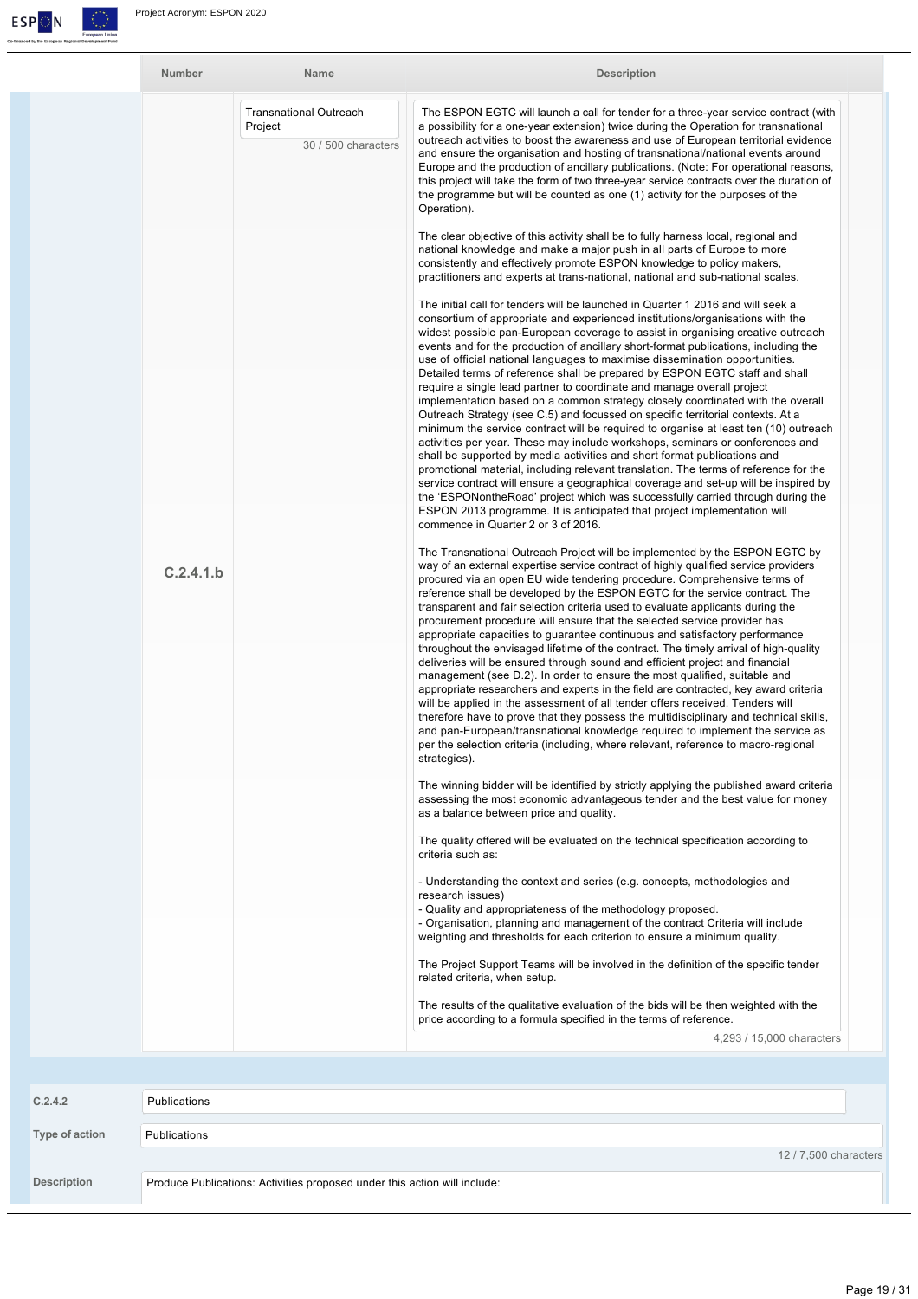

| Number    | Name                                                            | <b>Description</b>                                                                                                                                                                                                                                                                                                                                                                                                                                                                                                                                                                                                                                                                                                                                                                                                                                                                                                                                                                                                                                                                                                                                                                                                                                                                                                                                                                                                                                                                                                                                                                                                                                                                                                            |
|-----------|-----------------------------------------------------------------|-------------------------------------------------------------------------------------------------------------------------------------------------------------------------------------------------------------------------------------------------------------------------------------------------------------------------------------------------------------------------------------------------------------------------------------------------------------------------------------------------------------------------------------------------------------------------------------------------------------------------------------------------------------------------------------------------------------------------------------------------------------------------------------------------------------------------------------------------------------------------------------------------------------------------------------------------------------------------------------------------------------------------------------------------------------------------------------------------------------------------------------------------------------------------------------------------------------------------------------------------------------------------------------------------------------------------------------------------------------------------------------------------------------------------------------------------------------------------------------------------------------------------------------------------------------------------------------------------------------------------------------------------------------------------------------------------------------------------------|
|           | <b>Transnational Outreach</b><br>Project<br>30 / 500 characters | The ESPON EGTC will launch a call for tender for a three-year service contract (with<br>a possibility for a one-year extension) twice during the Operation for transnational<br>outreach activities to boost the awareness and use of European territorial evidence<br>and ensure the organisation and hosting of transnational/national events around<br>Europe and the production of ancillary publications. (Note: For operational reasons,<br>this project will take the form of two three-year service contracts over the duration of<br>the programme but will be counted as one (1) activity for the purposes of the<br>Operation).                                                                                                                                                                                                                                                                                                                                                                                                                                                                                                                                                                                                                                                                                                                                                                                                                                                                                                                                                                                                                                                                                    |
|           |                                                                 | The clear objective of this activity shall be to fully harness local, regional and<br>national knowledge and make a major push in all parts of Europe to more<br>consistently and effectively promote ESPON knowledge to policy makers,<br>practitioners and experts at trans-national, national and sub-national scales.<br>The initial call for tenders will be launched in Quarter 1 2016 and will seek a<br>consortium of appropriate and experienced institutions/organisations with the<br>widest possible pan-European coverage to assist in organising creative outreach<br>events and for the production of ancillary short-format publications, including the<br>use of official national languages to maximise dissemination opportunities.<br>Detailed terms of reference shall be prepared by ESPON EGTC staff and shall<br>require a single lead partner to coordinate and manage overall project<br>implementation based on a common strategy closely coordinated with the overall<br>Outreach Strategy (see C.5) and focussed on specific territorial contexts. At a<br>minimum the service contract will be required to organise at least ten (10) outreach<br>activities per year. These may include workshops, seminars or conferences and<br>shall be supported by media activities and short format publications and<br>promotional material, including relevant translation. The terms of reference for the<br>service contract will ensure a geographical coverage and set-up will be inspired by<br>the 'ESPONontheRoad' project which was successfully carried through during the<br>ESPON 2013 programme. It is anticipated that project implementation will<br>commence in Quarter 2 or 3 of 2016. |
| C.2.4.1.b |                                                                 | The Transnational Outreach Project will be implemented by the ESPON EGTC by<br>way of an external expertise service contract of highly qualified service providers<br>procured via an open EU wide tendering procedure. Comprehensive terms of<br>reference shall be developed by the ESPON EGTC for the service contract. The<br>transparent and fair selection criteria used to evaluate applicants during the<br>procurement procedure will ensure that the selected service provider has<br>appropriate capacities to guarantee continuous and satisfactory performance<br>throughout the envisaged lifetime of the contract. The timely arrival of high-quality<br>deliveries will be ensured through sound and efficient project and financial<br>management (see D.2). In order to ensure the most qualified, suitable and<br>appropriate researchers and experts in the field are contracted, key award criteria<br>will be applied in the assessment of all tender offers received. Tenders will<br>therefore have to prove that they possess the multidisciplinary and technical skills,<br>and pan-European/transnational knowledge required to implement the service as<br>per the selection criteria (including, where relevant, reference to macro-regional<br>strategies).                                                                                                                                                                                                                                                                                                                                                                                                                                     |
|           |                                                                 | The winning bidder will be identified by strictly applying the published award criteria<br>assessing the most economic advantageous tender and the best value for money<br>as a balance between price and quality.<br>The quality offered will be evaluated on the technical specification according to<br>criteria such as:<br>- Understanding the context and series (e.g. concepts, methodologies and<br>research issues)<br>- Quality and appropriateness of the methodology proposed.<br>- Organisation, planning and management of the contract Criteria will include<br>weighting and thresholds for each criterion to ensure a minimum quality.<br>The Project Support Teams will be involved in the definition of the specific tender<br>related criteria, when setup.                                                                                                                                                                                                                                                                                                                                                                                                                                                                                                                                                                                                                                                                                                                                                                                                                                                                                                                                               |

The results of the qualitative evaluation of the bids will be then weighted with the price according to a formula specified in the terms of reference.

4,293 / 15,000 characters

| C.2.4.2            | Publications                                                              |
|--------------------|---------------------------------------------------------------------------|
| Type of action     | Publications                                                              |
|                    | 12/7,500 characters                                                       |
| <b>Description</b> | Produce Publications: Activities proposed under this action will include: |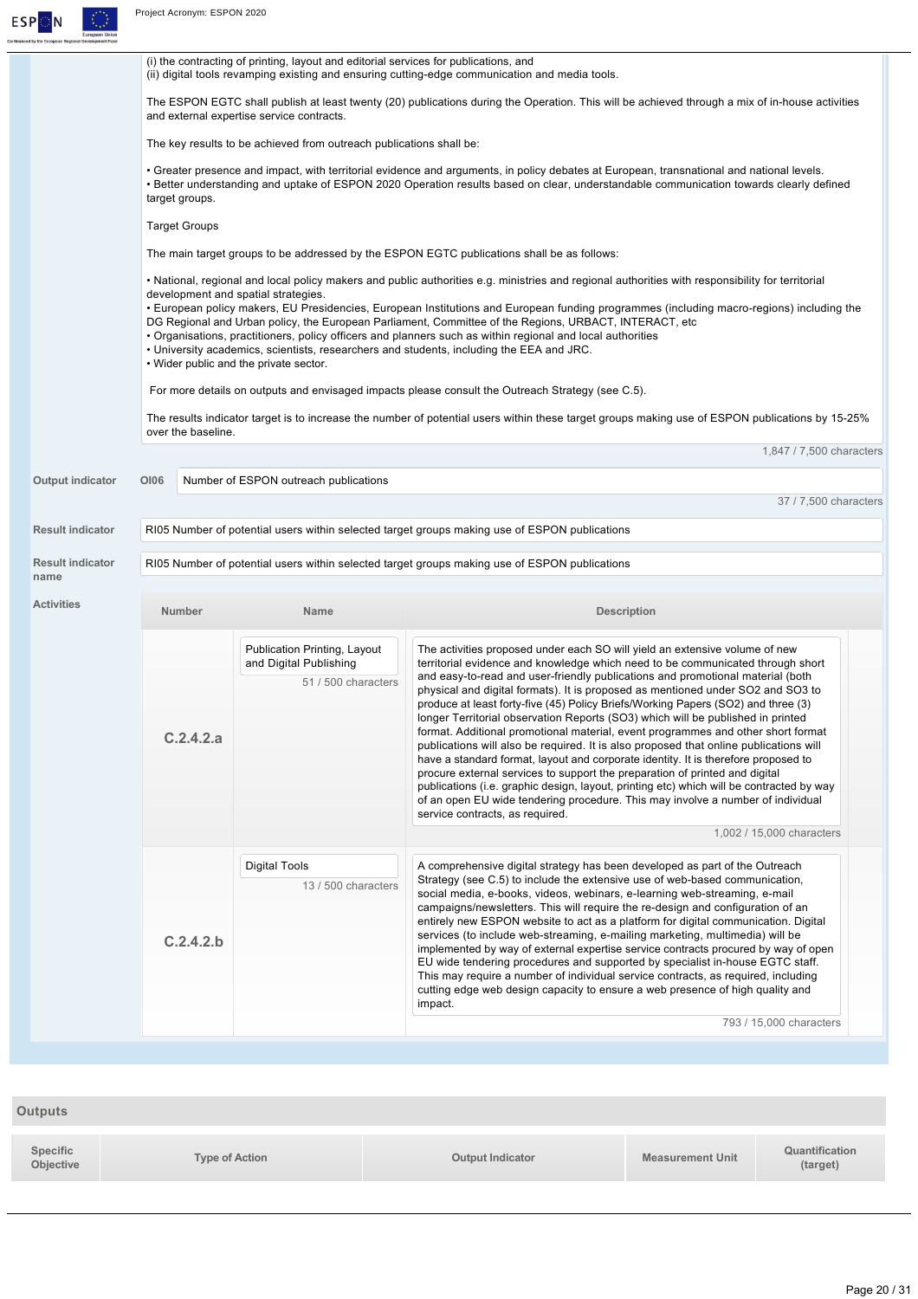

| ) by the European Regional Development Fund |                                                                                                                                                                                                                                                                                                       |                                                                                                                                                                                        |                                                                                                                                                                                                                                                                                                                                                                                                                                                                                                                                                                                                                                                                                                                                                                                                                                                                                                               |  |  |  |
|---------------------------------------------|-------------------------------------------------------------------------------------------------------------------------------------------------------------------------------------------------------------------------------------------------------------------------------------------------------|----------------------------------------------------------------------------------------------------------------------------------------------------------------------------------------|---------------------------------------------------------------------------------------------------------------------------------------------------------------------------------------------------------------------------------------------------------------------------------------------------------------------------------------------------------------------------------------------------------------------------------------------------------------------------------------------------------------------------------------------------------------------------------------------------------------------------------------------------------------------------------------------------------------------------------------------------------------------------------------------------------------------------------------------------------------------------------------------------------------|--|--|--|
|                                             |                                                                                                                                                                                                                                                                                                       | (i) the contracting of printing, layout and editorial services for publications, and<br>(ii) digital tools revamping existing and ensuring cutting-edge communication and media tools. |                                                                                                                                                                                                                                                                                                                                                                                                                                                                                                                                                                                                                                                                                                                                                                                                                                                                                                               |  |  |  |
|                                             | The ESPON EGTC shall publish at least twenty (20) publications during the Operation. This will be achieved through a mix of in-house activities<br>and external expertise service contracts.                                                                                                          |                                                                                                                                                                                        |                                                                                                                                                                                                                                                                                                                                                                                                                                                                                                                                                                                                                                                                                                                                                                                                                                                                                                               |  |  |  |
|                                             |                                                                                                                                                                                                                                                                                                       | The key results to be achieved from outreach publications shall be:                                                                                                                    |                                                                                                                                                                                                                                                                                                                                                                                                                                                                                                                                                                                                                                                                                                                                                                                                                                                                                                               |  |  |  |
|                                             | • Greater presence and impact, with territorial evidence and arguments, in policy debates at European, transnational and national levels.<br>• Better understanding and uptake of ESPON 2020 Operation results based on clear, understandable communication towards clearly defined<br>target groups. |                                                                                                                                                                                        |                                                                                                                                                                                                                                                                                                                                                                                                                                                                                                                                                                                                                                                                                                                                                                                                                                                                                                               |  |  |  |
|                                             | <b>Target Groups</b>                                                                                                                                                                                                                                                                                  |                                                                                                                                                                                        |                                                                                                                                                                                                                                                                                                                                                                                                                                                                                                                                                                                                                                                                                                                                                                                                                                                                                                               |  |  |  |
|                                             |                                                                                                                                                                                                                                                                                                       |                                                                                                                                                                                        | The main target groups to be addressed by the ESPON EGTC publications shall be as follows:                                                                                                                                                                                                                                                                                                                                                                                                                                                                                                                                                                                                                                                                                                                                                                                                                    |  |  |  |
|                                             |                                                                                                                                                                                                                                                                                                       |                                                                                                                                                                                        | • National, regional and local policy makers and public authorities e.g. ministries and regional authorities with responsibility for territorial                                                                                                                                                                                                                                                                                                                                                                                                                                                                                                                                                                                                                                                                                                                                                              |  |  |  |
|                                             |                                                                                                                                                                                                                                                                                                       | development and spatial strategies.<br>. Wider public and the private sector.                                                                                                          | • European policy makers, EU Presidencies, European Institutions and European funding programmes (including macro-regions) including the<br>DG Regional and Urban policy, the European Parliament, Committee of the Regions, URBACT, INTERACT, etc<br>• Organisations, practitioners, policy officers and planners such as within regional and local authorities<br>. University academics, scientists, researchers and students, including the EEA and JRC.                                                                                                                                                                                                                                                                                                                                                                                                                                                  |  |  |  |
|                                             |                                                                                                                                                                                                                                                                                                       |                                                                                                                                                                                        | For more details on outputs and envisaged impacts please consult the Outreach Strategy (see C.5).                                                                                                                                                                                                                                                                                                                                                                                                                                                                                                                                                                                                                                                                                                                                                                                                             |  |  |  |
|                                             | over the baseline.                                                                                                                                                                                                                                                                                    |                                                                                                                                                                                        | The results indicator target is to increase the number of potential users within these target groups making use of ESPON publications by 15-25%                                                                                                                                                                                                                                                                                                                                                                                                                                                                                                                                                                                                                                                                                                                                                               |  |  |  |
|                                             |                                                                                                                                                                                                                                                                                                       |                                                                                                                                                                                        | 1,847 / 7,500 characters                                                                                                                                                                                                                                                                                                                                                                                                                                                                                                                                                                                                                                                                                                                                                                                                                                                                                      |  |  |  |
| Output indicator                            | <b>OI06</b>                                                                                                                                                                                                                                                                                           | Number of ESPON outreach publications                                                                                                                                                  |                                                                                                                                                                                                                                                                                                                                                                                                                                                                                                                                                                                                                                                                                                                                                                                                                                                                                                               |  |  |  |
|                                             |                                                                                                                                                                                                                                                                                                       |                                                                                                                                                                                        | 37 / 7,500 characters                                                                                                                                                                                                                                                                                                                                                                                                                                                                                                                                                                                                                                                                                                                                                                                                                                                                                         |  |  |  |
| <b>Result indicator</b>                     |                                                                                                                                                                                                                                                                                                       |                                                                                                                                                                                        | RI05 Number of potential users within selected target groups making use of ESPON publications                                                                                                                                                                                                                                                                                                                                                                                                                                                                                                                                                                                                                                                                                                                                                                                                                 |  |  |  |
| <b>Result indicator</b><br>name             |                                                                                                                                                                                                                                                                                                       |                                                                                                                                                                                        | RI05 Number of potential users within selected target groups making use of ESPON publications                                                                                                                                                                                                                                                                                                                                                                                                                                                                                                                                                                                                                                                                                                                                                                                                                 |  |  |  |
| <b>Activities</b>                           | Number                                                                                                                                                                                                                                                                                                | <b>Name</b>                                                                                                                                                                            | <b>Description</b>                                                                                                                                                                                                                                                                                                                                                                                                                                                                                                                                                                                                                                                                                                                                                                                                                                                                                            |  |  |  |
|                                             |                                                                                                                                                                                                                                                                                                       | Publication Printing, Layout<br>and Digital Publishing                                                                                                                                 | The activities proposed under each SO will yield an extensive volume of new<br>territorial evidence and knowledge which need to be communicated through short                                                                                                                                                                                                                                                                                                                                                                                                                                                                                                                                                                                                                                                                                                                                                 |  |  |  |
|                                             | C.2.4.2.a                                                                                                                                                                                                                                                                                             | 51 / 500 characters                                                                                                                                                                    | and easy-to-read and user-friendly publications and promotional material (both<br>physical and digital formats). It is proposed as mentioned under SO2 and SO3 to<br>produce at least forty-five (45) Policy Briefs/Working Papers (SO2) and three (3)<br>longer Territorial observation Reports (SO3) which will be published in printed<br>format. Additional promotional material, event programmes and other short format<br>publications will also be required. It is also proposed that online publications will<br>have a standard format, layout and corporate identity. It is therefore proposed to<br>procure external services to support the preparation of printed and digital<br>publications (i.e. graphic design, layout, printing etc) which will be contracted by way<br>of an open EU wide tendering procedure. This may involve a number of individual<br>service contracts, as required. |  |  |  |
|                                             |                                                                                                                                                                                                                                                                                                       |                                                                                                                                                                                        | 1,002 / 15,000 characters                                                                                                                                                                                                                                                                                                                                                                                                                                                                                                                                                                                                                                                                                                                                                                                                                                                                                     |  |  |  |
|                                             | C.2.4.2.b                                                                                                                                                                                                                                                                                             | Digital Tools<br>13 / 500 characters                                                                                                                                                   | A comprehensive digital strategy has been developed as part of the Outreach<br>Strategy (see C.5) to include the extensive use of web-based communication,<br>social media, e-books, videos, webinars, e-learning web-streaming, e-mail<br>campaigns/newsletters. This will require the re-design and configuration of an<br>entirely new ESPON website to act as a platform for digital communication. Digital<br>services (to include web-streaming, e-mailing marketing, multimedia) will be<br>implemented by way of external expertise service contracts procured by way of open<br>EU wide tendering procedures and supported by specialist in-house EGTC staff.<br>This may require a number of individual service contracts, as required, including                                                                                                                                                   |  |  |  |
|                                             |                                                                                                                                                                                                                                                                                                       |                                                                                                                                                                                        | cutting edge web design capacity to ensure a web presence of high quality and<br>impact.                                                                                                                                                                                                                                                                                                                                                                                                                                                                                                                                                                                                                                                                                                                                                                                                                      |  |  |  |
|                                             |                                                                                                                                                                                                                                                                                                       |                                                                                                                                                                                        | 793 / 15,000 characters                                                                                                                                                                                                                                                                                                                                                                                                                                                                                                                                                                                                                                                                                                                                                                                                                                                                                       |  |  |  |
|                                             |                                                                                                                                                                                                                                                                                                       |                                                                                                                                                                                        |                                                                                                                                                                                                                                                                                                                                                                                                                                                                                                                                                                                                                                                                                                                                                                                                                                                                                                               |  |  |  |

| <b>Outputs</b>        |                |                         |                         |                            |
|-----------------------|----------------|-------------------------|-------------------------|----------------------------|
| Specific<br>Objective | Type of Action | <b>Output Indicator</b> | <b>Measurement Unit</b> | Quantification<br>(target) |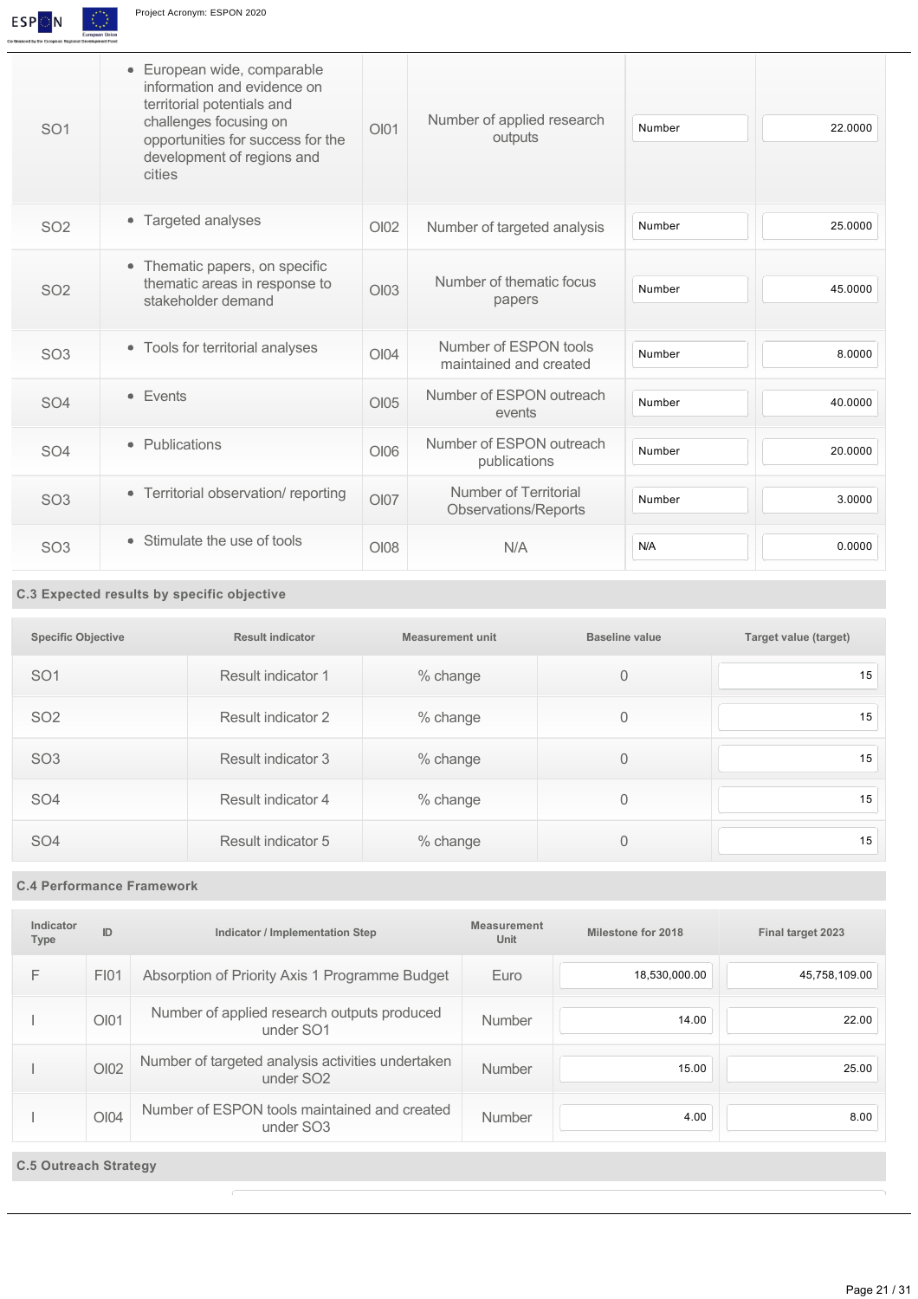

| SO <sub>1</sub> | · European wide, comparable<br>information and evidence on<br>territorial potentials and<br>challenges focusing on<br>opportunities for success for the<br>development of regions and<br>cities | OIO1             | Number of applied research<br>outputs           | Number | 22.0000 |
|-----------------|-------------------------------------------------------------------------------------------------------------------------------------------------------------------------------------------------|------------------|-------------------------------------------------|--------|---------|
| <b>SO2</b>      | • Targeted analyses                                                                                                                                                                             | O <sub>102</sub> | Number of targeted analysis                     | Number | 25.0000 |
| SO <sub>2</sub> | Thematic papers, on specific<br>$\bullet$<br>thematic areas in response to<br>stakeholder demand                                                                                                | $O$ IO3          | Number of thematic focus<br>papers              | Number | 45.0000 |
| <b>SO3</b>      | • Tools for territorial analyses                                                                                                                                                                | $O$ $I$ 04       | Number of ESPON tools<br>maintained and created | Number | 8.0000  |
| <b>SO4</b>      | • Events                                                                                                                                                                                        | OIO5             | Number of ESPON outreach<br>events              | Number | 40.0000 |
| SO <sub>4</sub> | • Publications                                                                                                                                                                                  | OI06             | Number of ESPON outreach<br>publications        | Number | 20.0000 |
| SO <sub>3</sub> | • Territorial observation/reporting                                                                                                                                                             | OIO7             | Number of Territorial<br>Observations/Reports   | Number | 3.0000  |
| SO <sub>3</sub> | • Stimulate the use of tools                                                                                                                                                                    | $O$ $108$        | N/A                                             | N/A    | 0.0000  |

# **C.3 Expected results by specific objective**

| <b>Specific Objective</b> | <b>Result indicator</b> | Measurement unit | Baseline value | Target value (target) |
|---------------------------|-------------------------|------------------|----------------|-----------------------|
| <b>SO1</b>                | Result indicator 1      | % change         | 0              | 15                    |
| SO <sub>2</sub>           | Result indicator 2      | % change         | 0              | 15                    |
| SO <sub>3</sub>           | Result indicator 3      | % change         | 0              | 15                    |
| SO <sub>4</sub>           | Result indicator 4      | % change         | 0              | 15                    |
| <b>SO4</b>                | Result indicator 5      | % change         | 0              | 15                    |

## **C.4 Performance Framework**

| Indicator<br><b>Type</b> | ID        | Indicator / Implementation Step                                            | <b>Measurement</b><br>Unit | Milestone for 2018 | Final target 2023 |
|--------------------------|-----------|----------------------------------------------------------------------------|----------------------------|--------------------|-------------------|
| F                        | FI01      | Absorption of Priority Axis 1 Programme Budget                             | Euro                       | 18,530,000.00      | 45,758,109.00     |
|                          | OIO1      | Number of applied research outputs produced<br>under SO <sub>1</sub>       | Number                     | 14.00              | 22.00             |
|                          | $O$ $102$ | Number of targeted analysis activities undertaken<br>under SO <sub>2</sub> | Number                     | 15.00              | 25.00             |
|                          | $O$ $104$ | Number of ESPON tools maintained and created<br>under SO <sub>3</sub>      | Number                     | 4.00               | 8.00              |

# **C.5 Outreach Strategy**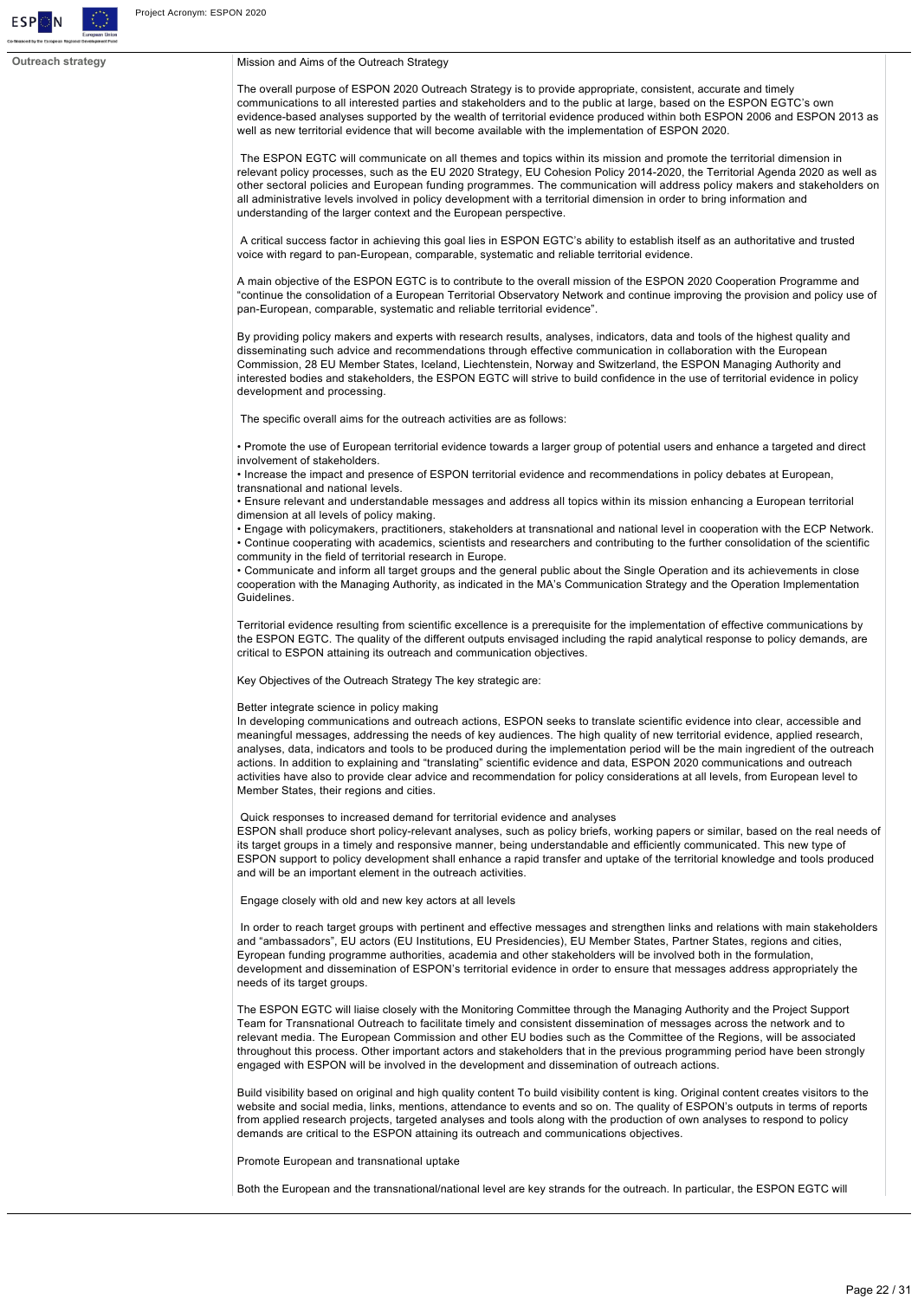

#### **Outreach strategy** Mission and Aims of the Outreach Strategy

The overall purpose of ESPON 2020 Outreach Strategy is to provide appropriate, consistent, accurate and timely communications to all interested parties and stakeholders and to the public at large, based on the ESPON EGTC's own evidence-based analyses supported by the wealth of territorial evidence produced within both ESPON 2006 and ESPON 2013 as well as new territorial evidence that will become available with the implementation of ESPON 2020.

 The ESPON EGTC will communicate on all themes and topics within its mission and promote the territorial dimension in relevant policy processes, such as the EU 2020 Strategy, EU Cohesion Policy 20142020, the Territorial Agenda 2020 as well as other sectoral policies and European funding programmes. The communication will address policy makers and stakeholders on all administrative levels involved in policy development with a territorial dimension in order to bring information and understanding of the larger context and the European perspective.

 A critical success factor in achieving this goal lies in ESPON EGTC's ability to establish itself as an authoritative and trusted voice with regard to pan-European, comparable, systematic and reliable territorial evidence.

A main objective of the ESPON EGTC is to contribute to the overall mission of the ESPON 2020 Cooperation Programme and "continue the consolidation of a European Territorial Observatory Network and continue improving the provision and policy use of pan-European, comparable, systematic and reliable territorial evidence".

By providing policy makers and experts with research results, analyses, indicators, data and tools of the highest quality and disseminating such advice and recommendations through effective communication in collaboration with the European Commission, 28 EU Member States, Iceland, Liechtenstein, Norway and Switzerland, the ESPON Managing Authority and interested bodies and stakeholders, the ESPON EGTC will strive to build confidence in the use of territorial evidence in policy development and processing.

The specific overall aims for the outreach activities are as follows:

• Promote the use of European territorial evidence towards a larger group of potential users and enhance a targeted and direct involvement of stakeholders.

• Increase the impact and presence of ESPON territorial evidence and recommendations in policy debates at European, transnational and national levels.

• Ensure relevant and understandable messages and address all topics within its mission enhancing a European territorial dimension at all levels of policy making.

• Engage with policymakers, practitioners, stakeholders at transnational and national level in cooperation with the ECP Network. • Continue cooperating with academics, scientists and researchers and contributing to the further consolidation of the scientific community in the field of territorial research in Europe.

• Communicate and inform all target groups and the general public about the Single Operation and its achievements in close cooperation with the Managing Authority, as indicated in the MA's Communication Strategy and the Operation Implementation Guidelines.

Territorial evidence resulting from scientific excellence is a prerequisite for the implementation of effective communications by the ESPON EGTC. The quality of the different outputs envisaged including the rapid analytical response to policy demands, are critical to ESPON attaining its outreach and communication objectives.

Key Objectives of the Outreach Strategy The key strategic are:

#### Better integrate science in policy making

In developing communications and outreach actions, ESPON seeks to translate scientific evidence into clear, accessible and meaningful messages, addressing the needs of key audiences. The high quality of new territorial evidence, applied research, analyses, data, indicators and tools to be produced during the implementation period will be the main ingredient of the outreach actions. In addition to explaining and "translating" scientific evidence and data, ESPON 2020 communications and outreach activities have also to provide clear advice and recommendation for policy considerations at all levels, from European level to Member States, their regions and cities.

Quick responses to increased demand for territorial evidence and analyses

ESPON shall produce short policy-relevant analyses, such as policy briefs, working papers or similar, based on the real needs of its target groups in a timely and responsive manner, being understandable and efficiently communicated. This new type of ESPON support to policy development shall enhance a rapid transfer and uptake of the territorial knowledge and tools produced and will be an important element in the outreach activities.

Engage closely with old and new key actors at all levels

 In order to reach target groups with pertinent and effective messages and strengthen links and relations with main stakeholders and "ambassadors", EU actors (EU Institutions, EU Presidencies), EU Member States, Partner States, regions and cities, Eyropean funding programme authorities, academia and other stakeholders will be involved both in the formulation, development and dissemination of ESPON's territorial evidence in order to ensure that messages address appropriately the needs of its target groups.

The ESPON EGTC will liaise closely with the Monitoring Committee through the Managing Authority and the Project Support Team for Transnational Outreach to facilitate timely and consistent dissemination of messages across the network and to relevant media. The European Commission and other EU bodies such as the Committee of the Regions, will be associated throughout this process. Other important actors and stakeholders that in the previous programming period have been strongly engaged with ESPON will be involved in the development and dissemination of outreach actions.

Build visibility based on original and high quality content To build visibility content is king. Original content creates visitors to the website and social media, links, mentions, attendance to events and so on. The quality of ESPON's outputs in terms of reports from applied research projects, targeted analyses and tools along with the production of own analyses to respond to policy demands are critical to the ESPON attaining its outreach and communications objectives.

Promote European and transnational uptake

Both the European and the transnational/national level are key strands for the outreach. In particular, the ESPON EGTC will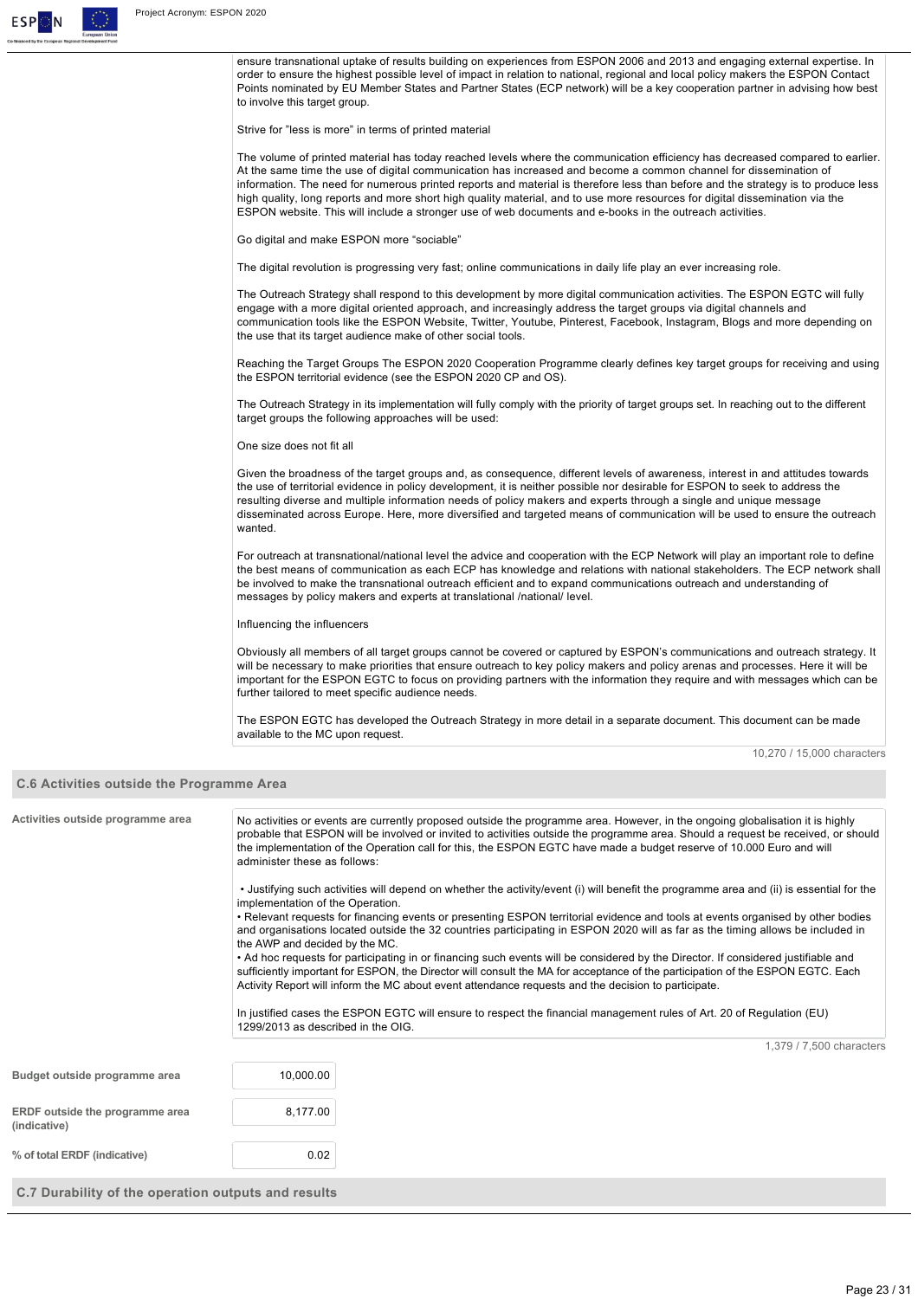

|                                                  | ensure transnational uptake of results building on experiences from ESPON 2006 and 2013 and engaging external expertise. In<br>order to ensure the highest possible level of impact in relation to national, regional and local policy makers the ESPON Contact<br>Points nominated by EU Member States and Partner States (ECP network) will be a key cooperation partner in advising how best<br>to involve this target group.                                                                                                                                                                                                   |  |  |
|--------------------------------------------------|------------------------------------------------------------------------------------------------------------------------------------------------------------------------------------------------------------------------------------------------------------------------------------------------------------------------------------------------------------------------------------------------------------------------------------------------------------------------------------------------------------------------------------------------------------------------------------------------------------------------------------|--|--|
|                                                  | Strive for "less is more" in terms of printed material                                                                                                                                                                                                                                                                                                                                                                                                                                                                                                                                                                             |  |  |
|                                                  | The volume of printed material has today reached levels where the communication efficiency has decreased compared to earlier.<br>At the same time the use of digital communication has increased and become a common channel for dissemination of<br>information. The need for numerous printed reports and material is therefore less than before and the strategy is to produce less<br>high quality, long reports and more short high quality material, and to use more resources for digital dissemination via the<br>ESPON website. This will include a stronger use of web documents and e-books in the outreach activities. |  |  |
|                                                  | Go digital and make ESPON more "sociable"                                                                                                                                                                                                                                                                                                                                                                                                                                                                                                                                                                                          |  |  |
|                                                  | The digital revolution is progressing very fast; online communications in daily life play an ever increasing role.                                                                                                                                                                                                                                                                                                                                                                                                                                                                                                                 |  |  |
|                                                  | The Outreach Strategy shall respond to this development by more digital communication activities. The ESPON EGTC will fully<br>engage with a more digital oriented approach, and increasingly address the target groups via digital channels and<br>communication tools like the ESPON Website, Twitter, Youtube, Pinterest, Facebook, Instagram, Blogs and more depending on<br>the use that its target audience make of other social tools.                                                                                                                                                                                      |  |  |
|                                                  | Reaching the Target Groups The ESPON 2020 Cooperation Programme clearly defines key target groups for receiving and using<br>the ESPON territorial evidence (see the ESPON 2020 CP and OS).                                                                                                                                                                                                                                                                                                                                                                                                                                        |  |  |
|                                                  | The Outreach Strategy in its implementation will fully comply with the priority of target groups set. In reaching out to the different<br>target groups the following approaches will be used:                                                                                                                                                                                                                                                                                                                                                                                                                                     |  |  |
|                                                  | One size does not fit all                                                                                                                                                                                                                                                                                                                                                                                                                                                                                                                                                                                                          |  |  |
|                                                  | Given the broadness of the target groups and, as consequence, different levels of awareness, interest in and attitudes towards<br>the use of territorial evidence in policy development, it is neither possible nor desirable for ESPON to seek to address the<br>resulting diverse and multiple information needs of policy makers and experts through a single and unique message<br>disseminated across Europe. Here, more diversified and targeted means of communication will be used to ensure the outreach<br>wanted.                                                                                                       |  |  |
|                                                  | For outreach at transnational/national level the advice and cooperation with the ECP Network will play an important role to define<br>the best means of communication as each ECP has knowledge and relations with national stakeholders. The ECP network shall<br>be involved to make the transnational outreach efficient and to expand communications outreach and understanding of<br>messages by policy makers and experts at translational /national/ level.                                                                                                                                                                 |  |  |
| Influencing the influencers                      |                                                                                                                                                                                                                                                                                                                                                                                                                                                                                                                                                                                                                                    |  |  |
|                                                  | Obviously all members of all target groups cannot be covered or captured by ESPON's communications and outreach strategy. It<br>will be necessary to make priorities that ensure outreach to key policy makers and policy arenas and processes. Here it will be<br>important for the ESPON EGTC to focus on providing partners with the information they require and with messages which can be<br>further tailored to meet specific audience needs.                                                                                                                                                                               |  |  |
|                                                  | The ESPON EGTC has developed the Outreach Strategy in more detail in a separate document. This document can be made<br>available to the MC upon request.                                                                                                                                                                                                                                                                                                                                                                                                                                                                           |  |  |
|                                                  | 10,270 / 15,000 characters                                                                                                                                                                                                                                                                                                                                                                                                                                                                                                                                                                                                         |  |  |
| <b>C.6 Activities outside the Programme Area</b> |                                                                                                                                                                                                                                                                                                                                                                                                                                                                                                                                                                                                                                    |  |  |
| Activities outside programme area                | No activities or events are currently proposed outside the programme area. However, in the ongoing globalisation it is highly<br>probable that ESPON will be involved or invited to activities outside the programme area. Should a request be received, or should<br>the implementation of the Operation call for this, the ESPON EGTC have made a budget reserve of 10.000 Euro and will<br>administer these as follows:                                                                                                                                                                                                         |  |  |
|                                                  | • Justifying such activities will depend on whether the activity/event (i) will benefit the programme area and (ii) is essential for the<br>implementation of the Operation.<br>• Relevant requests for financing events or presenting ESPON territorial evidence and tools at events organised by other bodies<br>and organisations located outside the 32 countries participating in ESPON 2020 will as far as the timing allows be included in<br>the AWP and decided by the MC.                                                                                                                                                |  |  |
|                                                  | • Ad hoc requests for participating in or financing such events will be considered by the Director. If considered justifiable and<br>sufficiently important for ESPON, the Director will consult the MA for acceptance of the participation of the ESPON EGTC. Each<br>Activity Report will inform the MC about event attendance requests and the decision to participate.                                                                                                                                                                                                                                                         |  |  |
|                                                  | In justified cases the ESPON EGTC will ensure to respect the financial management rules of Art. 20 of Regulation (EU)<br>1299/2013 as described in the OIG.                                                                                                                                                                                                                                                                                                                                                                                                                                                                        |  |  |
|                                                  | 1,379 / 7,500 characters                                                                                                                                                                                                                                                                                                                                                                                                                                                                                                                                                                                                           |  |  |
| Budget outside programme area                    | 10,000.00                                                                                                                                                                                                                                                                                                                                                                                                                                                                                                                                                                                                                          |  |  |
| ERDF outside the programme area<br>(indicative)  | 8,177.00                                                                                                                                                                                                                                                                                                                                                                                                                                                                                                                                                                                                                           |  |  |
| % of total ERDF (indicative)                     | 0.02                                                                                                                                                                                                                                                                                                                                                                                                                                                                                                                                                                                                                               |  |  |

**C.7 Durability of the operation outputs and results**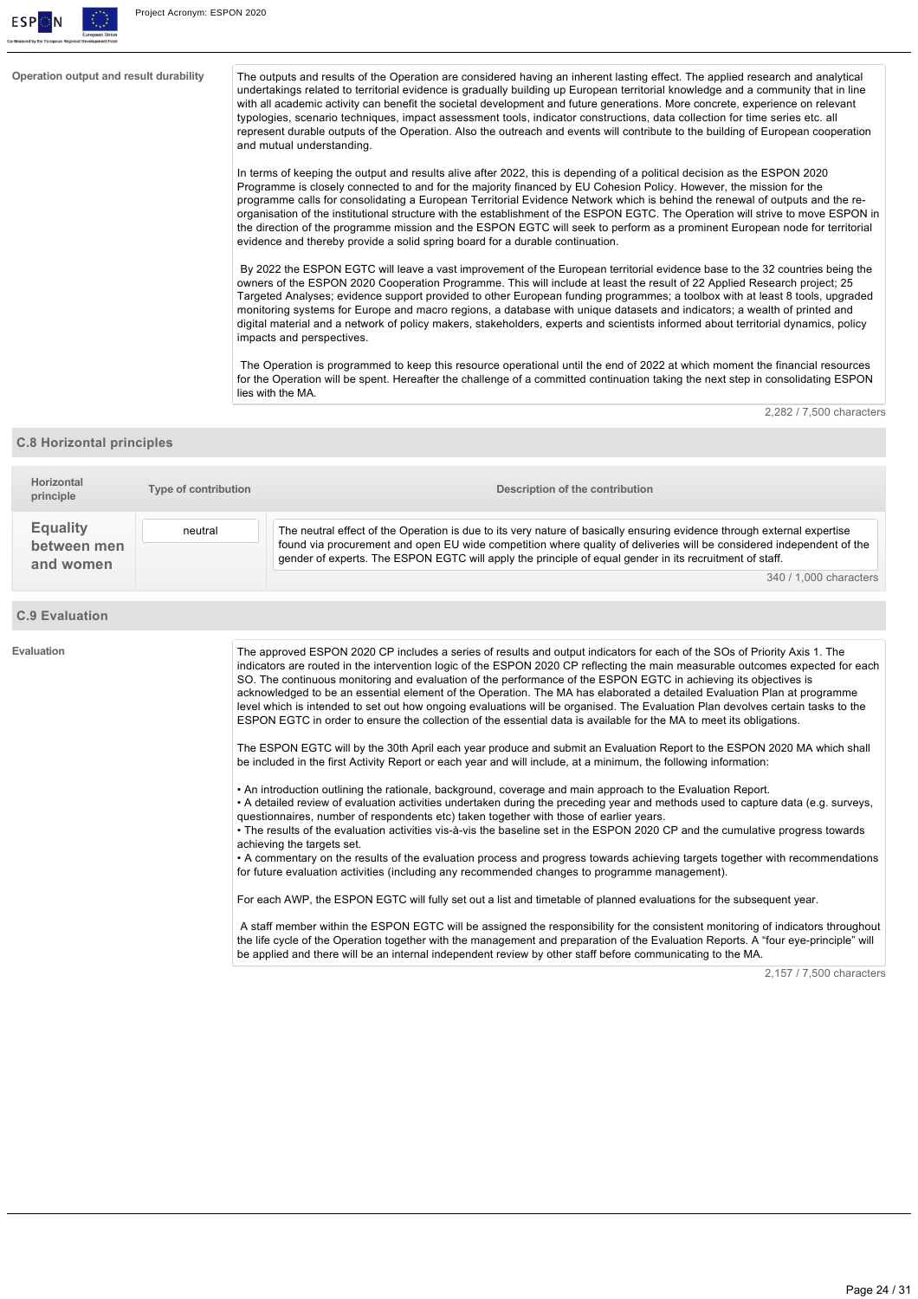

**Operation output and result durability** The outputs and results of the Operation are considered having an inherent lasting effect. The applied research and analytical undertakings related to territorial evidence is gradually building up European territorial knowledge and a community that in line with all academic activity can benefit the societal development and future generations. More concrete, experience on relevant typologies, scenario techniques, impact assessment tools, indicator constructions, data collection for time series etc. all represent durable outputs of the Operation. Also the outreach and events will contribute to the building of European cooperation and mutual understanding.

> In terms of keeping the output and results alive after 2022, this is depending of a political decision as the ESPON 2020 Programme is closely connected to and for the majority financed by EU Cohesion Policy. However, the mission for the programme calls for consolidating a European Territorial Evidence Network which is behind the renewal of outputs and the reorganisation of the institutional structure with the establishment of the ESPON EGTC. The Operation will strive to move ESPON in the direction of the programme mission and the ESPON EGTC will seek to perform as a prominent European node for territorial evidence and thereby provide a solid spring board for a durable continuation.

> By 2022 the ESPON EGTC will leave a vast improvement of the European territorial evidence base to the 32 countries being the owners of the ESPON 2020 Cooperation Programme. This will include at least the result of 22 Applied Research project; 25 Targeted Analyses; evidence support provided to other European funding programmes; a toolbox with at least 8 tools, upgraded monitoring systems for Europe and macro regions, a database with unique datasets and indicators; a wealth of printed and digital material and a network of policy makers, stakeholders, experts and scientists informed about territorial dynamics, policy impacts and perspectives.

> The Operation is programmed to keep this resource operational until the end of 2022 at which moment the financial resources for the Operation will be spent. Hereafter the challenge of a committed continuation taking the next step in consolidating ESPON lies with the MA.

> > 2,282 / 7,500 characters

#### **C.8 Horizontal principles**

| Horizontal<br>principle                     | Type of contribution | Description of the contribution                                                                                                                                                                                                                                                                                                                                                      |
|---------------------------------------------|----------------------|--------------------------------------------------------------------------------------------------------------------------------------------------------------------------------------------------------------------------------------------------------------------------------------------------------------------------------------------------------------------------------------|
| <b>Equality</b><br>between men<br>and women | neutral              | The neutral effect of the Operation is due to its very nature of basically ensuring evidence through external expertise<br>found via procurement and open EU wide competition where quality of deliveries will be considered independent of the<br>gender of experts. The ESPON EGTC will apply the principle of equal gender in its recruitment of staff.<br>340 / 1.000 characters |

#### **C.9 Evaluation**

| Evaluation | The approved ESPON 2020 CP includes a series of results and output indicators for each of the SOs of Priority Axis 1. The<br>indicators are routed in the intervention logic of the ESPON 2020 CP reflecting the main measurable outcomes expected for each<br>SO. The continuous monitoring and evaluation of the performance of the ESPON EGTC in achieving its objectives is<br>acknowledged to be an essential element of the Operation. The MA has elaborated a detailed Evaluation Plan at programme<br>level which is intended to set out how ongoing evaluations will be organised. The Evaluation Plan devolves certain tasks to the<br>ESPON EGTC in order to ensure the collection of the essential data is available for the MA to meet its obligations. |
|------------|----------------------------------------------------------------------------------------------------------------------------------------------------------------------------------------------------------------------------------------------------------------------------------------------------------------------------------------------------------------------------------------------------------------------------------------------------------------------------------------------------------------------------------------------------------------------------------------------------------------------------------------------------------------------------------------------------------------------------------------------------------------------|
|            | The ESPON EGTC will by the 30th April each year produce and submit an Evaluation Report to the ESPON 2020 MA which shall<br>be included in the first Activity Report or each year and will include, at a minimum, the following information:                                                                                                                                                                                                                                                                                                                                                                                                                                                                                                                         |
|            | • An introduction outlining the rationale, background, coverage and main approach to the Evaluation Report.<br>• A detailed review of evaluation activities undertaken during the preceding year and methods used to capture data (e.g. surveys,<br>questionnaires, number of respondents etc) taken together with those of earlier years.                                                                                                                                                                                                                                                                                                                                                                                                                           |
|            | • The results of the evaluation activities vis-à-vis the baseline set in the ESPON 2020 CP and the cumulative progress towards<br>achieving the targets set.                                                                                                                                                                                                                                                                                                                                                                                                                                                                                                                                                                                                         |
|            | • A commentary on the results of the evaluation process and progress towards achieving targets together with recommendations<br>for future evaluation activities (including any recommended changes to programme management).                                                                                                                                                                                                                                                                                                                                                                                                                                                                                                                                        |
|            | For each AWP, the ESPON EGTC will fully set out a list and timetable of planned evaluations for the subsequent year.                                                                                                                                                                                                                                                                                                                                                                                                                                                                                                                                                                                                                                                 |

 A staff member within the ESPON EGTC will be assigned the responsibility for the consistent monitoring of indicators throughout the life cycle of the Operation together with the management and preparation of the Evaluation Reports. A "four eye-principle" will be applied and there will be an internal independent review by other staff before communicating to the MA.

2,157 / 7,500 characters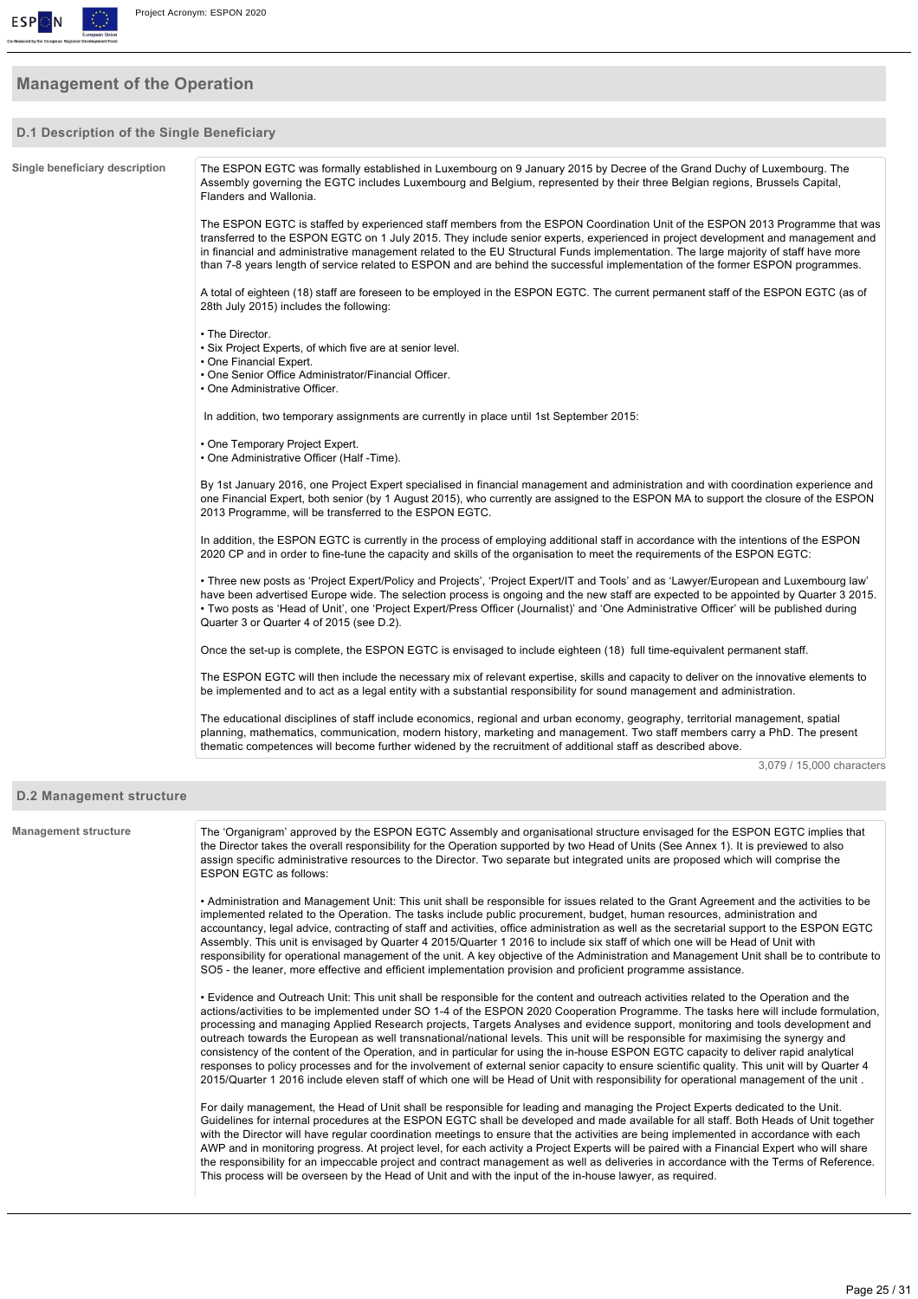

# **Management of the Operation**

#### **D.1 Description of the Single Beneficiary**

| Single beneficiary description  | The ESPON EGTC was formally established in Luxembourg on 9 January 2015 by Decree of the Grand Duchy of Luxembourg. The<br>Assembly governing the EGTC includes Luxembourg and Belgium, represented by their three Belgian regions, Brussels Capital,<br>Flanders and Wallonia.                                                                                                                                                                                                                                                                                                                                                                                                                                                                                                                                 |
|---------------------------------|-----------------------------------------------------------------------------------------------------------------------------------------------------------------------------------------------------------------------------------------------------------------------------------------------------------------------------------------------------------------------------------------------------------------------------------------------------------------------------------------------------------------------------------------------------------------------------------------------------------------------------------------------------------------------------------------------------------------------------------------------------------------------------------------------------------------|
|                                 | The ESPON EGTC is staffed by experienced staff members from the ESPON Coordination Unit of the ESPON 2013 Programme that was<br>transferred to the ESPON EGTC on 1 July 2015. They include senior experts, experienced in project development and management and<br>in financial and administrative management related to the EU Structural Funds implementation. The large majority of staff have more<br>than 7-8 years length of service related to ESPON and are behind the successful implementation of the former ESPON programmes.                                                                                                                                                                                                                                                                       |
|                                 | A total of eighteen (18) staff are foreseen to be employed in the ESPON EGTC. The current permanent staff of the ESPON EGTC (as of<br>28th July 2015) includes the following:                                                                                                                                                                                                                                                                                                                                                                                                                                                                                                                                                                                                                                   |
|                                 | • The Director.<br>• Six Project Experts, of which five are at senior level.<br>• One Financial Expert.<br>• One Senior Office Administrator/Financial Officer.<br>• One Administrative Officer.                                                                                                                                                                                                                                                                                                                                                                                                                                                                                                                                                                                                                |
|                                 | In addition, two temporary assignments are currently in place until 1st September 2015:                                                                                                                                                                                                                                                                                                                                                                                                                                                                                                                                                                                                                                                                                                                         |
|                                 | • One Temporary Project Expert.<br>• One Administrative Officer (Half -Time).                                                                                                                                                                                                                                                                                                                                                                                                                                                                                                                                                                                                                                                                                                                                   |
|                                 | By 1st January 2016, one Project Expert specialised in financial management and administration and with coordination experience and<br>one Financial Expert, both senior (by 1 August 2015), who currently are assigned to the ESPON MA to support the closure of the ESPON<br>2013 Programme, will be transferred to the ESPON EGTC.                                                                                                                                                                                                                                                                                                                                                                                                                                                                           |
|                                 | In addition, the ESPON EGTC is currently in the process of employing additional staff in accordance with the intentions of the ESPON<br>2020 CP and in order to fine-tune the capacity and skills of the organisation to meet the requirements of the ESPON EGTC:                                                                                                                                                                                                                                                                                                                                                                                                                                                                                                                                               |
|                                 | • Three new posts as 'Project Expert/Policy and Projects', 'Project Expert/IT and Tools' and as 'Lawyer/European and Luxembourg law'<br>have been advertised Europe wide. The selection process is ongoing and the new staff are expected to be appointed by Quarter 3 2015.<br>• Two posts as 'Head of Unit', one 'Project Expert/Press Officer (Journalist)' and 'One Administrative Officer' will be published during<br>Quarter 3 or Quarter 4 of 2015 (see D.2).                                                                                                                                                                                                                                                                                                                                           |
|                                 | Once the set-up is complete, the ESPON EGTC is envisaged to include eighteen (18) full time-equivalent permanent staff.                                                                                                                                                                                                                                                                                                                                                                                                                                                                                                                                                                                                                                                                                         |
|                                 | The ESPON EGTC will then include the necessary mix of relevant expertise, skills and capacity to deliver on the innovative elements to<br>be implemented and to act as a legal entity with a substantial responsibility for sound management and administration.                                                                                                                                                                                                                                                                                                                                                                                                                                                                                                                                                |
|                                 | The educational disciplines of staff include economics, regional and urban economy, geography, territorial management, spatial<br>planning, mathematics, communication, modern history, marketing and management. Two staff members carry a PhD. The present<br>thematic competences will become further widened by the recruitment of additional staff as described above.                                                                                                                                                                                                                                                                                                                                                                                                                                     |
|                                 | 3.079 / 15.000 characters                                                                                                                                                                                                                                                                                                                                                                                                                                                                                                                                                                                                                                                                                                                                                                                       |
| <b>D.2 Management structure</b> |                                                                                                                                                                                                                                                                                                                                                                                                                                                                                                                                                                                                                                                                                                                                                                                                                 |
| <b>Management structure</b>     | The 'Organigram' approved by the ESPON EGTC Assembly and organisational structure envisaged for the ESPON EGTC implies that<br>the Director takes the overall responsibility for the Operation supported by two Head of Units (See Annex 1). It is previewed to also<br>assign specific administrative resources to the Director. Two separate but integrated units are proposed which will comprise the<br><b>ESPON EGTC as follows:</b>                                                                                                                                                                                                                                                                                                                                                                       |
|                                 | • Administration and Management Unit: This unit shall be responsible for issues related to the Grant Agreement and the activities to be<br>implemented related to the Operation. The tasks include public procurement, budget, human resources, administration and<br>accountancy, legal advice, contracting of staff and activities, office administration as well as the secretarial support to the ESPON EGTC<br>Assembly. This unit is envisaged by Quarter 4 2015/Quarter 1 2016 to include six staff of which one will be Head of Unit with<br>responsibility for operational management of the unit. A key objective of the Administration and Management Unit shall be to contribute to<br>SO5 - the leaner, more effective and efficient implementation provision and proficient programme assistance. |

• Evidence and Outreach Unit: This unit shall be responsible for the content and outreach activities related to the Operation and the actions/activities to be implemented under SO 14 of the ESPON 2020 Cooperation Programme. The tasks here will include formulation, processing and managing Applied Research projects, Targets Analyses and evidence support, monitoring and tools development and outreach towards the European as well transnational/national levels. This unit will be responsible for maximising the synergy and consistency of the content of the Operation, and in particular for using the inhouse ESPON EGTC capacity to deliver rapid analytical responses to policy processes and for the involvement of external senior capacity to ensure scientific quality. This unit will by Quarter 4 2015/Quarter 1 2016 include eleven staff of which one will be Head of Unit with responsibility for operational management of the unit .

For daily management, the Head of Unit shall be responsible for leading and managing the Project Experts dedicated to the Unit. Guidelines for internal procedures at the ESPON EGTC shall be developed and made available for all staff. Both Heads of Unit together with the Director will have regular coordination meetings to ensure that the activities are being implemented in accordance with each AWP and in monitoring progress. At project level, for each activity a Project Experts will be paired with a Financial Expert who will share the responsibility for an impeccable project and contract management as well as deliveries in accordance with the Terms of Reference. This process will be overseen by the Head of Unit and with the input of the inhouse lawyer, as required.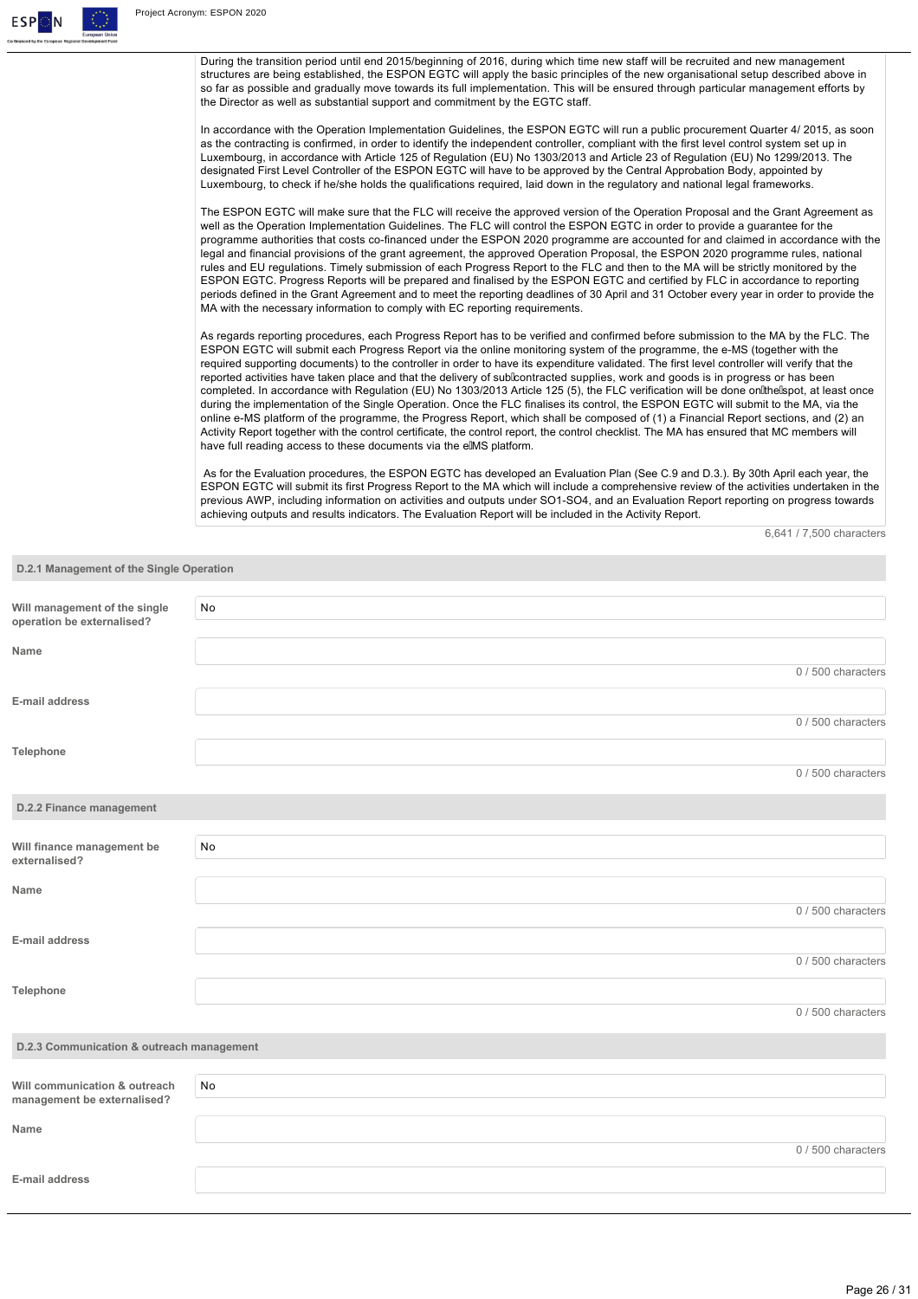

During the transition period until end 2015/beginning of 2016, during which time new staff will be recruited and new management structures are being established, the ESPON EGTC will apply the basic principles of the new organisational setup described above in so far as possible and gradually move towards its full implementation. This will be ensured through particular management efforts by the Director as well as substantial support and commitment by the EGTC staff.

In accordance with the Operation Implementation Guidelines, the ESPON EGTC will run a public procurement Quarter 4/ 2015, as soon as the contracting is confirmed, in order to identify the independent controller, compliant with the first level control system set up in Luxembourg, in accordance with Article 125 of Regulation (EU) No 1303/2013 and Article 23 of Regulation (EU) No 1299/2013. The designated First Level Controller of the ESPON EGTC will have to be approved by the Central Approbation Body, appointed by Luxembourg, to check if he/she holds the qualifications required, laid down in the regulatory and national legal frameworks.

The ESPON EGTC will make sure that the FLC will receive the approved version of the Operation Proposal and the Grant Agreement as well as the Operation Implementation Guidelines. The FLC will control the ESPON EGTC in order to provide a guarantee for the programme authorities that costs co-financed under the ESPON 2020 programme are accounted for and claimed in accordance with the legal and financial provisions of the grant agreement, the approved Operation Proposal, the ESPON 2020 programme rules, national rules and EU regulations. Timely submission of each Progress Report to the FLC and then to the MA will be strictly monitored by the ESPON EGTC. Progress Reports will be prepared and finalised by the ESPON EGTC and certified by FLC in accordance to reporting periods defined in the Grant Agreement and to meet the reporting deadlines of 30 April and 31 October every year in order to provide the MA with the necessary information to comply with EC reporting requirements.

As regards reporting procedures, each Progress Report has to be verified and confirmed before submission to the MA by the FLC. The ESPON EGTC will submit each Progress Report via the online monitoring system of the programme, the e-MS (together with the required supporting documents) to the controller in order to have its expenditure validated. The first level controller will verify that the reported activities have taken place and that the delivery of sublcontracted supplies, work and goods is in progress or has been completed. In accordance with Regulation (EU) No 1303/2013 Article 125 (5), the FLC verification will be done onlihelspot, at least once during the implementation of the Single Operation. Once the FLC finalises its control, the ESPON EGTC will submit to the MA, via the online e-MS platform of the programme, the Progress Report, which shall be composed of (1) a Financial Report sections, and (2) an Activity Report together with the control certificate, the control report, the control checklist. The MA has ensured that MC members will have full reading access to these documents via the elMS platform.

 As for the Evaluation procedures, the ESPON EGTC has developed an Evaluation Plan (See C.9 and D.3.). By 30th April each year, the ESPON EGTC will submit its first Progress Report to the MA which will include a comprehensive review of the activities undertaken in the previous AWP, including information on activities and outputs under SO1-SO4, and an Evaluation Report reporting on progress towards achieving outputs and results indicators. The Evaluation Report will be included in the Activity Report.

6,641 / 7,500 characters

| D.2.1 Management of the Single Operation                     |    |                    |
|--------------------------------------------------------------|----|--------------------|
| Will management of the single<br>operation be externalised?  | No |                    |
| Name                                                         |    |                    |
| E-mail address                                               |    | 0 / 500 characters |
|                                                              |    | 0 / 500 characters |
| Telephone                                                    |    | 0 / 500 characters |
| D.2.2 Finance management                                     |    |                    |
| Will finance management be<br>externalised?                  | No |                    |
| Name                                                         |    | 0 / 500 characters |
| E-mail address                                               |    |                    |
| Telephone                                                    |    | 0 / 500 characters |
|                                                              |    | 0 / 500 characters |
| D.2.3 Communication & outreach management                    |    |                    |
| Will communication & outreach<br>management be externalised? | No |                    |
| Name                                                         |    | 0 / 500 characters |
| E-mail address                                               |    |                    |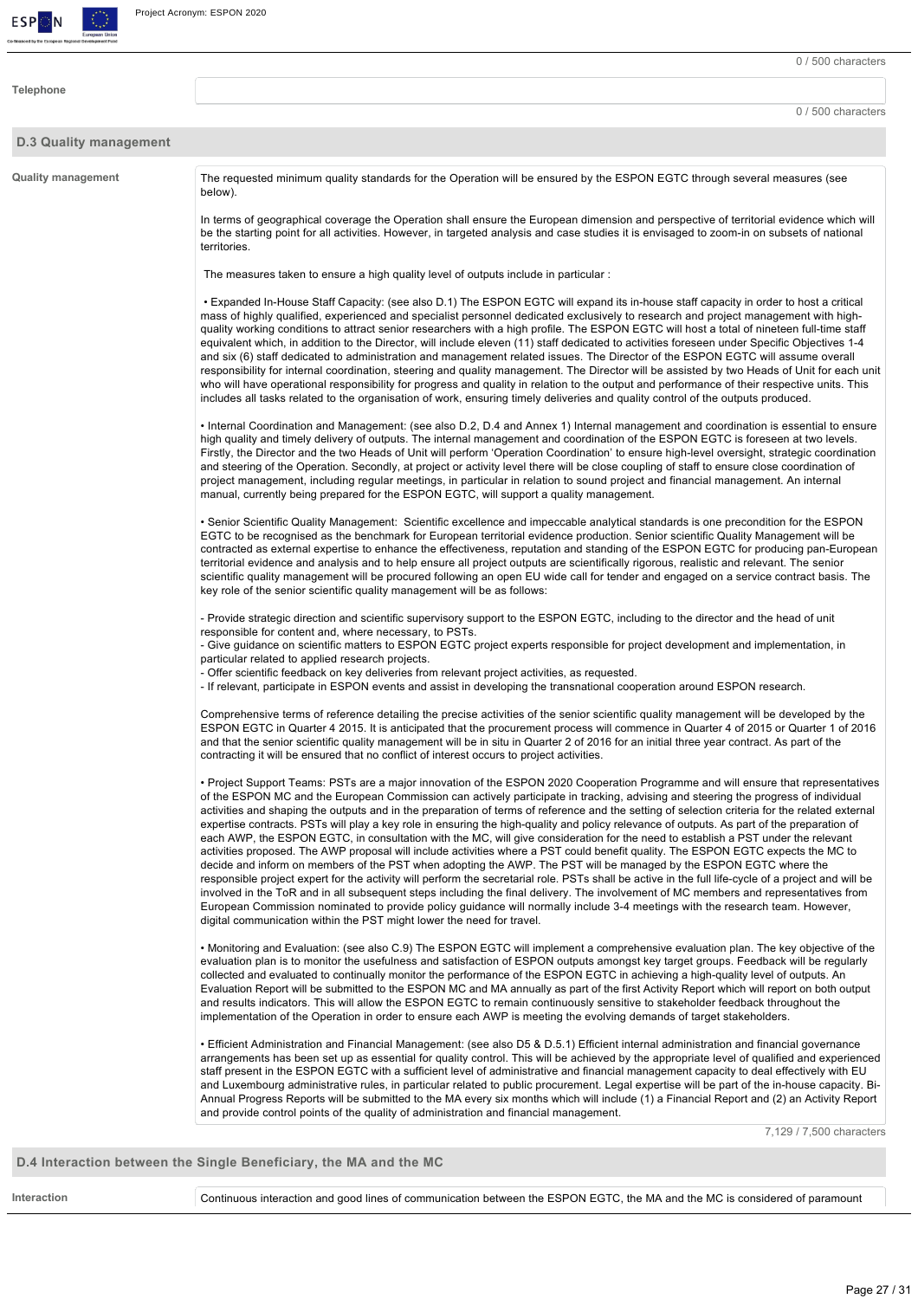

**Telephone**

0 / 500 characters

0 / 500 characters

#### **D.3 Quality management**

**Quality management** The requested minimum quality standards for the Operation will be ensured by the ESPON EGTC through several measures (see below).

> In terms of geographical coverage the Operation shall ensure the European dimension and perspective of territorial evidence which will be the starting point for all activities. However, in targeted analysis and case studies it is envisaged to zoom-in on subsets of national territories.

The measures taken to ensure a high quality level of outputs include in particular :

• Expanded In-House Staff Capacity: (see also D.1) The ESPON EGTC will expand its in-house staff capacity in order to host a critical mass of highly qualified, experienced and specialist personnel dedicated exclusively to research and project management with highquality working conditions to attract senior researchers with a high profile. The ESPON EGTC will host a total of nineteen full-time staff equivalent which, in addition to the Director, will include eleven (11) staff dedicated to activities foreseen under Specific Objectives 1-4 and six (6) staff dedicated to administration and management related issues. The Director of the ESPON EGTC will assume overall responsibility for internal coordination, steering and quality management. The Director will be assisted by two Heads of Unit for each unit who will have operational responsibility for progress and quality in relation to the output and performance of their respective units. This includes all tasks related to the organisation of work, ensuring timely deliveries and quality control of the outputs produced.

• Internal Coordination and Management: (see also D.2, D.4 and Annex 1) Internal management and coordination is essential to ensure high quality and timely delivery of outputs. The internal management and coordination of the ESPON EGTC is foreseen at two levels. Firstly, the Director and the two Heads of Unit will perform 'Operation Coordination' to ensure high-level oversight, strategic coordination and steering of the Operation. Secondly, at project or activity level there will be close coupling of staff to ensure close coordination of project management, including regular meetings, in particular in relation to sound project and financial management. An internal manual, currently being prepared for the ESPON EGTC, will support a quality management.

• Senior Scientific Quality Management: Scientific excellence and impeccable analytical standards is one precondition for the ESPON EGTC to be recognised as the benchmark for European territorial evidence production. Senior scientific Quality Management will be contracted as external expertise to enhance the effectiveness, reputation and standing of the ESPON EGTC for producing pan-European territorial evidence and analysis and to help ensure all project outputs are scientifically rigorous, realistic and relevant. The senior scientific quality management will be procured following an open EU wide call for tender and engaged on a service contract basis. The key role of the senior scientific quality management will be as follows:

- Provide strategic direction and scientific supervisory support to the ESPON EGTC, including to the director and the head of unit responsible for content and, where necessary, to PSTs.

- Give guidance on scientific matters to ESPON EGTC project experts responsible for project development and implementation, in particular related to applied research projects.

Offer scientific feedback on key deliveries from relevant project activities, as requested.

- If relevant, participate in ESPON events and assist in developing the transnational cooperation around ESPON research.

Comprehensive terms of reference detailing the precise activities of the senior scientific quality management will be developed by the ESPON EGTC in Quarter 4 2015. It is anticipated that the procurement process will commence in Quarter 4 of 2015 or Quarter 1 of 2016 and that the senior scientific quality management will be in situ in Quarter 2 of 2016 for an initial three year contract. As part of the contracting it will be ensured that no conflict of interest occurs to project activities.

• Project Support Teams: PSTs are a major innovation of the ESPON 2020 Cooperation Programme and will ensure that representatives of the ESPON MC and the European Commission can actively participate in tracking, advising and steering the progress of individual activities and shaping the outputs and in the preparation of terms of reference and the setting of selection criteria for the related external expertise contracts. PSTs will play a key role in ensuring the high-quality and policy relevance of outputs. As part of the preparation of each AWP, the ESPON EGTC, in consultation with the MC, will give consideration for the need to establish a PST under the relevant activities proposed. The AWP proposal will include activities where a PST could benefit quality. The ESPON EGTC expects the MC to decide and inform on members of the PST when adopting the AWP. The PST will be managed by the ESPON EGTC where the responsible project expert for the activity will perform the secretarial role. PSTs shall be active in the full life-cycle of a project and will be involved in the ToR and in all subsequent steps including the final delivery. The involvement of MC members and representatives from European Commission nominated to provide policy guidance will normally include 34 meetings with the research team. However, digital communication within the PST might lower the need for travel.

• Monitoring and Evaluation: (see also C.9) The ESPON EGTC will implement a comprehensive evaluation plan. The key objective of the evaluation plan is to monitor the usefulness and satisfaction of ESPON outputs amongst key target groups. Feedback will be regularly collected and evaluated to continually monitor the performance of the ESPON EGTC in achieving a high-quality level of outputs. An Evaluation Report will be submitted to the ESPON MC and MA annually as part of the first Activity Report which will report on both output and results indicators. This will allow the ESPON EGTC to remain continuously sensitive to stakeholder feedback throughout the implementation of the Operation in order to ensure each AWP is meeting the evolving demands of target stakeholders.

• Efficient Administration and Financial Management: (see also D5 & D.5.1) Efficient internal administration and financial governance arrangements has been set up as essential for quality control. This will be achieved by the appropriate level of qualified and experienced staff present in the ESPON EGTC with a sufficient level of administrative and financial management capacity to deal effectively with EU and Luxembourg administrative rules, in particular related to public procurement. Legal expertise will be part of the in-house capacity. Bi-Annual Progress Reports will be submitted to the MA every six months which will include (1) a Financial Report and (2) an Activity Report and provide control points of the quality of administration and financial management.

7,129 / 7,500 characters

**D.4 Interaction between the Single Beneficiary, the MA and the MC**

Interaction **Interaction** Continuous interaction and good lines of communication between the ESPON EGTC, the MA and the MC is considered of paramount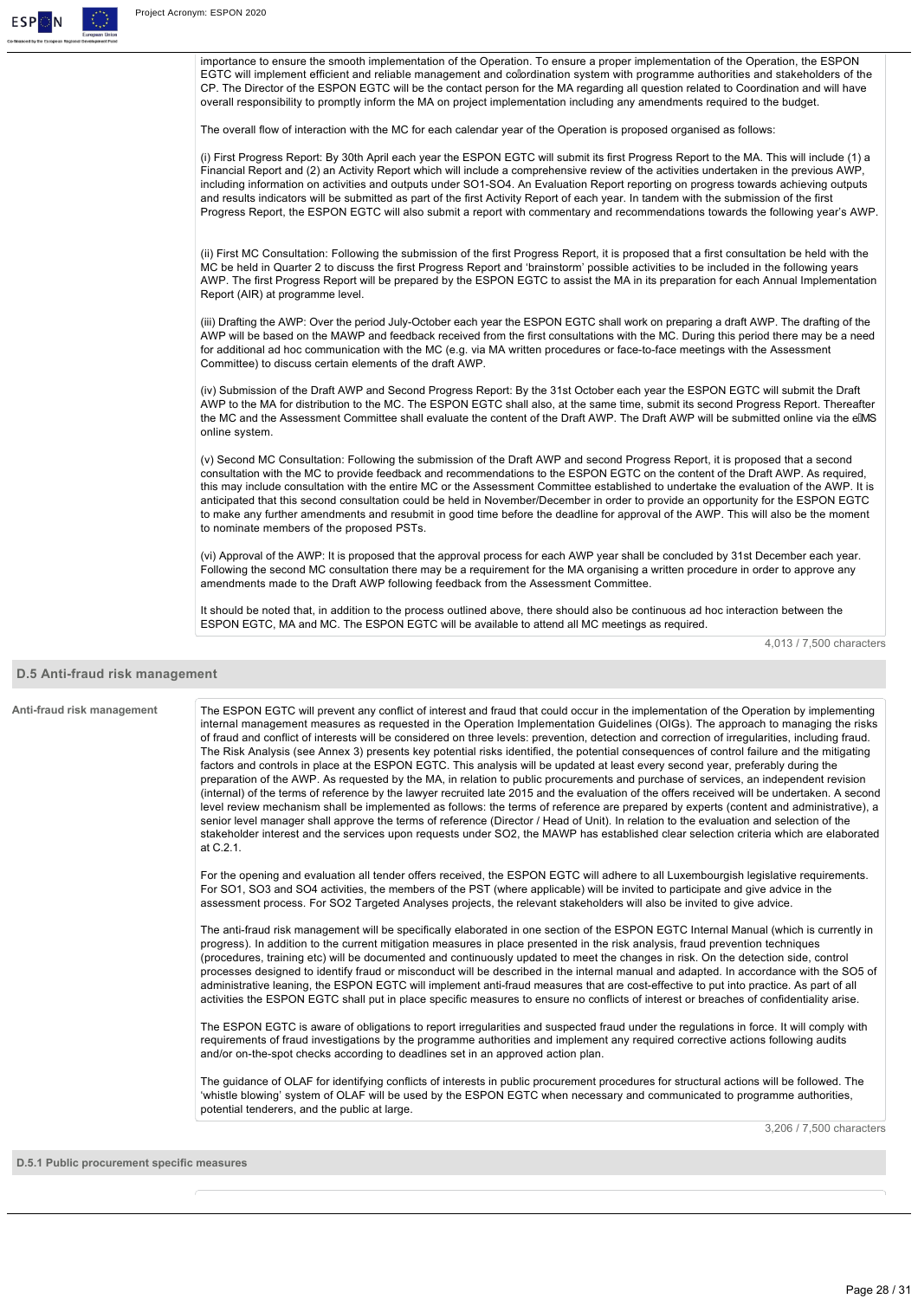

importance to ensure the smooth implementation of the Operation. To ensure a proper implementation of the Operation, the ESPON EGTC will implement efficient and reliable management and colordination system with programme authorities and stakeholders of the CP. The Director of the ESPON EGTC will be the contact person for the MA regarding all question related to Coordination and will have overall responsibility to promptly inform the MA on project implementation including any amendments required to the budget.

The overall flow of interaction with the MC for each calendar year of the Operation is proposed organised as follows:

(i) First Progress Report: By 30th April each year the ESPON EGTC will submit its first Progress Report to the MA. This will include (1) a Financial Report and (2) an Activity Report which will include a comprehensive review of the activities undertaken in the previous AWP, including information on activities and outputs under SO1-SO4. An Evaluation Report reporting on progress towards achieving outputs and results indicators will be submitted as part of the first Activity Report of each year. In tandem with the submission of the first Progress Report, the ESPON EGTC will also submit a report with commentary and recommendations towards the following year's AWP.

(ii) First MC Consultation: Following the submission of the first Progress Report, it is proposed that a first consultation be held with the MC be held in Quarter 2 to discuss the first Progress Report and 'brainstorm' possible activities to be included in the following years AWP. The first Progress Report will be prepared by the ESPON EGTC to assist the MA in its preparation for each Annual Implementation Report (AIR) at programme level.

(iii) Drafting the AWP: Over the period July-October each year the ESPON EGTC shall work on preparing a draft AWP. The drafting of the AWP will be based on the MAWP and feedback received from the first consultations with the MC. During this period there may be a need for additional ad hoc communication with the MC (e.g. via MA written procedures or face-to-face meetings with the Assessment Committee) to discuss certain elements of the draft AWP.

(iv) Submission of the Draft AWP and Second Progress Report: By the 31st October each year the ESPON EGTC will submit the Draft AWP to the MA for distribution to the MC. The ESPON EGTC shall also, at the same time, submit its second Progress Report. Thereafter the MC and the Assessment Committee shall evaluate the content of the Draft AWP. The Draft AWP will be submitted online via the eIMS online system.

(v) Second MC Consultation: Following the submission of the Draft AWP and second Progress Report, it is proposed that a second consultation with the MC to provide feedback and recommendations to the ESPON EGTC on the content of the Draft AWP. As required, this may include consultation with the entire MC or the Assessment Committee established to undertake the evaluation of the AWP. It is anticipated that this second consultation could be held in November/December in order to provide an opportunity for the ESPON EGTC to make any further amendments and resubmit in good time before the deadline for approval of the AWP. This will also be the moment to nominate members of the proposed PSTs.

(vi) Approval of the AWP: It is proposed that the approval process for each AWP year shall be concluded by 31st December each year. Following the second MC consultation there may be a requirement for the MA organising a written procedure in order to approve any amendments made to the Draft AWP following feedback from the Assessment Committee.

It should be noted that, in addition to the process outlined above, there should also be continuous ad hoc interaction between the ESPON EGTC, MA and MC. The ESPON EGTC will be available to attend all MC meetings as required.

4,013 / 7,500 characters

#### **D.5 Anti-fraud risk management**

Anti-fraud risk management The ESPON EGTC will prevent any conflict of interest and fraud that could occur in the implementation of the Operation by implementing internal management measures as requested in the Operation Implementation Guidelines (OIGs). The approach to managing the risks of fraud and conflict of interests will be considered on three levels: prevention, detection and correction of irregularities, including fraud. The Risk Analysis (see Annex 3) presents key potential risks identified, the potential consequences of control failure and the mitigating factors and controls in place at the ESPON EGTC. This analysis will be updated at least every second year, preferably during the preparation of the AWP. As requested by the MA, in relation to public procurements and purchase of services, an independent revision (internal) of the terms of reference by the lawyer recruited late 2015 and the evaluation of the offers received will be undertaken. A second level review mechanism shall be implemented as follows: the terms of reference are prepared by experts (content and administrative), a senior level manager shall approve the terms of reference (Director / Head of Unit). In relation to the evaluation and selection of the stakeholder interest and the services upon requests under SO2, the MAWP has established clear selection criteria which are elaborated at C.2.1. For the opening and evaluation all tender offers received, the ESPON EGTC will adhere to all Luxembourgish legislative requirements. For SO1, SO3 and SO4 activities, the members of the PST (where applicable) will be invited to participate and give advice in the assessment process. For SO2 Targeted Analyses projects, the relevant stakeholders will also be invited to give advice. The anti-fraud risk management will be specifically elaborated in one section of the ESPON EGTC Internal Manual (which is currently in progress). In addition to the current mitigation measures in place presented in the risk analysis, fraud prevention techniques (procedures, training etc) will be documented and continuously updated to meet the changes in risk. On the detection side, control processes designed to identify fraud or misconduct will be described in the internal manual and adapted. In accordance with the SO5 of administrative leaning, the ESPON EGTC will implement anti-fraud measures that are cost-effective to put into practice. As part of all activities the ESPON EGTC shall put in place specific measures to ensure no conflicts of interest or breaches of confidentiality arise. The ESPON EGTC is aware of obligations to report irregularities and suspected fraud under the regulations in force. It will comply with requirements of fraud investigations by the programme authorities and implement any required corrective actions following audits and/or on-the-spot checks according to deadlines set in an approved action plan. The guidance of OLAF for identifying conflicts of interests in public procurement procedures for structural actions will be followed. The 'whistle blowing' system of OLAF will be used by the ESPON EGTC when necessary and communicated to programme authorities, potential tenderers, and the public at large. 3,206 / 7,500 characters

**D.5.1 Public procurement specific measures**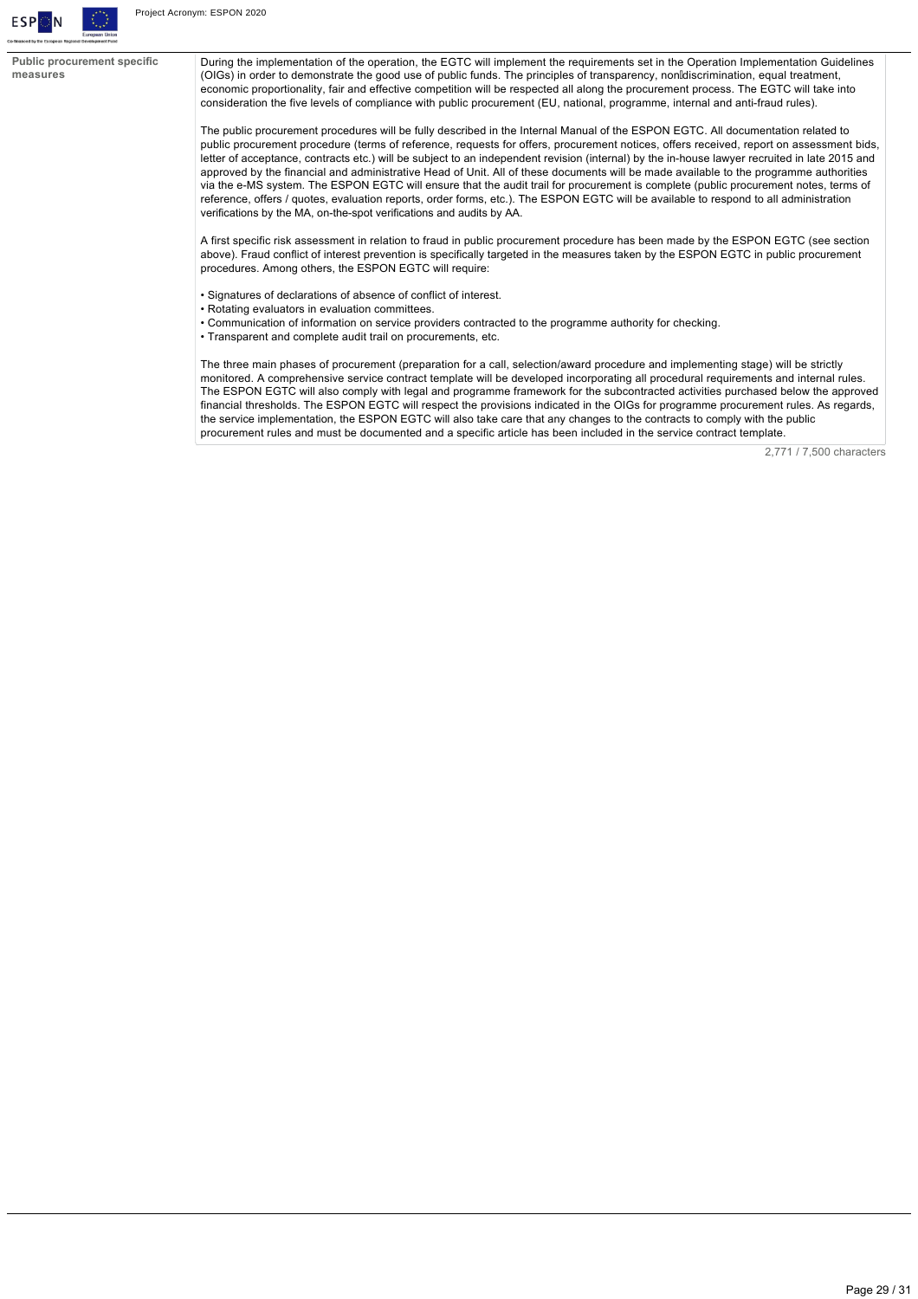

**Public procurement specific measures**

During the implementation of the operation, the EGTC will implement the requirements set in the Operation Implementation Guidelines (OIGs) in order to demonstrate the good use of public funds. The principles of transparency, nondiscrimination, equal treatment, economic proportionality, fair and effective competition will be respected all along the procurement process. The EGTC will take into consideration the five levels of compliance with public procurement (EU, national, programme, internal and anti-fraud rules).

The public procurement procedures will be fully described in the Internal Manual of the ESPON EGTC. All documentation related to public procurement procedure (terms of reference, requests for offers, procurement notices, offers received, report on assessment bids, letter of acceptance, contracts etc.) will be subject to an independent revision (internal) by the in-house lawyer recruited in late 2015 and approved by the financial and administrative Head of Unit. All of these documents will be made available to the programme authorities via the e-MS system. The ESPON EGTC will ensure that the audit trail for procurement is complete (public procurement notes, terms of reference, offers / quotes, evaluation reports, order forms, etc.). The ESPON EGTC will be available to respond to all administration verifications by the MA, on-the-spot verifications and audits by AA.

A first specific risk assessment in relation to fraud in public procurement procedure has been made by the ESPON EGTC (see section above). Fraud conflict of interest prevention is specifically targeted in the measures taken by the ESPON EGTC in public procurement procedures. Among others, the ESPON EGTC will require:

- Signatures of declarations of absence of conflict of interest.
- Rotating evaluators in evaluation committees.
- Communication of information on service providers contracted to the programme authority for checking.
- Transparent and complete audit trail on procurements, etc.

The three main phases of procurement (preparation for a call, selection/award procedure and implementing stage) will be strictly monitored. A comprehensive service contract template will be developed incorporating all procedural requirements and internal rules. The ESPON EGTC will also comply with legal and programme framework for the subcontracted activities purchased below the approved financial thresholds. The ESPON EGTC will respect the provisions indicated in the OIGs for programme procurement rules. As regards, the service implementation, the ESPON EGTC will also take care that any changes to the contracts to comply with the public procurement rules and must be documented and a specific article has been included in the service contract template.

2,771 / 7,500 characters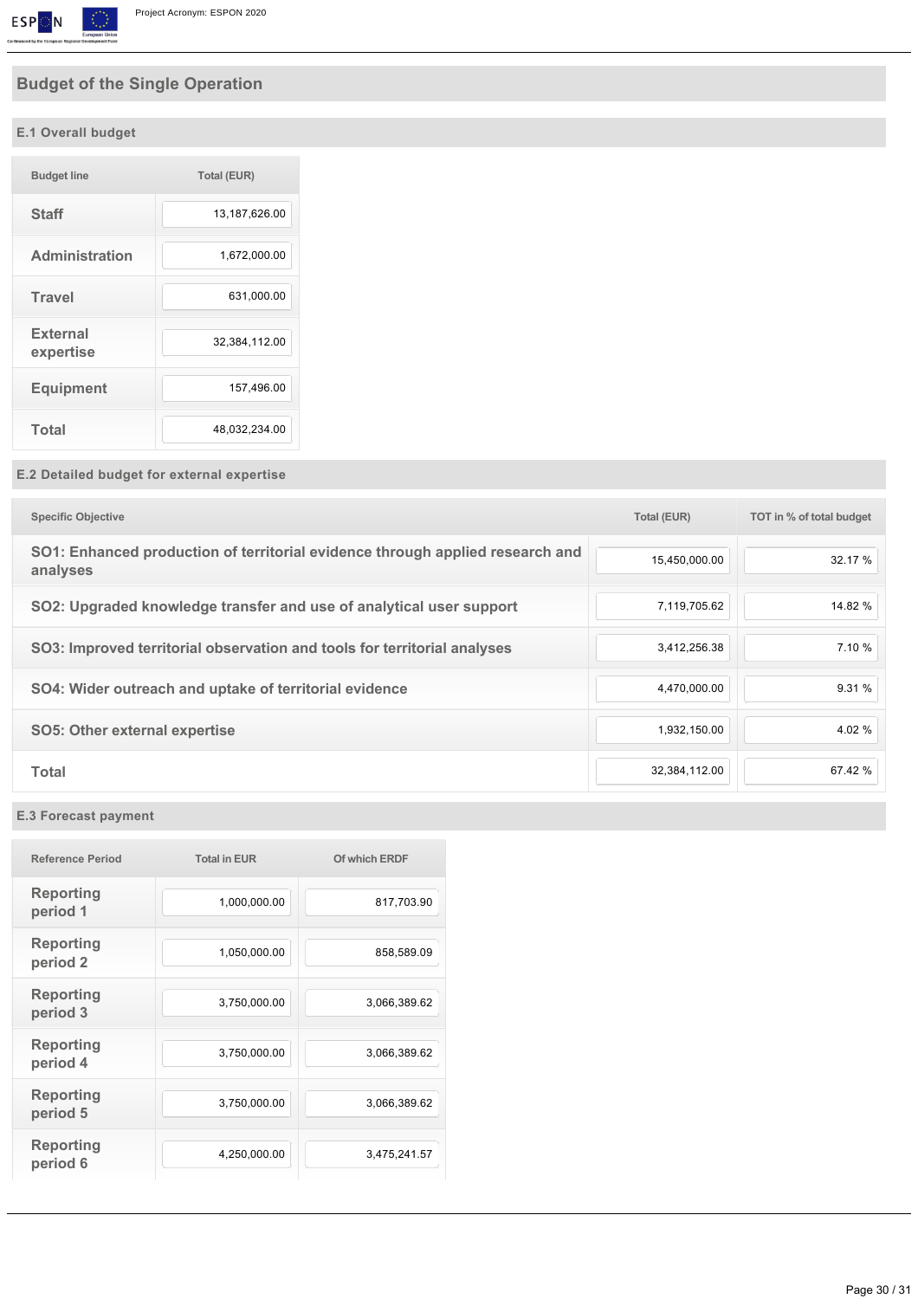

# **Budget of the Single Operation**

# **E.1 Overall budget**

| <b>Budget line</b>           | <b>Total (EUR)</b> |
|------------------------------|--------------------|
| <b>Staff</b>                 | 13,187,626.00      |
| <b>Administration</b>        | 1,672,000.00       |
| <b>Travel</b>                | 631,000.00         |
| <b>External</b><br>expertise | 32,384,112.00      |
| <b>Equipment</b>             | 157,496.00         |
| <b>Total</b>                 | 48,032,234.00      |

# **E.2 Detailed budget for external expertise**

| <b>Specific Objective</b>                                                                 | <b>Total (EUR)</b> | TOT in % of total budget |
|-------------------------------------------------------------------------------------------|--------------------|--------------------------|
| SO1: Enhanced production of territorial evidence through applied research and<br>analyses | 15,450,000.00      | 32.17 %                  |
| SO2: Upgraded knowledge transfer and use of analytical user support                       | 7,119,705.62       | 14.82 %                  |
| SO3: Improved territorial observation and tools for territorial analyses                  | 3,412,256.38       | 7.10 %                   |
| SO4: Wider outreach and uptake of territorial evidence                                    | 4.470.000.00       | 9.31 %                   |
| <b>SO5: Other external expertise</b>                                                      | 1,932,150.00       | 4.02 %                   |
| <b>Total</b>                                                                              | 32,384,112.00      | 67.42 %                  |

# **E.3 Forecast payment**

| <b>Reference Period</b>                 | <b>Total in EUR</b> | Of which ERDF |
|-----------------------------------------|---------------------|---------------|
| <b>Reporting</b><br>period 1            | 1,000,000.00        | 817,703.90    |
| <b>Reporting</b><br>period <sub>2</sub> | 1,050,000.00        | 858,589.09    |
| <b>Reporting</b><br>period 3            | 3,750,000.00        | 3,066,389.62  |
| <b>Reporting</b><br>period 4            | 3,750,000.00        | 3,066,389.62  |
| <b>Reporting</b><br>period 5            | 3,750,000.00        | 3,066,389.62  |
| <b>Reporting</b><br>period 6            | 4,250,000.00        | 3,475,241.57  |